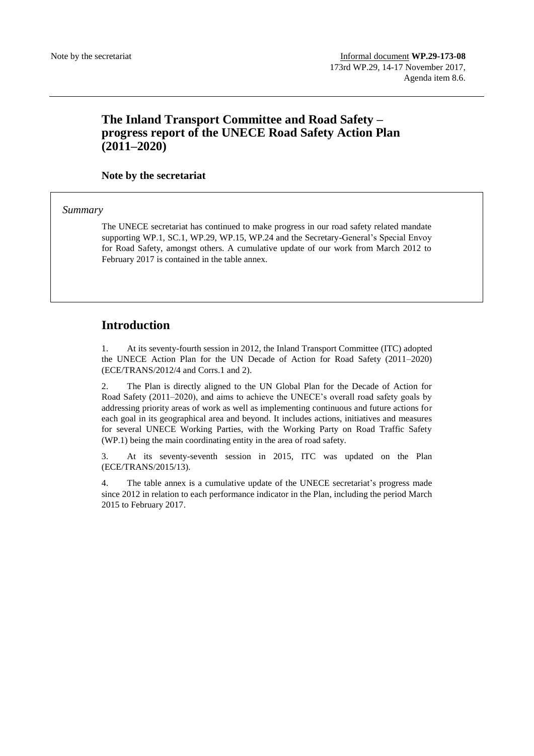# **The Inland Transport Committee and Road Safety – progress report of the UNECE Road Safety Action Plan (2011–2020)**

### **Note by the secretariat**

*Summary*

The UNECE secretariat has continued to make progress in our road safety related mandate supporting WP.1, SC.1, WP.29, WP.15, WP.24 and the Secretary-General's Special Envoy for Road Safety, amongst others. A cumulative update of our work from March 2012 to February 2017 is contained in the table annex.

## **Introduction**

1. At its seventy-fourth session in 2012, the Inland Transport Committee (ITC) adopted the UNECE Action Plan for the UN Decade of Action for Road Safety (2011–2020) (ECE/TRANS/2012/4 and Corrs.1 and 2).

2. The Plan is directly aligned to the UN Global Plan for the Decade of Action for Road Safety (2011–2020), and aims to achieve the UNECE's overall road safety goals by addressing priority areas of work as well as implementing continuous and future actions for each goal in its geographical area and beyond. It includes actions, initiatives and measures for several UNECE Working Parties, with the Working Party on Road Traffic Safety (WP.1) being the main coordinating entity in the area of road safety.

3. At its seventy-seventh session in 2015, ITC was updated on the Plan (ECE/TRANS/2015/13).

4. The table annex is a cumulative update of the UNECE secretariat's progress made since 2012 in relation to each performance indicator in the Plan, including the period March 2015 to February 2017.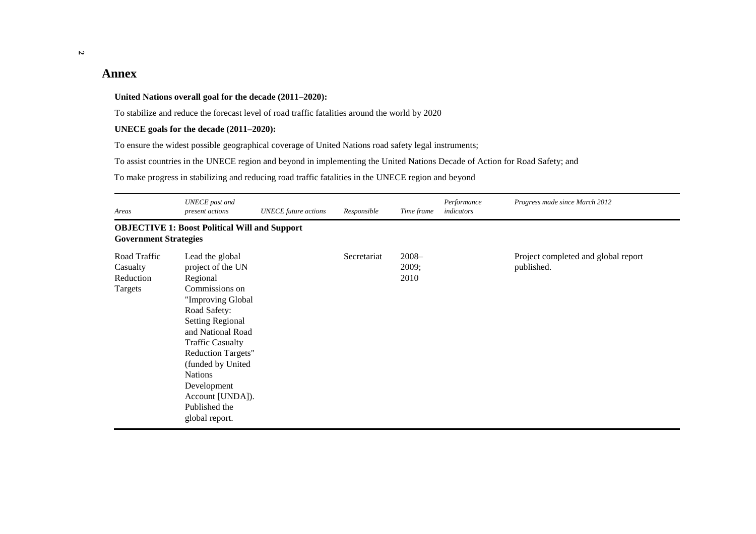# **Annex**

#### **United Nations overall goal for the decade (2011–2020):**

To stabilize and reduce the forecast level of road traffic fatalities around the world by 2020

#### **UNECE goals for the decade (2011–2020):**

To ensure the widest possible geographical coverage of United Nations road safety legal instruments;

To assist countries in the UNECE region and beyond in implementing the United Nations Decade of Action for Road Safety; and

To make progress in stabilizing and reducing road traffic fatalities in the UNECE region and beyond

| Areas                                            | UNECE past and<br>present actions                                                                                                                                                                                                                                                                                            | <b>UNECE</b> future actions | Responsible | Time frame                | Performance<br>indicators | Progress made since March 2012                    |
|--------------------------------------------------|------------------------------------------------------------------------------------------------------------------------------------------------------------------------------------------------------------------------------------------------------------------------------------------------------------------------------|-----------------------------|-------------|---------------------------|---------------------------|---------------------------------------------------|
| <b>Government Strategies</b>                     | <b>OBJECTIVE 1: Boost Political Will and Support</b>                                                                                                                                                                                                                                                                         |                             |             |                           |                           |                                                   |
| Road Traffic<br>Casualty<br>Reduction<br>Targets | Lead the global<br>project of the UN<br>Regional<br>Commissions on<br>"Improving Global<br>Road Safety:<br><b>Setting Regional</b><br>and National Road<br><b>Traffic Casualty</b><br><b>Reduction Targets"</b><br>(funded by United<br><b>Nations</b><br>Development<br>Account [UNDA]).<br>Published the<br>global report. |                             | Secretariat | $2008 -$<br>2009;<br>2010 |                           | Project completed and global report<br>published. |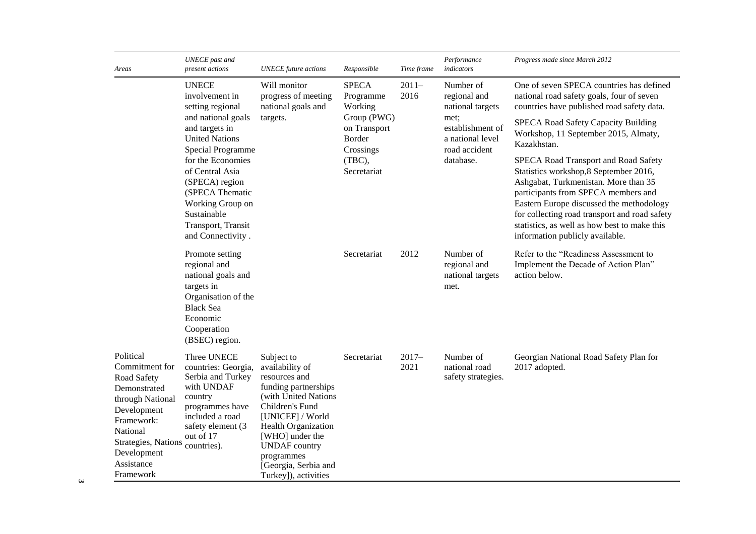| Areas                                                                                                                                                                                    | <b>UNECE</b> past and<br>present actions                                                                                                                                | <b>UNECE</b> future actions                                                                                                                                                                                                                                           | Responsible                                        | Time frame      | Performance<br>indicators                                                  | Progress made since March 2012                                                                                                                                                                                                                                                                                                                |
|------------------------------------------------------------------------------------------------------------------------------------------------------------------------------------------|-------------------------------------------------------------------------------------------------------------------------------------------------------------------------|-----------------------------------------------------------------------------------------------------------------------------------------------------------------------------------------------------------------------------------------------------------------------|----------------------------------------------------|-----------------|----------------------------------------------------------------------------|-----------------------------------------------------------------------------------------------------------------------------------------------------------------------------------------------------------------------------------------------------------------------------------------------------------------------------------------------|
|                                                                                                                                                                                          | <b>UNECE</b><br>involvement in<br>setting regional                                                                                                                      | Will monitor<br>progress of meeting<br>national goals and                                                                                                                                                                                                             | <b>SPECA</b><br>Programme<br>Working               | $2011-$<br>2016 | Number of<br>regional and<br>national targets                              | One of seven SPECA countries has defined<br>national road safety goals, four of seven<br>countries have published road safety data.                                                                                                                                                                                                           |
|                                                                                                                                                                                          | and national goals<br>and targets in<br><b>United Nations</b><br><b>Special Programme</b>                                                                               | targets.                                                                                                                                                                                                                                                              | Group (PWG)<br>on Transport<br>Border<br>Crossings |                 | met;<br>establishment of<br>a national level<br>road accident<br>database. | SPECA Road Safety Capacity Building<br>Workshop, 11 September 2015, Almaty,<br>Kazakhstan.                                                                                                                                                                                                                                                    |
|                                                                                                                                                                                          | for the Economies<br>of Central Asia<br>(SPECA) region<br>(SPECA Thematic<br>Working Group on<br>Sustainable<br>Transport, Transit<br>and Connectivity.                 |                                                                                                                                                                                                                                                                       | (TBC),<br>Secretariat                              |                 |                                                                            | SPECA Road Transport and Road Safety<br>Statistics workshop, 8 September 2016,<br>Ashgabat, Turkmenistan. More than 35<br>participants from SPECA members and<br>Eastern Europe discussed the methodology<br>for collecting road transport and road safety<br>statistics, as well as how best to make this<br>information publicly available. |
|                                                                                                                                                                                          | Promote setting<br>regional and<br>national goals and<br>targets in<br>Organisation of the<br><b>Black Sea</b><br>Economic<br>Cooperation<br>(BSEC) region.             |                                                                                                                                                                                                                                                                       | Secretariat                                        | 2012            | Number of<br>regional and<br>national targets<br>met.                      | Refer to the "Readiness Assessment to<br>Implement the Decade of Action Plan"<br>action below.                                                                                                                                                                                                                                                |
| Political<br>Commitment for<br>Road Safety<br>Demonstrated<br>through National<br>Development<br>Framework:<br>National<br>Strategies, Nations<br>Development<br>Assistance<br>Framework | Three UNECE<br>countries: Georgia,<br>Serbia and Turkey<br>with UNDAF<br>country<br>programmes have<br>included a road<br>safety element (3<br>out of 17<br>countries). | Subject to<br>availability of<br>resources and<br>funding partnerships<br>(with United Nations<br>Children's Fund<br>[UNICEF] / World<br>Health Organization<br>[WHO] under the<br><b>UNDAF</b> country<br>programmes<br>[Georgia, Serbia and<br>Turkey]), activities | Secretariat                                        | $2017-$<br>2021 | Number of<br>national road<br>safety strategies.                           | Georgian National Road Safety Plan for<br>2017 adopted.                                                                                                                                                                                                                                                                                       |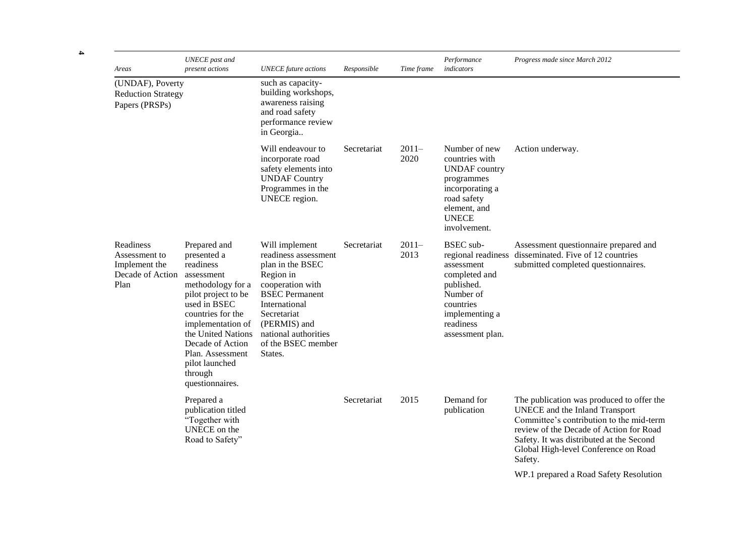| Areas                                                                   | <b>UNECE</b> past and<br>present actions                                                                                                                                                                                                                                   | <b>UNECE</b> future actions                                                                                                                                                                                                   | Responsible | Time frame      | Performance<br>indicators                                                                                                                                        | Progress made since March 2012                                                                                                                                                                                                                                    |
|-------------------------------------------------------------------------|----------------------------------------------------------------------------------------------------------------------------------------------------------------------------------------------------------------------------------------------------------------------------|-------------------------------------------------------------------------------------------------------------------------------------------------------------------------------------------------------------------------------|-------------|-----------------|------------------------------------------------------------------------------------------------------------------------------------------------------------------|-------------------------------------------------------------------------------------------------------------------------------------------------------------------------------------------------------------------------------------------------------------------|
| (UNDAF), Poverty<br><b>Reduction Strategy</b><br>Papers (PRSPs)         |                                                                                                                                                                                                                                                                            | such as capacity-<br>building workshops,<br>awareness raising<br>and road safety<br>performance review<br>in Georgia                                                                                                          |             |                 |                                                                                                                                                                  |                                                                                                                                                                                                                                                                   |
|                                                                         |                                                                                                                                                                                                                                                                            | Will endeavour to<br>incorporate road<br>safety elements into<br><b>UNDAF Country</b><br>Programmes in the<br>UNECE region.                                                                                                   | Secretariat | $2011-$<br>2020 | Number of new<br>countries with<br><b>UNDAF</b> country<br>programmes<br>incorporating a<br>road safety<br>element, and<br><b>UNECE</b><br>involvement.          | Action underway.                                                                                                                                                                                                                                                  |
| Readiness<br>Assessment to<br>Implement the<br>Decade of Action<br>Plan | Prepared and<br>presented a<br>readiness<br>assessment<br>methodology for a<br>pilot project to be<br>used in BSEC<br>countries for the<br>implementation of<br>the United Nations<br>Decade of Action<br>Plan. Assessment<br>pilot launched<br>through<br>questionnaires. | Will implement<br>readiness assessment<br>plan in the BSEC<br>Region in<br>cooperation with<br><b>BSEC</b> Permanent<br>International<br>Secretariat<br>(PERMIS) and<br>national authorities<br>of the BSEC member<br>States. | Secretariat | $2011-$<br>2013 | <b>BSEC</b> sub-<br>regional readiness<br>assessment<br>completed and<br>published.<br>Number of<br>countries<br>implementing a<br>readiness<br>assessment plan. | Assessment questionnaire prepared and<br>disseminated. Five of 12 countries<br>submitted completed questionnaires.                                                                                                                                                |
|                                                                         | Prepared a<br>publication titled<br>"Together with<br>UNECE on the<br>Road to Safety"                                                                                                                                                                                      |                                                                                                                                                                                                                               | Secretariat | 2015            | Demand for<br>publication                                                                                                                                        | The publication was produced to offer the<br>UNECE and the Inland Transport<br>Committee's contribution to the mid-term<br>review of the Decade of Action for Road<br>Safety. It was distributed at the Second<br>Global High-level Conference on Road<br>Safety. |
|                                                                         |                                                                                                                                                                                                                                                                            |                                                                                                                                                                                                                               |             |                 |                                                                                                                                                                  | WP.1 prepared a Road Safety Resolution                                                                                                                                                                                                                            |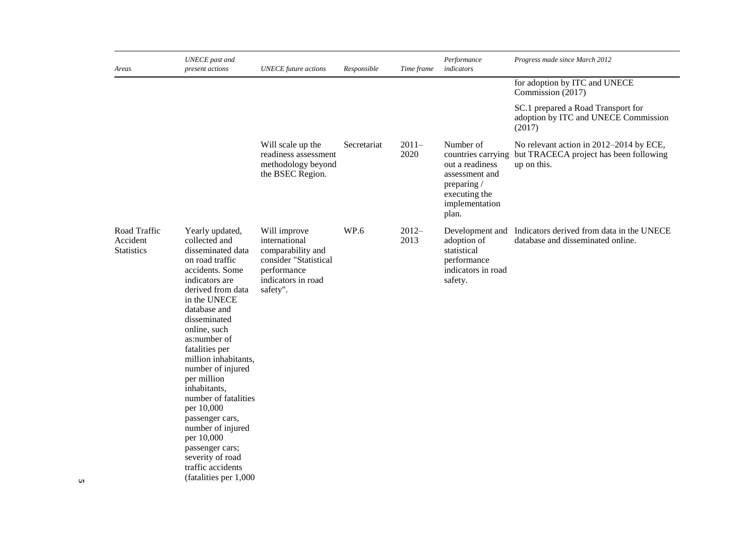| Areas                                         | <b>UNECE</b> past and<br>present actions                                                                                                                                                                                                                                                                                                                                                                                                                                 | <b>UNECE</b> future actions                                                                                                  | Responsible | Time frame      | Performance<br>indicators                                                                                                       | Progress made since March 2012                                                                   |
|-----------------------------------------------|--------------------------------------------------------------------------------------------------------------------------------------------------------------------------------------------------------------------------------------------------------------------------------------------------------------------------------------------------------------------------------------------------------------------------------------------------------------------------|------------------------------------------------------------------------------------------------------------------------------|-------------|-----------------|---------------------------------------------------------------------------------------------------------------------------------|--------------------------------------------------------------------------------------------------|
|                                               |                                                                                                                                                                                                                                                                                                                                                                                                                                                                          |                                                                                                                              |             |                 |                                                                                                                                 | for adoption by ITC and UNECE<br>Commission (2017)                                               |
|                                               |                                                                                                                                                                                                                                                                                                                                                                                                                                                                          |                                                                                                                              |             |                 |                                                                                                                                 | SC.1 prepared a Road Transport for<br>adoption by ITC and UNECE Commission<br>(2017)             |
|                                               |                                                                                                                                                                                                                                                                                                                                                                                                                                                                          | Will scale up the<br>readiness assessment<br>methodology beyond<br>the BSEC Region.                                          | Secretariat | $2011-$<br>2020 | Number of<br>countries carrying<br>out a readiness<br>assessment and<br>preparing /<br>executing the<br>implementation<br>plan. | No relevant action in 2012-2014 by ECE,<br>but TRACECA project has been following<br>up on this. |
| Road Traffic<br>Accident<br><b>Statistics</b> | Yearly updated,<br>collected and<br>disseminated data<br>on road traffic<br>accidents. Some<br>indicators are<br>derived from data<br>in the UNECE<br>database and<br>disseminated<br>online, such<br>as:number of<br>fatalities per<br>million inhabitants,<br>number of injured<br>per million<br>inhabitants,<br>number of fatalities<br>per 10,000<br>passenger cars,<br>number of injured<br>per 10,000<br>passenger cars;<br>severity of road<br>traffic accidents | Will improve<br>international<br>comparability and<br>consider "Statistical<br>performance<br>indicators in road<br>safety". | WP.6        | $2012-$<br>2013 | Development and<br>adoption of<br>statistical<br>performance<br>indicators in road<br>safety.                                   | Indicators derived from data in the UNECE<br>database and disseminated online.                   |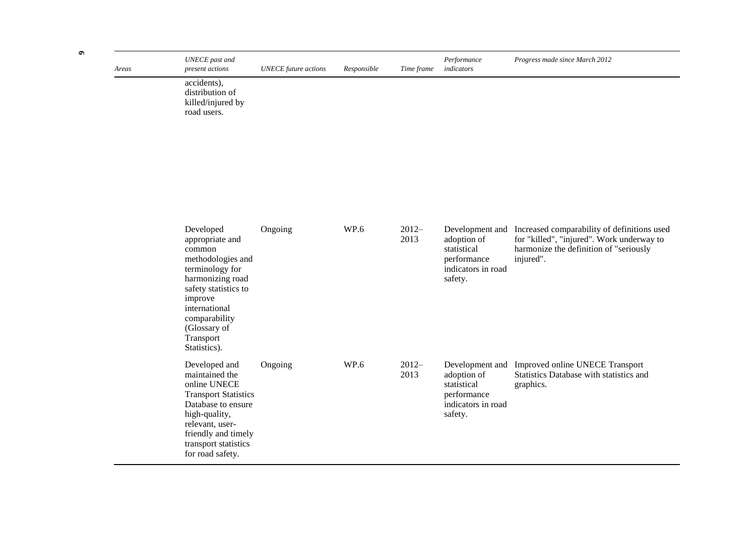| Areas | <b>UNECE</b> past and<br>present actions                                                                                                                                                                             | <b>UNECE</b> future actions | Responsible | Time frame      | Performance<br>indicators                                                                     | Progress made since March 2012                                                                                                                                  |
|-------|----------------------------------------------------------------------------------------------------------------------------------------------------------------------------------------------------------------------|-----------------------------|-------------|-----------------|-----------------------------------------------------------------------------------------------|-----------------------------------------------------------------------------------------------------------------------------------------------------------------|
|       | accidents),<br>distribution of<br>killed/injured by<br>road users.                                                                                                                                                   |                             |             |                 |                                                                                               |                                                                                                                                                                 |
|       |                                                                                                                                                                                                                      |                             |             |                 |                                                                                               |                                                                                                                                                                 |
|       |                                                                                                                                                                                                                      |                             |             |                 |                                                                                               |                                                                                                                                                                 |
|       | Developed<br>appropriate and<br>common<br>methodologies and<br>terminology for<br>harmonizing road<br>safety statistics to<br>improve<br>international<br>comparability<br>(Glossary of<br>Transport<br>Statistics). | Ongoing                     | WP.6        | $2012-$<br>2013 | adoption of<br>statistical<br>performance<br>indicators in road<br>safety.                    | Development and Increased comparability of definitions used<br>for "killed", "injured". Work underway to<br>harmonize the definition of "seriously<br>injured". |
|       | Developed and<br>maintained the<br>online UNECE<br><b>Transport Statistics</b><br>Database to ensure<br>high-quality,<br>relevant, user-<br>friendly and timely<br>transport statistics<br>for road safety.          | Ongoing                     | WP.6        | $2012-$<br>2013 | Development and<br>adoption of<br>statistical<br>performance<br>indicators in road<br>safety. | Improved online UNECE Transport<br>Statistics Database with statistics and<br>graphics.                                                                         |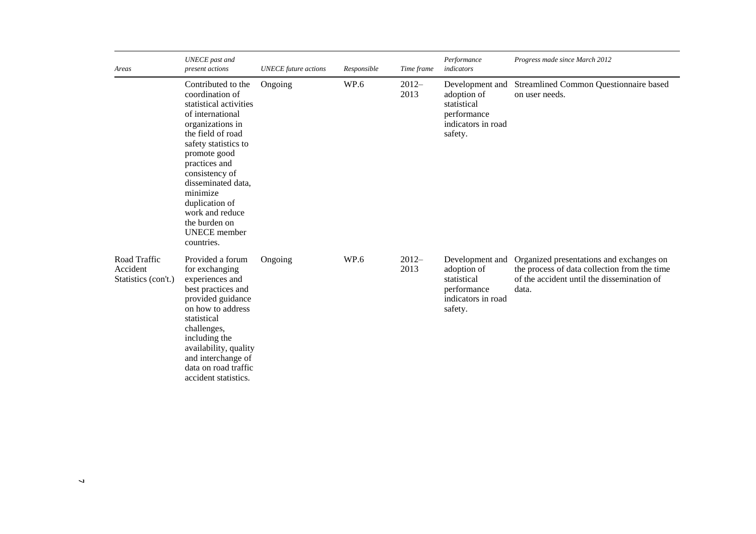| Areas                                           | <b>UNECE</b> past and<br>present actions                                                                                                                                                                                                                                                                                             | <b>UNECE</b> future actions | Responsible | Time frame      | Performance<br>indicators                                                                     | Progress made since March 2012                                                                                                                  |
|-------------------------------------------------|--------------------------------------------------------------------------------------------------------------------------------------------------------------------------------------------------------------------------------------------------------------------------------------------------------------------------------------|-----------------------------|-------------|-----------------|-----------------------------------------------------------------------------------------------|-------------------------------------------------------------------------------------------------------------------------------------------------|
|                                                 | Contributed to the<br>coordination of<br>statistical activities<br>of international<br>organizations in<br>the field of road<br>safety statistics to<br>promote good<br>practices and<br>consistency of<br>disseminated data,<br>minimize<br>duplication of<br>work and reduce<br>the burden on<br><b>UNECE</b> member<br>countries. | Ongoing                     | WP.6        | $2012-$<br>2013 | Development and<br>adoption of<br>statistical<br>performance<br>indicators in road<br>safety. | Streamlined Common Questionnaire based<br>on user needs.                                                                                        |
| Road Traffic<br>Accident<br>Statistics (con't.) | Provided a forum<br>for exchanging<br>experiences and<br>best practices and<br>provided guidance<br>on how to address<br>statistical<br>challenges,<br>including the<br>availability, quality<br>and interchange of<br>data on road traffic<br>accident statistics.                                                                  | Ongoing                     | WP.6        | $2012-$<br>2013 | Development and<br>adoption of<br>statistical<br>performance<br>indicators in road<br>safety. | Organized presentations and exchanges on<br>the process of data collection from the time<br>of the accident until the dissemination of<br>data. |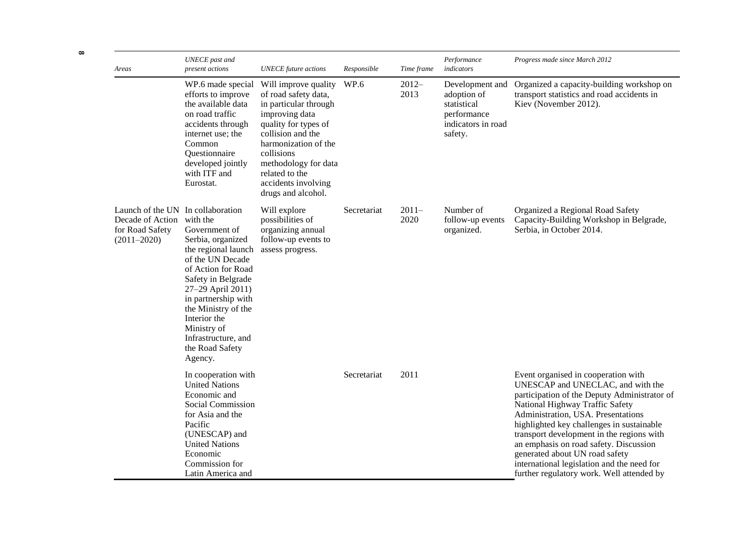| Areas                                                                                       | <b>UNECE</b> past and<br>present actions                                                                                                                                                                                                                                                     | <b>UNECE</b> future actions                                                                                                                                                                                                                                       | Responsible | Time frame      | Performance<br>indicators                                                                     | Progress made since March 2012                                                                                                                                                                                                                                                                                                                                                                                                                                     |
|---------------------------------------------------------------------------------------------|----------------------------------------------------------------------------------------------------------------------------------------------------------------------------------------------------------------------------------------------------------------------------------------------|-------------------------------------------------------------------------------------------------------------------------------------------------------------------------------------------------------------------------------------------------------------------|-------------|-----------------|-----------------------------------------------------------------------------------------------|--------------------------------------------------------------------------------------------------------------------------------------------------------------------------------------------------------------------------------------------------------------------------------------------------------------------------------------------------------------------------------------------------------------------------------------------------------------------|
|                                                                                             | WP.6 made special<br>efforts to improve<br>the available data<br>on road traffic<br>accidents through<br>internet use; the<br>Common<br>Questionnaire<br>developed jointly<br>with ITF and<br>Eurostat.                                                                                      | Will improve quality<br>of road safety data,<br>in particular through<br>improving data<br>quality for types of<br>collision and the<br>harmonization of the<br>collisions<br>methodology for data<br>related to the<br>accidents involving<br>drugs and alcohol. | WP.6        | $2012-$<br>2013 | Development and<br>adoption of<br>statistical<br>performance<br>indicators in road<br>safety. | Organized a capacity-building workshop on<br>transport statistics and road accidents in<br>Kiev (November 2012).                                                                                                                                                                                                                                                                                                                                                   |
| Launch of the UN In collaboration<br>Decade of Action<br>for Road Safety<br>$(2011 - 2020)$ | with the<br>Government of<br>Serbia, organized<br>the regional launch<br>of the UN Decade<br>of Action for Road<br>Safety in Belgrade<br>27-29 April 2011)<br>in partnership with<br>the Ministry of the<br>Interior the<br>Ministry of<br>Infrastructure, and<br>the Road Safety<br>Agency. | Will explore<br>possibilities of<br>organizing annual<br>follow-up events to<br>assess progress.                                                                                                                                                                  | Secretariat | $2011-$<br>2020 | Number of<br>follow-up events<br>organized.                                                   | Organized a Regional Road Safety<br>Capacity-Building Workshop in Belgrade,<br>Serbia, in October 2014.                                                                                                                                                                                                                                                                                                                                                            |
|                                                                                             | In cooperation with<br><b>United Nations</b><br>Economic and<br>Social Commission<br>for Asia and the<br>Pacific<br>(UNESCAP) and<br><b>United Nations</b><br>Economic<br>Commission for<br>Latin America and                                                                                |                                                                                                                                                                                                                                                                   | Secretariat | 2011            |                                                                                               | Event organised in cooperation with<br>UNESCAP and UNECLAC, and with the<br>participation of the Deputy Administrator of<br>National Highway Traffic Safety<br>Administration, USA. Presentations<br>highlighted key challenges in sustainable<br>transport development in the regions with<br>an emphasis on road safety. Discussion<br>generated about UN road safety<br>international legislation and the need for<br>further regulatory work. Well attended by |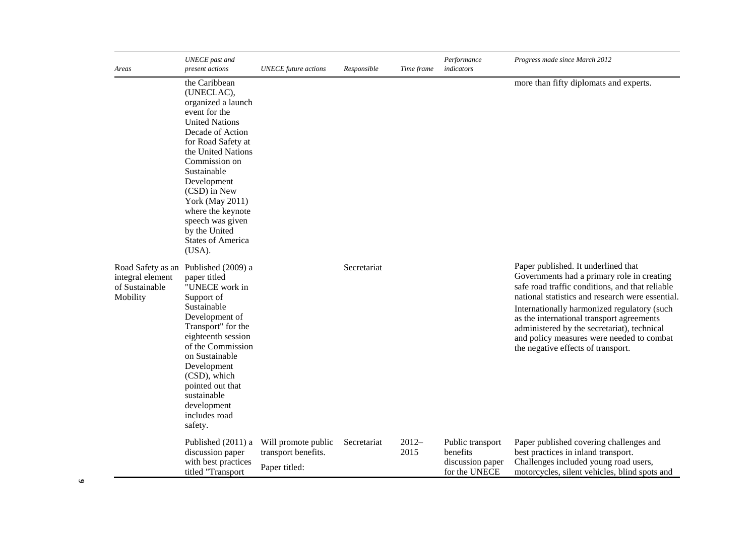| Areas                                                               | <b>UNECE</b> past and<br>present actions                                                                                                                                                                                                                                                                                                             | <b>UNECE</b> future actions                                 | Responsible | Time frame      | Performance<br>indicators                                         | Progress made since March 2012                                                                                                                                                                                                                                                                                                                                                                                         |
|---------------------------------------------------------------------|------------------------------------------------------------------------------------------------------------------------------------------------------------------------------------------------------------------------------------------------------------------------------------------------------------------------------------------------------|-------------------------------------------------------------|-------------|-----------------|-------------------------------------------------------------------|------------------------------------------------------------------------------------------------------------------------------------------------------------------------------------------------------------------------------------------------------------------------------------------------------------------------------------------------------------------------------------------------------------------------|
|                                                                     | the Caribbean<br>(UNECLAC),<br>organized a launch<br>event for the<br><b>United Nations</b><br>Decade of Action<br>for Road Safety at<br>the United Nations<br>Commission on<br>Sustainable<br>Development<br>(CSD) in New<br><b>York (May 2011)</b><br>where the keynote<br>speech was given<br>by the United<br><b>States of America</b><br>(USA). |                                                             |             |                 |                                                                   | more than fifty diplomats and experts.                                                                                                                                                                                                                                                                                                                                                                                 |
| Road Safety as an<br>integral element<br>of Sustainable<br>Mobility | Published (2009) a<br>paper titled<br>"UNECE work in<br>Support of<br>Sustainable<br>Development of<br>Transport" for the<br>eighteenth session<br>of the Commission<br>on Sustainable<br>Development<br>(CSD), which<br>pointed out that<br>sustainable<br>development<br>includes road<br>safety.                                                  |                                                             | Secretariat |                 |                                                                   | Paper published. It underlined that<br>Governments had a primary role in creating<br>safe road traffic conditions, and that reliable<br>national statistics and research were essential.<br>Internationally harmonized regulatory (such<br>as the international transport agreements<br>administered by the secretariat), technical<br>and policy measures were needed to combat<br>the negative effects of transport. |
|                                                                     | Published (2011) a<br>discussion paper<br>with best practices<br>titled "Transport                                                                                                                                                                                                                                                                   | Will promote public<br>transport benefits.<br>Paper titled: | Secretariat | $2012-$<br>2015 | Public transport<br>benefits<br>discussion paper<br>for the UNECE | Paper published covering challenges and<br>best practices in inland transport.<br>Challenges included young road users,<br>motorcycles, silent vehicles, blind spots and                                                                                                                                                                                                                                               |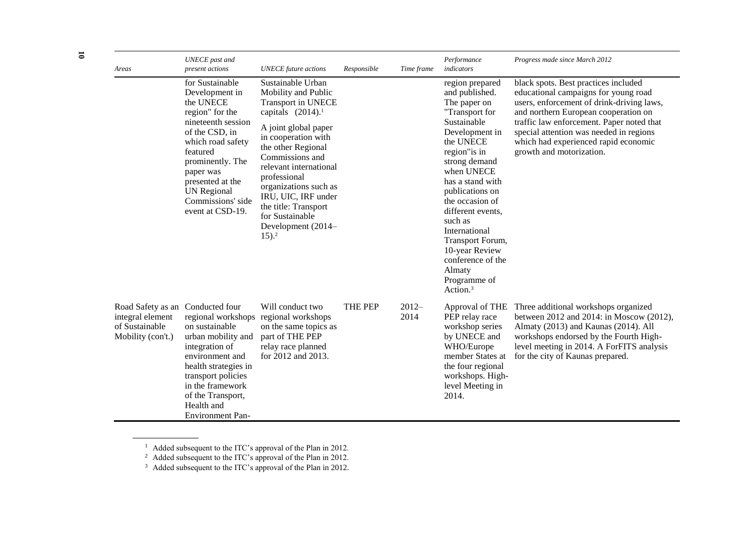| Areas                                                                        | <b>UNECE</b> past and<br>present actions                                                                                                                                                                                                                       | <b>UNECE</b> future actions                                                                                                                                                                                                                                                                                                                                             | Responsible | Time frame                                                                                                                                                                                                                                                                                                                                                                                | Performance<br>indicators                                                                                                                                                                                                                                                             | Progress made since March 2012                                                                                                                                                                                                                                      |
|------------------------------------------------------------------------------|----------------------------------------------------------------------------------------------------------------------------------------------------------------------------------------------------------------------------------------------------------------|-------------------------------------------------------------------------------------------------------------------------------------------------------------------------------------------------------------------------------------------------------------------------------------------------------------------------------------------------------------------------|-------------|-------------------------------------------------------------------------------------------------------------------------------------------------------------------------------------------------------------------------------------------------------------------------------------------------------------------------------------------------------------------------------------------|---------------------------------------------------------------------------------------------------------------------------------------------------------------------------------------------------------------------------------------------------------------------------------------|---------------------------------------------------------------------------------------------------------------------------------------------------------------------------------------------------------------------------------------------------------------------|
|                                                                              | for Sustainable<br>Development in<br>the UNECE<br>region" for the<br>nineteenth session<br>of the CSD, in<br>which road safety<br>featured<br>prominently. The<br>paper was<br>presented at the<br><b>UN</b> Regional<br>Commissions' side<br>event at CSD-19. | Sustainable Urban<br>Mobility and Public<br><b>Transport in UNECE</b><br>capitals $(2014).1$<br>A joint global paper<br>in cooperation with<br>the other Regional<br>Commissions and<br>relevant international<br>professional<br>organizations such as<br>IRU, UIC, IRF under<br>the title: Transport<br>for Sustainable<br>Development (2014-<br>$15$ ). <sup>2</sup> |             | region prepared<br>and published.<br>The paper on<br>"Transport for<br>Sustainable<br>Development in<br>the UNECE<br>region" is in<br>strong demand<br>when UNECE<br>has a stand with<br>publications on<br>the occasion of<br>different events,<br>such as<br>International<br>Transport Forum,<br>10-year Review<br>conference of the<br>Almaty<br>Programme of<br>Action. <sup>3</sup> | educational campaigns for young road<br>users, enforcement of drink-driving laws,<br>and northern European cooperation on<br>traffic law enforcement. Paper noted that<br>special attention was needed in regions<br>which had experienced rapid economic<br>growth and motorization. |                                                                                                                                                                                                                                                                     |
| Road Safety as an<br>integral element<br>of Sustainable<br>Mobility (con't.) | Conducted four<br>regional workshops<br>on sustainable<br>urban mobility and<br>integration of<br>environment and<br>health strategies in<br>transport policies<br>in the framework<br>of the Transport,<br>Health and<br><b>Environment Pan-</b>              | Will conduct two<br>regional workshops<br>on the same topics as<br>part of THE PEP<br>relay race planned<br>for 2012 and 2013.                                                                                                                                                                                                                                          | THE PEP     | $2012-$<br>2014                                                                                                                                                                                                                                                                                                                                                                           | PEP relay race<br>workshop series<br>by UNECE and<br>WHO/Europe<br>member States at<br>the four regional<br>workshops. High-<br>level Meeting in<br>2014.                                                                                                                             | Approval of THE Three additional workshops organized<br>between 2012 and 2014: in Moscow (2012),<br>Almaty (2013) and Kaunas (2014). All<br>workshops endorsed by the Fourth High-<br>level meeting in 2014. A ForFITS analysis<br>for the city of Kaunas prepared. |

 $1$  Added subsequent to the ITC's approval of the Plan in 2012.

<sup>&</sup>lt;sup>2</sup> Added subsequent to the ITC's approval of the Plan in 2012.

 $3$  Added subsequent to the ITC's approval of the Plan in 2012.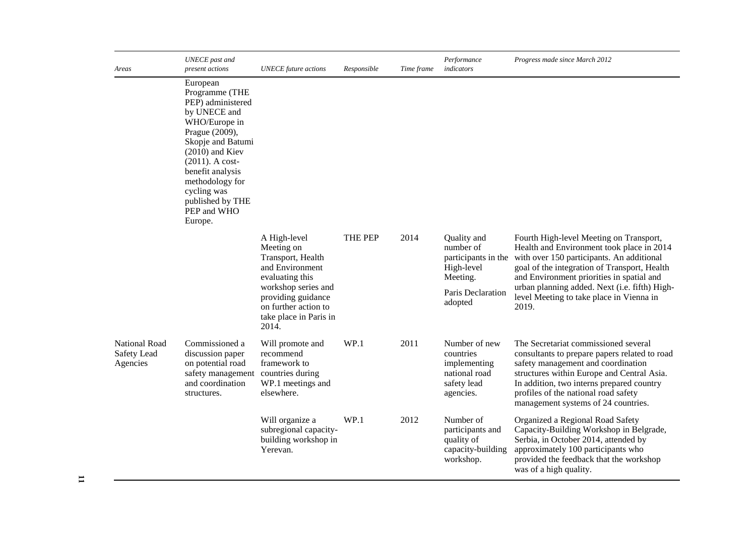| Areas                                           | <b>UNECE</b> past and<br>present actions                                                                                                                                                                                                                               | <b>UNECE</b> future actions                                                                          | Responsible | Time frame | Performance<br>indicators                                                               | Progress made since March 2012                                                                                                                                                                                                                                                                        |
|-------------------------------------------------|------------------------------------------------------------------------------------------------------------------------------------------------------------------------------------------------------------------------------------------------------------------------|------------------------------------------------------------------------------------------------------|-------------|------------|-----------------------------------------------------------------------------------------|-------------------------------------------------------------------------------------------------------------------------------------------------------------------------------------------------------------------------------------------------------------------------------------------------------|
|                                                 | European<br>Programme (THE<br>PEP) administered<br>by UNECE and<br>WHO/Europe in<br>Prague (2009),<br>Skopje and Batumi<br>$(2010)$ and Kiev<br>$(2011)$ . A cost-<br>benefit analysis<br>methodology for<br>cycling was<br>published by THE<br>PEP and WHO<br>Europe. |                                                                                                      |             |            |                                                                                         |                                                                                                                                                                                                                                                                                                       |
|                                                 |                                                                                                                                                                                                                                                                        | A High-level<br>Meeting on<br>Transport, Health<br>and Environment<br>evaluating this                | THE PEP     | 2014       | Quality and<br>number of<br>High-level<br>Meeting.                                      | Fourth High-level Meeting on Transport,<br>Health and Environment took place in 2014<br>participants in the with over 150 participants. An additional<br>goal of the integration of Transport, Health<br>and Environment priorities in spatial and                                                    |
|                                                 |                                                                                                                                                                                                                                                                        | workshop series and<br>providing guidance<br>on further action to<br>take place in Paris in<br>2014. |             |            | Paris Declaration<br>adopted                                                            | urban planning added. Next (i.e. fifth) High-<br>level Meeting to take place in Vienna in<br>2019.                                                                                                                                                                                                    |
| <b>National Road</b><br>Safety Lead<br>Agencies | Commissioned a<br>discussion paper<br>on potential road<br>safety management<br>and coordination<br>structures.                                                                                                                                                        | Will promote and<br>recommend<br>framework to<br>countries during<br>WP.1 meetings and<br>elsewhere. | WP.1        | 2011       | Number of new<br>countries<br>implementing<br>national road<br>safety lead<br>agencies. | The Secretariat commissioned several<br>consultants to prepare papers related to road<br>safety management and coordination<br>structures within Europe and Central Asia.<br>In addition, two interns prepared country<br>profiles of the national road safety<br>management systems of 24 countries. |
|                                                 |                                                                                                                                                                                                                                                                        | Will organize a<br>subregional capacity-<br>building workshop in<br>Yerevan.                         | WP.1        | 2012       | Number of<br>participants and<br>quality of<br>capacity-building<br>workshop.           | Organized a Regional Road Safety<br>Capacity-Building Workshop in Belgrade,<br>Serbia, in October 2014, attended by<br>approximately 100 participants who<br>provided the feedback that the workshop<br>was of a high quality.                                                                        |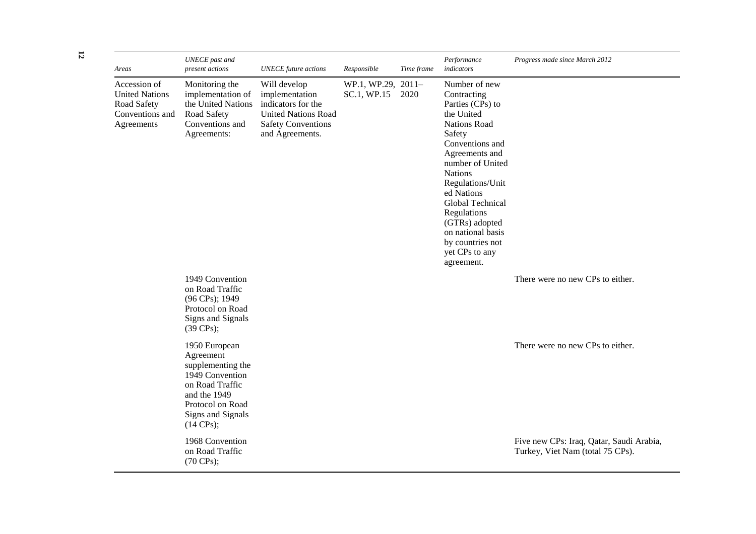| Areas                                                                                 | <b>UNECE</b> past and<br>present actions                                                                                                                               | <b>UNECE</b> future actions                                                                                                        | Responsible                       | Time frame | Performance<br>indicators                                                                                                                                                                                                                                                                                                                  | Progress made since March 2012                                               |
|---------------------------------------------------------------------------------------|------------------------------------------------------------------------------------------------------------------------------------------------------------------------|------------------------------------------------------------------------------------------------------------------------------------|-----------------------------------|------------|--------------------------------------------------------------------------------------------------------------------------------------------------------------------------------------------------------------------------------------------------------------------------------------------------------------------------------------------|------------------------------------------------------------------------------|
| Accession of<br><b>United Nations</b><br>Road Safety<br>Conventions and<br>Agreements | Monitoring the<br>implementation of<br>the United Nations<br>Road Safety<br>Conventions and<br>Agreements:                                                             | Will develop<br>implementation<br>indicators for the<br><b>United Nations Road</b><br><b>Safety Conventions</b><br>and Agreements. | WP.1, WP.29, 2011-<br>SC.1, WP.15 | 2020       | Number of new<br>Contracting<br>Parties (CPs) to<br>the United<br><b>Nations Road</b><br>Safety<br>Conventions and<br>Agreements and<br>number of United<br><b>Nations</b><br>Regulations/Unit<br>ed Nations<br>Global Technical<br>Regulations<br>(GTRs) adopted<br>on national basis<br>by countries not<br>yet CPs to any<br>agreement. |                                                                              |
|                                                                                       | 1949 Convention<br>on Road Traffic<br>(96 CPs); 1949<br>Protocol on Road<br>Signs and Signals<br>$(39 \text{ CPs})$ ;                                                  |                                                                                                                                    |                                   |            |                                                                                                                                                                                                                                                                                                                                            | There were no new CPs to either.                                             |
|                                                                                       | 1950 European<br>Agreement<br>supplementing the<br>1949 Convention<br>on Road Traffic<br>and the 1949<br>Protocol on Road<br>Signs and Signals<br>$(14 \text{ CPs})$ ; |                                                                                                                                    |                                   |            |                                                                                                                                                                                                                                                                                                                                            | There were no new CPs to either.                                             |
|                                                                                       | 1968 Convention<br>on Road Traffic<br>(70 CPs);                                                                                                                        |                                                                                                                                    |                                   |            |                                                                                                                                                                                                                                                                                                                                            | Five new CPs: Iraq, Qatar, Saudi Arabia,<br>Turkey, Viet Nam (total 75 CPs). |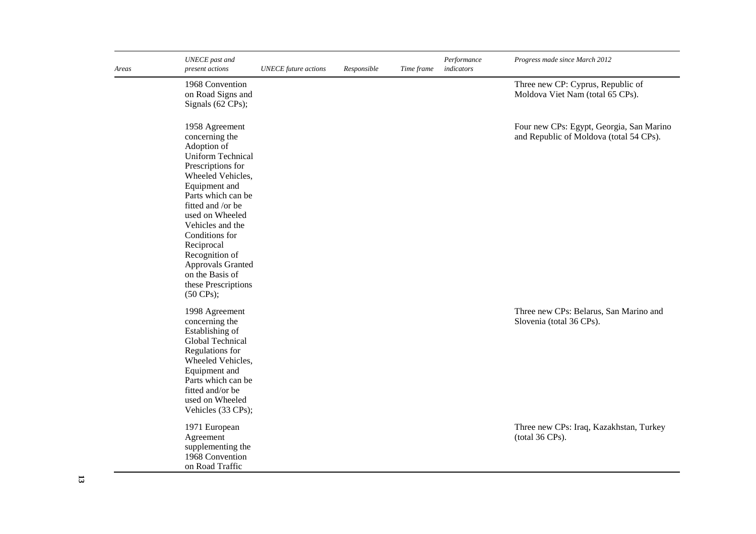| Areas | <b>UNECE</b> past and<br>present actions                                                                                                                                                                                                                                                                                                                                                                                                                                                                     | <b>UNECE</b> future actions | Responsible | Time frame | Performance<br>indicators | Progress made since March 2012                                                                                                                            |
|-------|--------------------------------------------------------------------------------------------------------------------------------------------------------------------------------------------------------------------------------------------------------------------------------------------------------------------------------------------------------------------------------------------------------------------------------------------------------------------------------------------------------------|-----------------------------|-------------|------------|---------------------------|-----------------------------------------------------------------------------------------------------------------------------------------------------------|
|       | 1968 Convention<br>on Road Signs and<br>Signals (62 CPs);                                                                                                                                                                                                                                                                                                                                                                                                                                                    |                             |             |            |                           | Three new CP: Cyprus, Republic of<br>Moldova Viet Nam (total 65 CPs).                                                                                     |
|       | 1958 Agreement<br>concerning the<br>Adoption of<br><b>Uniform Technical</b><br>Prescriptions for<br>Wheeled Vehicles,<br>Equipment and<br>Parts which can be<br>fitted and /or be<br>used on Wheeled<br>Vehicles and the<br>Conditions for<br>Reciprocal<br>Recognition of<br><b>Approvals Granted</b><br>on the Basis of<br>these Prescriptions<br>$(50 \text{ CPs})$ ;<br>1998 Agreement<br>concerning the<br>Establishing of<br>Global Technical<br>Regulations for<br>Wheeled Vehicles,<br>Equipment and |                             |             |            |                           | Four new CPs: Egypt, Georgia, San Marino<br>and Republic of Moldova (total 54 CPs).<br>Three new CPs: Belarus, San Marino and<br>Slovenia (total 36 CPs). |
|       | Parts which can be<br>fitted and/or be<br>used on Wheeled<br>Vehicles (33 CPs);                                                                                                                                                                                                                                                                                                                                                                                                                              |                             |             |            |                           |                                                                                                                                                           |
|       | 1971 European<br>Agreement<br>supplementing the<br>1968 Convention<br>on Road Traffic                                                                                                                                                                                                                                                                                                                                                                                                                        |                             |             |            |                           | Three new CPs: Iraq, Kazakhstan, Turkey<br>(total 36 CPs).                                                                                                |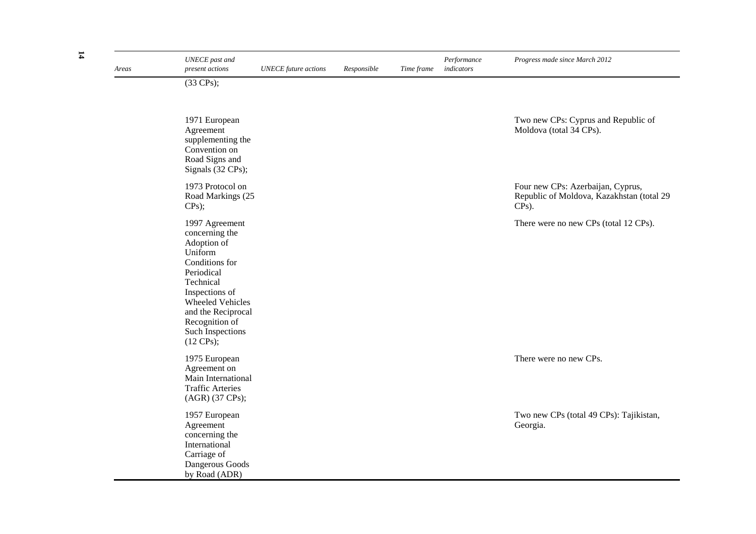| Areas | <b>UNECE</b> past and<br>present actions                                                                                                                                                                                                 | <b>UNECE</b> future actions | Responsible | Time frame | Performance<br>indicators | Progress made since March 2012                                                             |
|-------|------------------------------------------------------------------------------------------------------------------------------------------------------------------------------------------------------------------------------------------|-----------------------------|-------------|------------|---------------------------|--------------------------------------------------------------------------------------------|
|       | $(33 \text{ CPs})$ ;                                                                                                                                                                                                                     |                             |             |            |                           |                                                                                            |
|       | 1971 European<br>Agreement<br>supplementing the<br>Convention on<br>Road Signs and<br>Signals (32 CPs);                                                                                                                                  |                             |             |            |                           | Two new CPs: Cyprus and Republic of<br>Moldova (total 34 CPs).                             |
|       | 1973 Protocol on<br>Road Markings (25<br>CPs);                                                                                                                                                                                           |                             |             |            |                           | Four new CPs: Azerbaijan, Cyprus,<br>Republic of Moldova, Kazakhstan (total 29<br>$CPs$ ). |
|       | 1997 Agreement<br>concerning the<br>Adoption of<br>Uniform<br>Conditions for<br>Periodical<br>Technical<br>Inspections of<br>Wheeled Vehicles<br>and the Reciprocal<br>Recognition of<br><b>Such Inspections</b><br>$(12 \text{ CPs})$ ; |                             |             |            |                           | There were no new CPs (total 12 CPs).                                                      |
|       | 1975 European<br>Agreement on<br>Main International<br><b>Traffic Arteries</b><br>(AGR) (37 CPs);                                                                                                                                        |                             |             |            |                           | There were no new CPs.                                                                     |
|       | 1957 European<br>Agreement<br>concerning the<br>International<br>Carriage of<br>Dangerous Goods<br>by Road (ADR)                                                                                                                         |                             |             |            |                           | Two new CPs (total 49 CPs): Tajikistan,<br>Georgia.                                        |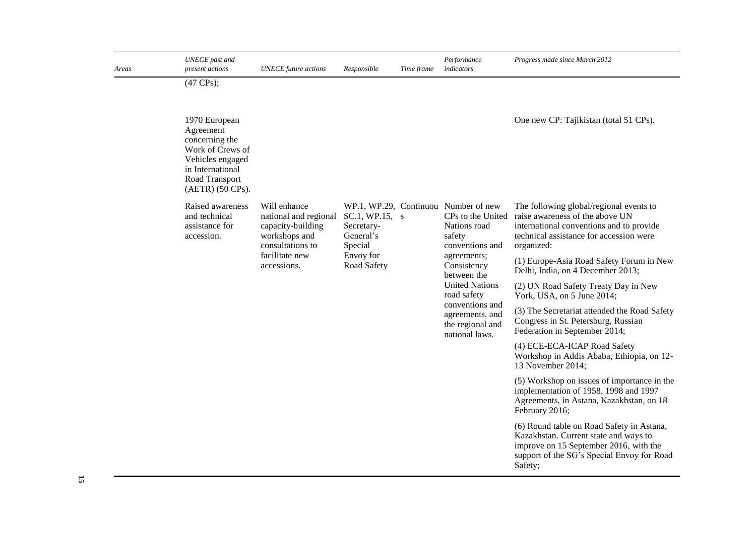| Areas | <b>UNECE</b> past and<br>present actions                                                                                                       | <b>UNECE</b> future actions                                                                     | Responsible                                          | Time frame | Performance<br>indicators                                                                              | Progress made since March 2012                                                                                                                                                        |
|-------|------------------------------------------------------------------------------------------------------------------------------------------------|-------------------------------------------------------------------------------------------------|------------------------------------------------------|------------|--------------------------------------------------------------------------------------------------------|---------------------------------------------------------------------------------------------------------------------------------------------------------------------------------------|
|       | $(47 \text{ CPs})$ ;                                                                                                                           |                                                                                                 |                                                      |            |                                                                                                        |                                                                                                                                                                                       |
|       | 1970 European<br>Agreement<br>concerning the<br>Work of Crews of<br>Vehicles engaged<br>in International<br>Road Transport<br>(AETR) (50 CPs). |                                                                                                 |                                                      |            |                                                                                                        | One new CP: Tajikistan (total 51 CPs).                                                                                                                                                |
|       | Raised awareness<br>and technical<br>assistance for<br>accession.                                                                              | Will enhance<br>national and regional<br>capacity-building<br>workshops and<br>consultations to | SC.1, WP.15, s<br>Secretary-<br>General's<br>Special |            | WP.1, WP.29, Continuou Number of new<br>CPs to the United<br>Nations road<br>safety<br>conventions and | The following global/regional events to<br>raise awareness of the above UN<br>international conventions and to provide<br>technical assistance for accession were<br>organized:       |
|       |                                                                                                                                                | facilitate new<br>accessions.                                                                   | Envoy for<br>Road Safety                             |            | agreements;<br>Consistency<br>between the                                                              | (1) Europe-Asia Road Safety Forum in New<br>Delhi, India, on 4 December 2013;                                                                                                         |
|       |                                                                                                                                                |                                                                                                 |                                                      |            | <b>United Nations</b><br>road safety                                                                   | (2) UN Road Safety Treaty Day in New<br>York, USA, on 5 June 2014;                                                                                                                    |
|       |                                                                                                                                                |                                                                                                 |                                                      |            | conventions and<br>agreements, and<br>the regional and<br>national laws.                               | (3) The Secretariat attended the Road Safety<br>Congress in St. Petersburg, Russian<br>Federation in September 2014;                                                                  |
|       |                                                                                                                                                |                                                                                                 |                                                      |            |                                                                                                        | (4) ECE-ECA-ICAP Road Safety<br>Workshop in Addis Ababa, Ethiopia, on 12-<br>13 November 2014;                                                                                        |
|       |                                                                                                                                                |                                                                                                 |                                                      |            |                                                                                                        | (5) Workshop on issues of importance in the<br>implementation of 1958, 1998 and 1997<br>Agreements, in Astana, Kazakhstan, on 18<br>February 2016;                                    |
|       |                                                                                                                                                |                                                                                                 |                                                      |            |                                                                                                        | (6) Round table on Road Safety in Astana,<br>Kazakhstan. Current state and ways to<br>improve on 15 September 2016, with the<br>support of the SG's Special Envoy for Road<br>Safety; |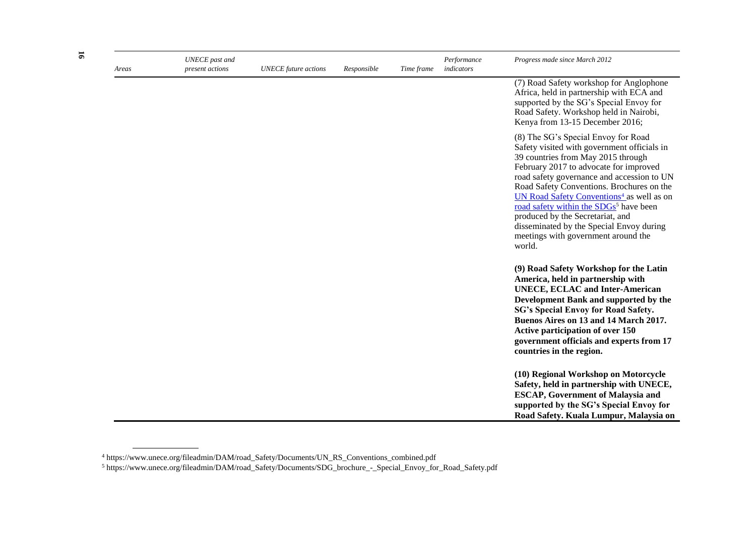| Areas | <b>UNECE</b> past and<br>present actions | <b>UNECE</b> future actions | Responsible | Time frame | Performance<br>indicators | Progress made since March 2012                                                                                                                                                                                                                                                                                                                                                                                                                                                                                |
|-------|------------------------------------------|-----------------------------|-------------|------------|---------------------------|---------------------------------------------------------------------------------------------------------------------------------------------------------------------------------------------------------------------------------------------------------------------------------------------------------------------------------------------------------------------------------------------------------------------------------------------------------------------------------------------------------------|
|       |                                          |                             |             |            |                           | (7) Road Safety workshop for Anglophone<br>Africa, held in partnership with ECA and<br>supported by the SG's Special Envoy for<br>Road Safety. Workshop held in Nairobi,<br>Kenya from 13-15 December 2016;                                                                                                                                                                                                                                                                                                   |
|       |                                          |                             |             |            |                           | (8) The SG's Special Envoy for Road<br>Safety visited with government officials in<br>39 countries from May 2015 through<br>February 2017 to advocate for improved<br>road safety governance and accession to UN<br>Road Safety Conventions. Brochures on the<br>UN Road Safety Conventions <sup>4</sup> as well as on<br>road safety within the SDGs <sup>5</sup> have been<br>produced by the Secretariat, and<br>disseminated by the Special Envoy during<br>meetings with government around the<br>world. |
|       |                                          |                             |             |            |                           | (9) Road Safety Workshop for the Latin<br>America, held in partnership with<br><b>UNECE, ECLAC and Inter-American</b><br>Development Bank and supported by the<br>SG's Special Envoy for Road Safety.<br>Buenos Aires on 13 and 14 March 2017.<br>Active participation of over 150<br>government officials and experts from 17<br>countries in the region.                                                                                                                                                    |
|       |                                          |                             |             |            |                           | (10) Regional Workshop on Motorcycle<br>Safety, held in partnership with UNECE,<br><b>ESCAP, Government of Malaysia and</b><br>supported by the SG's Special Envoy for<br>Road Safety. Kuala Lumpur, Malaysia on                                                                                                                                                                                                                                                                                              |

<sup>4</sup> https://www.unece.org/fileadmin/DAM/road\_Safety/Documents/UN\_RS\_Conventions\_combined.pdf

<sup>5</sup> https://www.unece.org/fileadmin/DAM/road\_Safety/Documents/SDG\_brochure\_-\_Special\_Envoy\_for\_Road\_Safety.pdf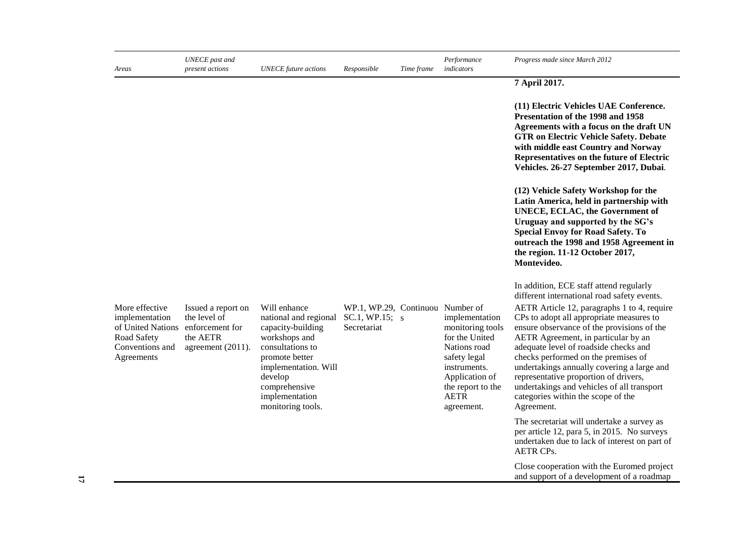| Areas                                                                                                 | UNECE past and<br>present actions                                                      | <b>UNECE</b> future actions                                                                                                                                                                                  | Responsible                                                       | Time frame | Performance<br>indicators                                                                                                                                                | Progress made since March 2012                                                                                                                                                                                                                                                                                                                                                                                                                                                                                                                  |
|-------------------------------------------------------------------------------------------------------|----------------------------------------------------------------------------------------|--------------------------------------------------------------------------------------------------------------------------------------------------------------------------------------------------------------|-------------------------------------------------------------------|------------|--------------------------------------------------------------------------------------------------------------------------------------------------------------------------|-------------------------------------------------------------------------------------------------------------------------------------------------------------------------------------------------------------------------------------------------------------------------------------------------------------------------------------------------------------------------------------------------------------------------------------------------------------------------------------------------------------------------------------------------|
|                                                                                                       |                                                                                        |                                                                                                                                                                                                              |                                                                   |            |                                                                                                                                                                          | 7 April 2017.                                                                                                                                                                                                                                                                                                                                                                                                                                                                                                                                   |
|                                                                                                       |                                                                                        |                                                                                                                                                                                                              |                                                                   |            |                                                                                                                                                                          | (11) Electric Vehicles UAE Conference.<br>Presentation of the 1998 and 1958<br>Agreements with a focus on the draft UN<br><b>GTR on Electric Vehicle Safety. Debate</b><br>with middle east Country and Norway<br>Representatives on the future of Electric<br>Vehicles. 26-27 September 2017, Dubai.                                                                                                                                                                                                                                           |
|                                                                                                       |                                                                                        |                                                                                                                                                                                                              |                                                                   |            |                                                                                                                                                                          | (12) Vehicle Safety Workshop for the<br>Latin America, held in partnership with<br>UNECE, ECLAC, the Government of<br>Uruguay and supported by the SG's<br><b>Special Envoy for Road Safety. To</b><br>outreach the 1998 and 1958 Agreement in<br>the region. 11-12 October 2017,<br>Montevideo.                                                                                                                                                                                                                                                |
| More effective<br>implementation<br>of United Nations<br>Road Safety<br>Conventions and<br>Agreements | Issued a report on<br>the level of<br>enforcement for<br>the AETR<br>agreement (2011). | Will enhance<br>national and regional<br>capacity-building<br>workshops and<br>consultations to<br>promote better<br>implementation. Will<br>develop<br>comprehensive<br>implementation<br>monitoring tools. | WP.1, WP.29, Continuou Number of<br>SC.1, WP.15; s<br>Secretariat |            | implementation<br>monitoring tools<br>for the United<br>Nations road<br>safety legal<br>instruments.<br>Application of<br>the report to the<br><b>AETR</b><br>agreement. | In addition, ECE staff attend regularly<br>different international road safety events.<br>AETR Article 12, paragraphs 1 to 4, require<br>CPs to adopt all appropriate measures to<br>ensure observance of the provisions of the<br>AETR Agreement, in particular by an<br>adequate level of roadside checks and<br>checks performed on the premises of<br>undertakings annually covering a large and<br>representative proportion of drivers,<br>undertakings and vehicles of all transport<br>categories within the scope of the<br>Agreement. |
|                                                                                                       |                                                                                        |                                                                                                                                                                                                              |                                                                   |            |                                                                                                                                                                          | The secretariat will undertake a survey as<br>per article 12, para 5, in 2015. No surveys<br>undertaken due to lack of interest on part of<br><b>AETR CPs.</b>                                                                                                                                                                                                                                                                                                                                                                                  |
|                                                                                                       |                                                                                        |                                                                                                                                                                                                              |                                                                   |            |                                                                                                                                                                          | Close cooperation with the Euromed project<br>and support of a development of a roadmap                                                                                                                                                                                                                                                                                                                                                                                                                                                         |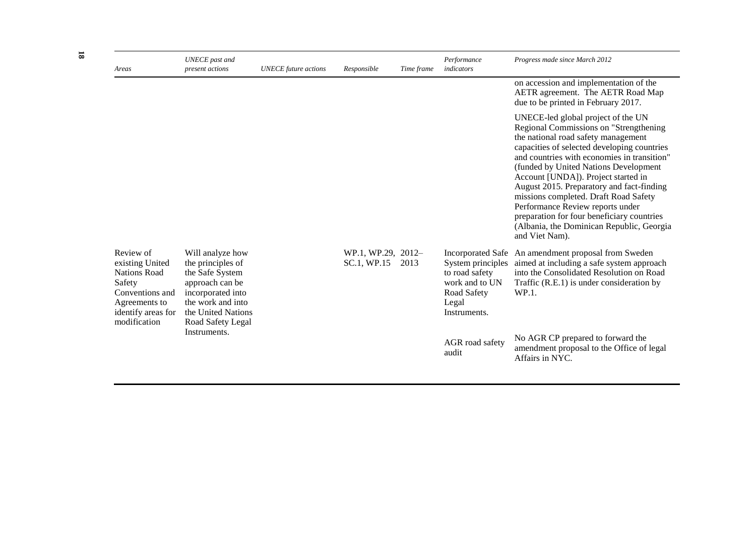| Areas                                                                                                                                   | <b>UNECE</b> past and<br>present actions                                                                                                                         | <b>UNECE</b> future actions | Responsible                       | Time frame | Performance<br>indicators                                                                     | Progress made since March 2012                                                                                                                                                                                                                                                                                                                                                                                                                                                                                                           |
|-----------------------------------------------------------------------------------------------------------------------------------------|------------------------------------------------------------------------------------------------------------------------------------------------------------------|-----------------------------|-----------------------------------|------------|-----------------------------------------------------------------------------------------------|------------------------------------------------------------------------------------------------------------------------------------------------------------------------------------------------------------------------------------------------------------------------------------------------------------------------------------------------------------------------------------------------------------------------------------------------------------------------------------------------------------------------------------------|
|                                                                                                                                         |                                                                                                                                                                  |                             |                                   |            |                                                                                               | on accession and implementation of the<br>AETR agreement. The AETR Road Map<br>due to be printed in February 2017.                                                                                                                                                                                                                                                                                                                                                                                                                       |
|                                                                                                                                         |                                                                                                                                                                  |                             |                                   |            |                                                                                               | UNECE-led global project of the UN<br>Regional Commissions on "Strengthening<br>the national road safety management<br>capacities of selected developing countries<br>and countries with economies in transition"<br>(funded by United Nations Development<br>Account [UNDA]). Project started in<br>August 2015. Preparatory and fact-finding<br>missions completed. Draft Road Safety<br>Performance Review reports under<br>preparation for four beneficiary countries<br>(Albania, the Dominican Republic, Georgia<br>and Viet Nam). |
| Review of<br>existing United<br><b>Nations Road</b><br>Safety<br>Conventions and<br>Agreements to<br>identify areas for<br>modification | Will analyze how<br>the principles of<br>the Safe System<br>approach can be<br>incorporated into<br>the work and into<br>the United Nations<br>Road Safety Legal |                             | WP.1, WP.29, 2012-<br>SC.1, WP.15 | 2013       | System principles<br>to road safety<br>work and to UN<br>Road Safety<br>Legal<br>Instruments. | Incorporated Safe An amendment proposal from Sweden<br>aimed at including a safe system approach<br>into the Consolidated Resolution on Road<br>Traffic (R.E.1) is under consideration by<br>WP.1.                                                                                                                                                                                                                                                                                                                                       |
|                                                                                                                                         | Instruments.                                                                                                                                                     |                             |                                   |            | AGR road safety<br>audit                                                                      | No AGR CP prepared to forward the<br>amendment proposal to the Office of legal<br>Affairs in NYC.                                                                                                                                                                                                                                                                                                                                                                                                                                        |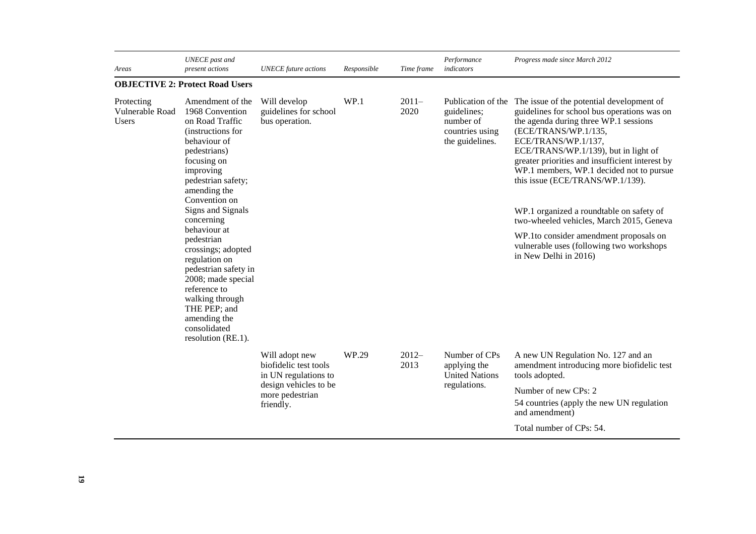| Areas                                         | <b>UNECE</b> past and<br>present actions                                                                                                                                                                                                                                                                                                                                                                                                                      | <b>UNECE</b> future actions                                                                                              | Responsible | Time frame      | Performance<br>indicators                                              | Progress made since March 2012                                                                                                                                                                                                                                                                                                                                                                                                                                                                                                                                                        |
|-----------------------------------------------|---------------------------------------------------------------------------------------------------------------------------------------------------------------------------------------------------------------------------------------------------------------------------------------------------------------------------------------------------------------------------------------------------------------------------------------------------------------|--------------------------------------------------------------------------------------------------------------------------|-------------|-----------------|------------------------------------------------------------------------|---------------------------------------------------------------------------------------------------------------------------------------------------------------------------------------------------------------------------------------------------------------------------------------------------------------------------------------------------------------------------------------------------------------------------------------------------------------------------------------------------------------------------------------------------------------------------------------|
|                                               | <b>OBJECTIVE 2: Protect Road Users</b>                                                                                                                                                                                                                                                                                                                                                                                                                        |                                                                                                                          |             |                 |                                                                        |                                                                                                                                                                                                                                                                                                                                                                                                                                                                                                                                                                                       |
| Protecting<br>Vulnerable Road<br><b>Users</b> | Amendment of the<br>1968 Convention<br>on Road Traffic<br>(instructions for<br>behaviour of<br>pedestrians)<br>focusing on<br>improving<br>pedestrian safety;<br>amending the<br>Convention on<br>Signs and Signals<br>concerning<br>behaviour at<br>pedestrian<br>crossings; adopted<br>regulation on<br>pedestrian safety in<br>2008; made special<br>reference to<br>walking through<br>THE PEP; and<br>amending the<br>consolidated<br>resolution (RE.1). | Will develop<br>guidelines for school<br>bus operation.                                                                  | WP.1        | $2011-$<br>2020 | guidelines;<br>number of<br>countries using<br>the guidelines.         | Publication of the The issue of the potential development of<br>guidelines for school bus operations was on<br>the agenda during three WP.1 sessions<br>(ECE/TRANS/WP.1/135,<br>ECE/TRANS/WP.1/137,<br>ECE/TRANS/WP.1/139), but in light of<br>greater priorities and insufficient interest by<br>WP.1 members, WP.1 decided not to pursue<br>this issue (ECE/TRANS/WP.1/139).<br>WP.1 organized a roundtable on safety of<br>two-wheeled vehicles, March 2015, Geneva<br>WP.1to consider amendment proposals on<br>vulnerable uses (following two workshops<br>in New Delhi in 2016) |
|                                               |                                                                                                                                                                                                                                                                                                                                                                                                                                                               | Will adopt new<br>biofidelic test tools<br>in UN regulations to<br>design vehicles to be<br>more pedestrian<br>friendly. | WP.29       | $2012-$<br>2013 | Number of CPs<br>applying the<br><b>United Nations</b><br>regulations. | A new UN Regulation No. 127 and an<br>amendment introducing more biofidelic test<br>tools adopted.<br>Number of new CPs: 2<br>54 countries (apply the new UN regulation<br>and amendment)<br>Total number of CPs: 54.                                                                                                                                                                                                                                                                                                                                                                 |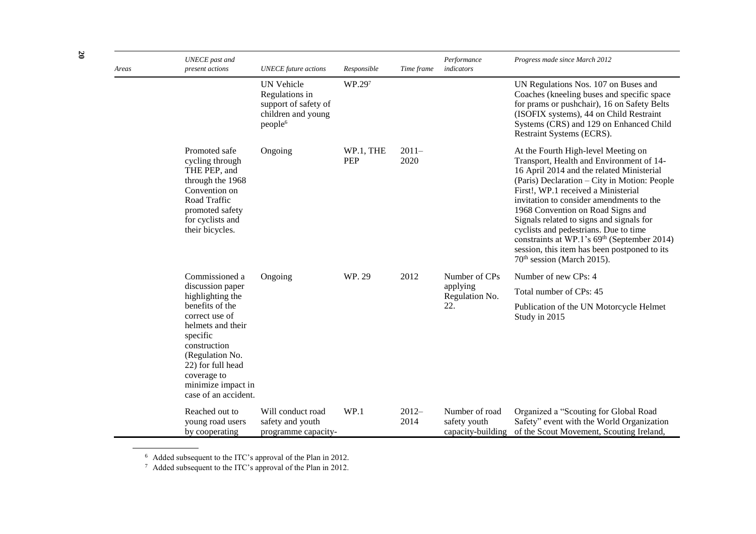| Areas | <b>UNECE</b> past and<br>present actions                                                                                                                                                | <b>UNECE</b> future actions                                                                              | Responsible             | Time frame      | Performance<br>indicators                           | Progress made since March 2012                                                                                                                                                                                                                                                                                                                                                                                                                                                                                                                 |
|-------|-----------------------------------------------------------------------------------------------------------------------------------------------------------------------------------------|----------------------------------------------------------------------------------------------------------|-------------------------|-----------------|-----------------------------------------------------|------------------------------------------------------------------------------------------------------------------------------------------------------------------------------------------------------------------------------------------------------------------------------------------------------------------------------------------------------------------------------------------------------------------------------------------------------------------------------------------------------------------------------------------------|
|       |                                                                                                                                                                                         | <b>UN Vehicle</b><br>Regulations in<br>support of safety of<br>children and young<br>people <sup>6</sup> | WP.297                  |                 |                                                     | UN Regulations Nos. 107 on Buses and<br>Coaches (kneeling buses and specific space<br>for prams or pushchair), 16 on Safety Belts<br>(ISOFIX systems), 44 on Child Restraint<br>Systems (CRS) and 129 on Enhanced Child<br>Restraint Systems (ECRS).                                                                                                                                                                                                                                                                                           |
|       | Promoted safe<br>cycling through<br>THE PEP, and<br>through the 1968<br>Convention on<br>Road Traffic<br>promoted safety<br>for cyclists and<br>their bicycles.                         | Ongoing                                                                                                  | WP.1, THE<br><b>PEP</b> | $2011-$<br>2020 |                                                     | At the Fourth High-level Meeting on<br>Transport, Health and Environment of 14-<br>16 April 2014 and the related Ministerial<br>(Paris) Declaration – City in Motion: People<br>First!, WP.1 received a Ministerial<br>invitation to consider amendments to the<br>1968 Convention on Road Signs and<br>Signals related to signs and signals for<br>cyclists and pedestrians. Due to time<br>constraints at WP.1's 69 <sup>th</sup> (September 2014)<br>session, this item has been postponed to its<br>70 <sup>th</sup> session (March 2015). |
|       | Commissioned a                                                                                                                                                                          | Ongoing                                                                                                  | WP. 29                  | 2012            | Number of CPs                                       | Number of new CPs: 4                                                                                                                                                                                                                                                                                                                                                                                                                                                                                                                           |
|       | discussion paper<br>highlighting the                                                                                                                                                    |                                                                                                          |                         |                 | applying<br>Regulation No.                          | Total number of CPs: 45                                                                                                                                                                                                                                                                                                                                                                                                                                                                                                                        |
|       | benefits of the<br>correct use of<br>helmets and their<br>specific<br>construction<br>(Regulation No.<br>22) for full head<br>coverage to<br>minimize impact in<br>case of an accident. |                                                                                                          |                         |                 | 22.                                                 | Publication of the UN Motorcycle Helmet<br>Study in 2015                                                                                                                                                                                                                                                                                                                                                                                                                                                                                       |
|       | Reached out to<br>young road users<br>by cooperating                                                                                                                                    | Will conduct road<br>safety and youth<br>programme capacity-                                             | WP.1                    | $2012-$<br>2014 | Number of road<br>safety youth<br>capacity-building | Organized a "Scouting for Global Road<br>Safety" event with the World Organization<br>of the Scout Movement, Scouting Ireland,                                                                                                                                                                                                                                                                                                                                                                                                                 |

 $6$  Added subsequent to the ITC's approval of the Plan in 2012.

 $7$  Added subsequent to the ITC's approval of the Plan in 2012.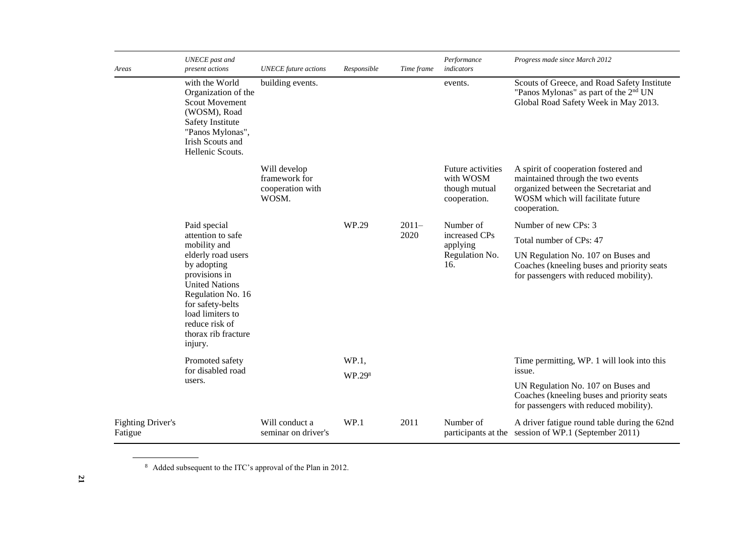| Areas                               | <b>UNECE</b> past and<br>present actions                                                                                                                                                     | <b>UNECE</b> future actions                                | Responsible | Time frame | Performance<br>indicators                                       | Progress made since March 2012                                                                                                                                          |
|-------------------------------------|----------------------------------------------------------------------------------------------------------------------------------------------------------------------------------------------|------------------------------------------------------------|-------------|------------|-----------------------------------------------------------------|-------------------------------------------------------------------------------------------------------------------------------------------------------------------------|
|                                     | with the World<br>Organization of the<br><b>Scout Movement</b><br>(WOSM), Road<br>Safety Institute<br>"Panos Mylonas",<br>Irish Scouts and<br>Hellenic Scouts.                               | building events.                                           |             |            | events.                                                         | Scouts of Greece, and Road Safety Institute<br>"Panos Mylonas" as part of the 2 <sup>nd</sup> UN<br>Global Road Safety Week in May 2013.                                |
|                                     |                                                                                                                                                                                              | Will develop<br>framework for<br>cooperation with<br>WOSM. |             |            | Future activities<br>with WOSM<br>though mutual<br>cooperation. | A spirit of cooperation fostered and<br>maintained through the two events<br>organized between the Secretariat and<br>WOSM which will facilitate future<br>cooperation. |
|                                     | Paid special                                                                                                                                                                                 |                                                            | WP.29       | $2011 -$   | Number of                                                       | Number of new CPs: 3                                                                                                                                                    |
|                                     | attention to safe<br>mobility and                                                                                                                                                            |                                                            |             | 2020       | increased CPs<br>applying                                       | Total number of CPs: 47                                                                                                                                                 |
|                                     | elderly road users<br>by adopting<br>provisions in<br><b>United Nations</b><br>Regulation No. 16<br>for safety-belts<br>load limiters to<br>reduce risk of<br>thorax rib fracture<br>injury. |                                                            |             |            | Regulation No.<br>16.                                           | UN Regulation No. 107 on Buses and<br>Coaches (kneeling buses and priority seats<br>for passengers with reduced mobility).                                              |
|                                     | Promoted safety<br>for disabled road                                                                                                                                                         |                                                            | WP.1,       |            |                                                                 | Time permitting, WP. 1 will look into this                                                                                                                              |
|                                     | users.                                                                                                                                                                                       |                                                            | WP.298      |            |                                                                 | issue.<br>UN Regulation No. 107 on Buses and                                                                                                                            |
|                                     |                                                                                                                                                                                              |                                                            |             |            |                                                                 | Coaches (kneeling buses and priority seats<br>for passengers with reduced mobility).                                                                                    |
| <b>Fighting Driver's</b><br>Fatigue |                                                                                                                                                                                              | Will conduct a<br>seminar on driver's                      | WP.1        | 2011       | Number of                                                       | A driver fatigue round table during the 62nd<br>participants at the session of WP.1 (September 2011)                                                                    |

<sup>8</sup> Added subsequent to the ITC's approval of the Plan in 2012.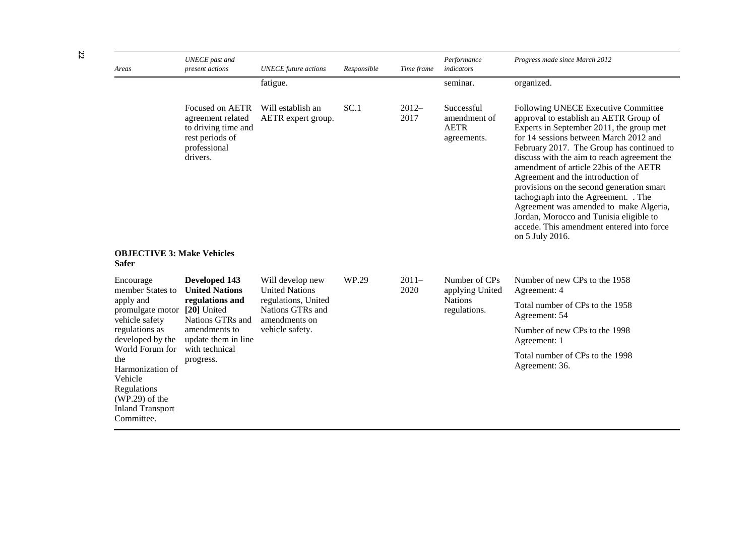| Areas                                                                                                                             | <b>UNECE</b> past and<br>present actions                                                                   | <b>UNECE</b> future actions                              | Responsible | Time frame      | Performance<br>indicators                                | Progress made since March 2012                                                                                                                                                                                                                                                                                                                                                                                                                                                                                                                                                           |
|-----------------------------------------------------------------------------------------------------------------------------------|------------------------------------------------------------------------------------------------------------|----------------------------------------------------------|-------------|-----------------|----------------------------------------------------------|------------------------------------------------------------------------------------------------------------------------------------------------------------------------------------------------------------------------------------------------------------------------------------------------------------------------------------------------------------------------------------------------------------------------------------------------------------------------------------------------------------------------------------------------------------------------------------------|
|                                                                                                                                   |                                                                                                            | fatigue.                                                 |             |                 | seminar.                                                 | organized.                                                                                                                                                                                                                                                                                                                                                                                                                                                                                                                                                                               |
|                                                                                                                                   | Focused on AETR<br>agreement related<br>to driving time and<br>rest periods of<br>professional<br>drivers. | Will establish an<br>AETR expert group.                  | SC.1        | $2012-$<br>2017 | Successful<br>amendment of<br><b>AETR</b><br>agreements. | Following UNECE Executive Committee<br>approval to establish an AETR Group of<br>Experts in September 2011, the group met<br>for 14 sessions between March 2012 and<br>February 2017. The Group has continued to<br>discuss with the aim to reach agreement the<br>amendment of article 22bis of the AETR<br>Agreement and the introduction of<br>provisions on the second generation smart<br>tachograph into the Agreement. . The<br>Agreement was amended to make Algeria,<br>Jordan, Morocco and Tunisia eligible to<br>accede. This amendment entered into force<br>on 5 July 2016. |
| <b>OBJECTIVE 3: Make Vehicles</b><br><b>Safer</b>                                                                                 |                                                                                                            |                                                          |             |                 |                                                          |                                                                                                                                                                                                                                                                                                                                                                                                                                                                                                                                                                                          |
| Encourage<br>member States to                                                                                                     | Developed 143<br><b>United Nations</b>                                                                     | Will develop new<br><b>United Nations</b>                | WP.29       | $2011-$<br>2020 | Number of CPs<br>applying United                         | Number of new CPs to the 1958<br>Agreement: 4                                                                                                                                                                                                                                                                                                                                                                                                                                                                                                                                            |
| apply and<br>promulgate motor [20] United<br>vehicle safety                                                                       | regulations and<br>Nations GTRs and                                                                        | regulations, United<br>Nations GTRs and<br>amendments on |             |                 | <b>Nations</b><br>regulations.                           | Total number of CPs to the 1958<br>Agreement: 54                                                                                                                                                                                                                                                                                                                                                                                                                                                                                                                                         |
| regulations as<br>developed by the                                                                                                | amendments to<br>update them in line                                                                       | vehicle safety.                                          |             |                 |                                                          | Number of new CPs to the 1998<br>Agreement: 1                                                                                                                                                                                                                                                                                                                                                                                                                                                                                                                                            |
| World Forum for<br>the<br>Harmonization of<br>Vehicle<br>Regulations<br>$(WP.29)$ of the<br><b>Inland Transport</b><br>Committee. | with technical<br>progress.                                                                                |                                                          |             |                 |                                                          | Total number of CPs to the 1998<br>Agreement: 36.                                                                                                                                                                                                                                                                                                                                                                                                                                                                                                                                        |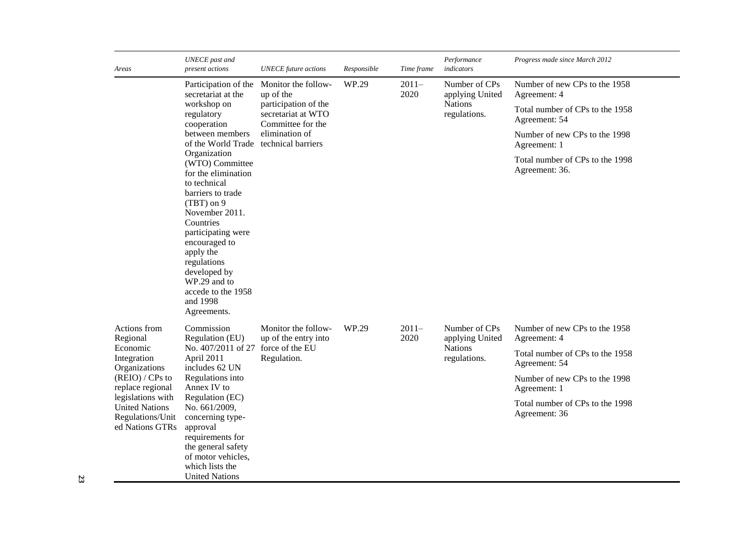| Areas                                                                             | <b>UNECE</b> past and<br>present actions                                                                                                                                                                                                                                                       | <b>UNECE</b> future actions                                     | Responsible | Time frame      | Performance<br>indicators        | Progress made since March 2012                    |
|-----------------------------------------------------------------------------------|------------------------------------------------------------------------------------------------------------------------------------------------------------------------------------------------------------------------------------------------------------------------------------------------|-----------------------------------------------------------------|-------------|-----------------|----------------------------------|---------------------------------------------------|
|                                                                                   | Participation of the<br>secretariat at the                                                                                                                                                                                                                                                     | Monitor the follow-<br>up of the                                | WP.29       | $2011-$<br>2020 | Number of CPs<br>applying United | Number of new CPs to the 1958<br>Agreement: 4     |
|                                                                                   | workshop on<br>regulatory<br>cooperation                                                                                                                                                                                                                                                       | participation of the<br>secretariat at WTO<br>Committee for the |             |                 | <b>Nations</b><br>regulations.   | Total number of CPs to the 1958<br>Agreement: 54  |
|                                                                                   | between members<br>of the World Trade                                                                                                                                                                                                                                                          | elimination of<br>technical barriers                            |             |                 |                                  | Number of new CPs to the 1998<br>Agreement: 1     |
|                                                                                   | Organization<br>(WTO) Committee<br>for the elimination<br>to technical<br>barriers to trade<br>$(TBT)$ on 9<br>November 2011.<br>Countries<br>participating were<br>encouraged to<br>apply the<br>regulations<br>developed by<br>WP.29 and to<br>accede to the 1958<br>and 1998<br>Agreements. |                                                                 |             |                 |                                  | Total number of CPs to the 1998<br>Agreement: 36. |
| Actions from<br>Regional                                                          | Commission<br>Regulation (EU)                                                                                                                                                                                                                                                                  | Monitor the follow-<br>up of the entry into                     | WP.29       | $2011-$<br>2020 | Number of CPs<br>applying United | Number of new CPs to the 1958<br>Agreement: 4     |
| Economic<br>Integration<br>Organizations                                          | No. 407/2011 of 27<br>April 2011<br>includes 62 UN                                                                                                                                                                                                                                             | force of the EU<br>Regulation.                                  |             |                 | <b>Nations</b><br>regulations.   | Total number of CPs to the 1958<br>Agreement: 54  |
| $(REIO) / CPs$ to<br>replace regional                                             | Regulations into<br>Annex IV to                                                                                                                                                                                                                                                                |                                                                 |             |                 |                                  | Number of new CPs to the 1998<br>Agreement: 1     |
| legislations with<br><b>United Nations</b><br>Regulations/Unit<br>ed Nations GTRs | Regulation (EC)<br>No. 661/2009,<br>concerning type-<br>approval<br>requirements for<br>the general safety<br>of motor vehicles,<br>which lists the<br><b>United Nations</b>                                                                                                                   |                                                                 |             |                 |                                  | Total number of CPs to the 1998<br>Agreement: 36  |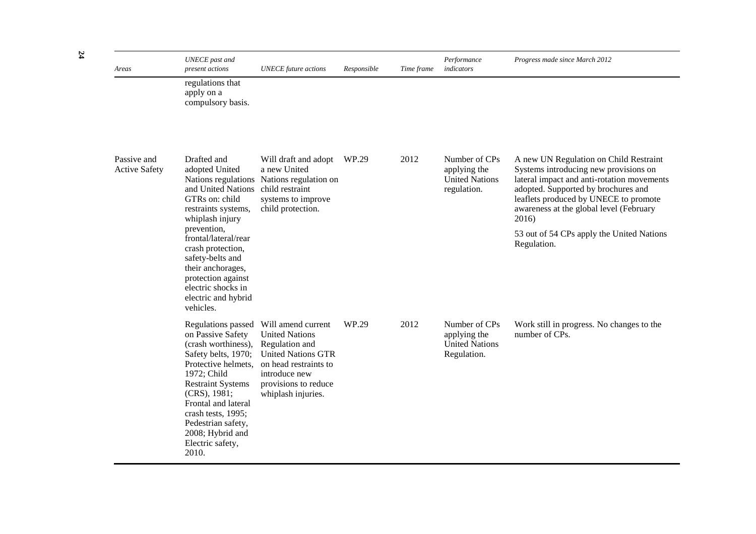| Areas                               | <b>UNECE</b> past and<br>present actions                                                                                                                                                                                                                                                    | <b>UNECE</b> future actions                                                                                                                                                        | Responsible | Time frame | Performance<br>indicators                                             | Progress made since March 2012                                                                                                                                                                                                                                    |
|-------------------------------------|---------------------------------------------------------------------------------------------------------------------------------------------------------------------------------------------------------------------------------------------------------------------------------------------|------------------------------------------------------------------------------------------------------------------------------------------------------------------------------------|-------------|------------|-----------------------------------------------------------------------|-------------------------------------------------------------------------------------------------------------------------------------------------------------------------------------------------------------------------------------------------------------------|
|                                     | regulations that<br>apply on a<br>compulsory basis.                                                                                                                                                                                                                                         |                                                                                                                                                                                    |             |            |                                                                       |                                                                                                                                                                                                                                                                   |
| Passive and<br><b>Active Safety</b> | Drafted and<br>adopted United<br>and United Nations child restraint<br>GTRs on: child<br>restraints systems,<br>whiplash injury                                                                                                                                                             | Will draft and adopt<br>a new United<br>Nations regulations Nations regulation on<br>systems to improve<br>child protection.                                                       | WP.29       | 2012       | Number of CPs<br>applying the<br><b>United Nations</b><br>regulation. | A new UN Regulation on Child Restraint<br>Systems introducing new provisions on<br>lateral impact and anti-rotation movements<br>adopted. Supported by brochures and<br>leaflets produced by UNECE to promote<br>awareness at the global level (February<br>2016) |
|                                     | prevention,<br>frontal/lateral/rear<br>crash protection,<br>safety-belts and<br>their anchorages,<br>protection against<br>electric shocks in<br>electric and hybrid<br>vehicles.                                                                                                           |                                                                                                                                                                                    |             |            | 53 out of 54 CPs apply the United Nations<br>Regulation.              |                                                                                                                                                                                                                                                                   |
|                                     | Regulations passed<br>on Passive Safety<br>(crash worthiness),<br>Safety belts, 1970;<br>Protective helmets,<br>1972; Child<br><b>Restraint Systems</b><br>(CRS), 1981;<br>Frontal and lateral<br>crash tests, 1995;<br>Pedestrian safety,<br>2008; Hybrid and<br>Electric safety,<br>2010. | Will amend current<br><b>United Nations</b><br>Regulation and<br><b>United Nations GTR</b><br>on head restraints to<br>introduce new<br>provisions to reduce<br>whiplash injuries. | WP.29       | 2012       | Number of CPs<br>applying the<br><b>United Nations</b><br>Regulation. | Work still in progress. No changes to the<br>number of CPs.                                                                                                                                                                                                       |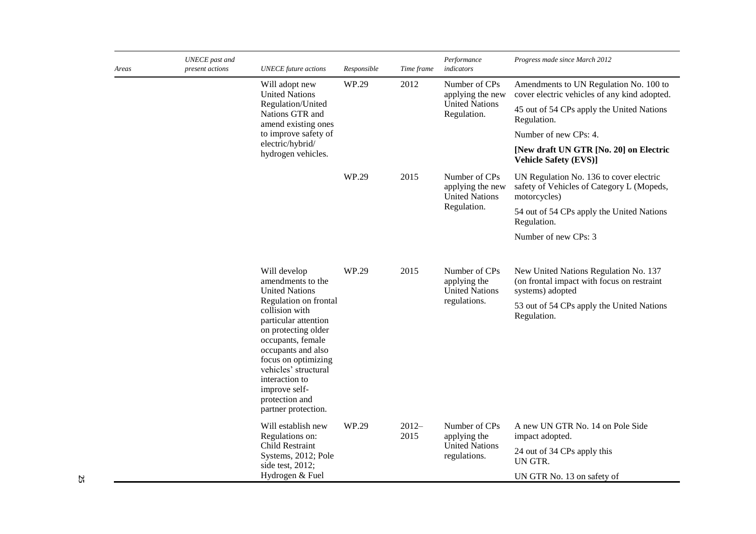| Areas | UNECE past and<br>present actions | <b>UNECE</b> future actions                                                                                                                                                                                                                                  | Responsible | Time frame      | Performance<br>indicators                                                 | Progress made since March 2012                                                                          |
|-------|-----------------------------------|--------------------------------------------------------------------------------------------------------------------------------------------------------------------------------------------------------------------------------------------------------------|-------------|-----------------|---------------------------------------------------------------------------|---------------------------------------------------------------------------------------------------------|
|       |                                   | Will adopt new<br><b>United Nations</b>                                                                                                                                                                                                                      | WP.29       | 2012            | Number of CPs<br>applying the new                                         | Amendments to UN Regulation No. 100 to<br>cover electric vehicles of any kind adopted.                  |
|       |                                   | Regulation/United<br>Nations GTR and<br>amend existing ones                                                                                                                                                                                                  |             |                 | <b>United Nations</b><br>Regulation.                                      | 45 out of 54 CPs apply the United Nations<br>Regulation.                                                |
|       |                                   | to improve safety of                                                                                                                                                                                                                                         |             |                 |                                                                           | Number of new CPs: 4.                                                                                   |
|       |                                   | electric/hybrid/<br>hydrogen vehicles.                                                                                                                                                                                                                       |             |                 |                                                                           | [New draft UN GTR [No. 20] on Electric<br><b>Vehicle Safety (EVS)]</b>                                  |
|       |                                   |                                                                                                                                                                                                                                                              | WP.29       | 2015            | Number of CPs<br>applying the new<br><b>United Nations</b><br>Regulation. | UN Regulation No. 136 to cover electric<br>safety of Vehicles of Category L (Mopeds,<br>motorcycles)    |
|       |                                   |                                                                                                                                                                                                                                                              |             |                 |                                                                           | 54 out of 54 CPs apply the United Nations<br>Regulation.                                                |
|       |                                   |                                                                                                                                                                                                                                                              |             |                 |                                                                           | Number of new CPs: 3                                                                                    |
|       |                                   | Will develop<br>amendments to the<br><b>United Nations</b>                                                                                                                                                                                                   | WP.29       | 2015            | Number of CPs<br>applying the<br><b>United Nations</b><br>regulations.    | New United Nations Regulation No. 137<br>(on frontal impact with focus on restraint<br>systems) adopted |
|       |                                   | Regulation on frontal<br>collision with<br>particular attention<br>on protecting older<br>occupants, female<br>occupants and also<br>focus on optimizing<br>vehicles' structural<br>interaction to<br>improve self-<br>protection and<br>partner protection. |             |                 |                                                                           | 53 out of 54 CPs apply the United Nations<br>Regulation.                                                |
|       |                                   | Will establish new<br>Regulations on:                                                                                                                                                                                                                        | WP.29       | $2012-$<br>2015 | Number of CPs<br>applying the                                             | A new UN GTR No. 14 on Pole Side<br>impact adopted.                                                     |
|       |                                   | Child Restraint<br>Systems, 2012; Pole<br>side test, 2012;                                                                                                                                                                                                   |             |                 | <b>United Nations</b><br>regulations.                                     | 24 out of 34 CPs apply this<br>UN GTR.                                                                  |
|       |                                   | Hydrogen & Fuel                                                                                                                                                                                                                                              |             |                 |                                                                           | UN GTR No. 13 on safety of                                                                              |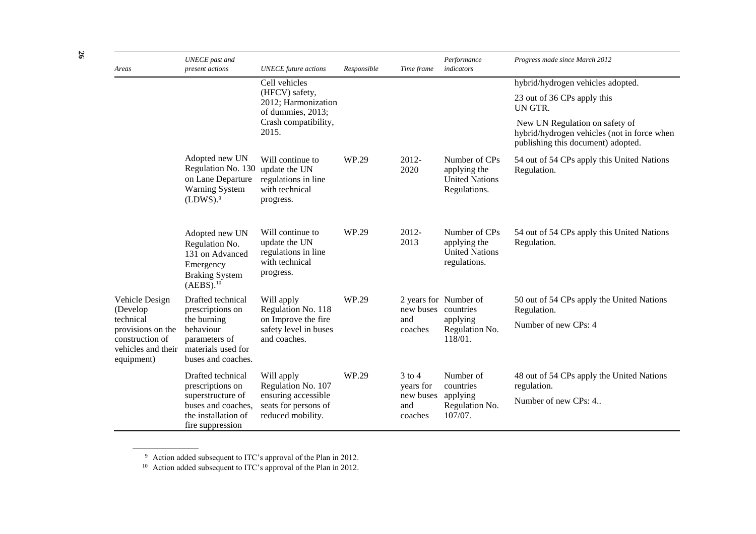| Areas                                                                                 | <b>UNECE</b> past and<br>present actions                                                                                                                                           | <b>UNECE</b> future actions                                                                          | Responsible | Time frame                                             | Performance<br>indicators                                                   | Progress made since March 2012                                                                                      |
|---------------------------------------------------------------------------------------|------------------------------------------------------------------------------------------------------------------------------------------------------------------------------------|------------------------------------------------------------------------------------------------------|-------------|--------------------------------------------------------|-----------------------------------------------------------------------------|---------------------------------------------------------------------------------------------------------------------|
|                                                                                       |                                                                                                                                                                                    | Cell vehicles                                                                                        |             |                                                        |                                                                             | hybrid/hydrogen vehicles adopted.                                                                                   |
|                                                                                       |                                                                                                                                                                                    | (HFCV) safety,<br>2012; Harmonization<br>of dummies, 2013;                                           |             |                                                        |                                                                             | 23 out of 36 CPs apply this<br>UN GTR.                                                                              |
|                                                                                       |                                                                                                                                                                                    | Crash compatibility,<br>2015.                                                                        |             |                                                        |                                                                             | New UN Regulation on safety of<br>hybrid/hydrogen vehicles (not in force when<br>publishing this document) adopted. |
|                                                                                       | Adopted new UN<br>Regulation No. 130<br>on Lane Departure<br><b>Warning System</b><br>(LDWS). <sup>9</sup>                                                                         | Will continue to<br>update the UN<br>regulations in line<br>with technical<br>progress.              | WP.29       | 2012-<br>2020                                          | Number of CPs<br>applying the<br><b>United Nations</b><br>Regulations.      | 54 out of 54 CPs apply this United Nations<br>Regulation.                                                           |
|                                                                                       | Adopted new UN<br>Regulation No.<br>131 on Advanced<br>Emergency<br><b>Braking System</b><br>(AEBS). <sup>10</sup>                                                                 | Will continue to<br>update the UN<br>regulations in line<br>with technical<br>progress.              | WP.29       | 2012-<br>2013                                          | Number of CPs<br>applying the<br><b>United Nations</b><br>regulations.      | 54 out of 54 CPs apply this United Nations<br>Regulation.                                                           |
| Vehicle Design<br>(Develop                                                            | Drafted technical<br>Will apply<br>Regulation No. 118<br>prescriptions on<br>the burning<br>behaviour<br>and coaches.<br>parameters of<br>materials used for<br>buses and coaches. |                                                                                                      | WP.29       | new buses<br>and<br>coaches                            | 2 years for Number of<br>countries<br>applying<br>Regulation No.<br>118/01. | 50 out of 54 CPs apply the United Nations<br>Regulation.                                                            |
| technical<br>provisions on the<br>construction of<br>vehicles and their<br>equipment) |                                                                                                                                                                                    | on Improve the fire<br>safety level in buses                                                         |             |                                                        |                                                                             | Number of new CPs: 4                                                                                                |
|                                                                                       | Drafted technical<br>prescriptions on<br>superstructure of<br>buses and coaches,<br>the installation of<br>fire suppression                                                        | Will apply<br>Regulation No. 107<br>ensuring accessible<br>seats for persons of<br>reduced mobility. | WP.29       | $3$ to $4$<br>years for<br>new buses<br>and<br>coaches | Number of<br>countries<br>applying<br>Regulation No.<br>107/07.             | 48 out of 54 CPs apply the United Nations<br>regulation.<br>Number of new CPs: 4                                    |

 $9$  Action added subsequent to ITC's approval of the Plan in 2012.

<sup>10</sup> Action added subsequent to ITC's approval of the Plan in 2012.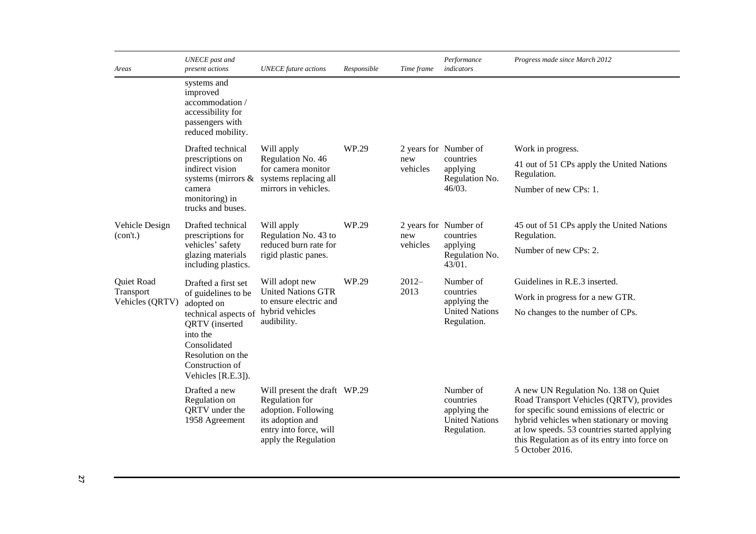| Areas                        | <b>UNECE</b> past and<br>present actions                                                                                                                                                                                                                                              | <b>UNECE</b> future actions                                                                                                                 | Responsible           | Time frame      | Performance<br>indicators                                                      | Progress made since March 2012                                                                                                                                                                                                                                                                   |
|------------------------------|---------------------------------------------------------------------------------------------------------------------------------------------------------------------------------------------------------------------------------------------------------------------------------------|---------------------------------------------------------------------------------------------------------------------------------------------|-----------------------|-----------------|--------------------------------------------------------------------------------|--------------------------------------------------------------------------------------------------------------------------------------------------------------------------------------------------------------------------------------------------------------------------------------------------|
|                              | systems and<br>improved<br>accommodation /<br>accessibility for<br>passengers with<br>reduced mobility.                                                                                                                                                                               |                                                                                                                                             |                       |                 |                                                                                |                                                                                                                                                                                                                                                                                                  |
|                              | Drafted technical                                                                                                                                                                                                                                                                     | Will apply                                                                                                                                  | WP.29                 |                 | 2 years for Number of                                                          | Work in progress.                                                                                                                                                                                                                                                                                |
|                              | prescriptions on<br>indirect vision                                                                                                                                                                                                                                                   | Regulation No. 46<br>for camera monitor<br>systems (mirrors & systems replacing all                                                         |                       | new<br>vehicles | countries<br>applying<br>Regulation No.<br>$46/03$ .                           | 41 out of 51 CPs apply the United Nations<br>Regulation.                                                                                                                                                                                                                                         |
|                              | camera<br>monitoring) in<br>trucks and buses.                                                                                                                                                                                                                                         | mirrors in vehicles.                                                                                                                        |                       |                 |                                                                                | Number of new CPs: 1.                                                                                                                                                                                                                                                                            |
| Vehicle Design<br>(con't.)   | WP.29<br>Drafted technical<br>2 years for Number of<br>Will apply<br>Regulation No. 43 to<br>prescriptions for<br>countries<br>new<br>reduced burn rate for<br>vehicles' safety<br>vehicles<br>applying<br>glazing materials<br>rigid plastic panes.<br>43/01.<br>including plastics. |                                                                                                                                             |                       |                 |                                                                                | 45 out of 51 CPs apply the United Nations<br>Regulation.                                                                                                                                                                                                                                         |
|                              |                                                                                                                                                                                                                                                                                       | Regulation No.                                                                                                                              | Number of new CPs: 2. |                 |                                                                                |                                                                                                                                                                                                                                                                                                  |
| Quiet Road                   | Drafted a first set                                                                                                                                                                                                                                                                   | Will adopt new                                                                                                                              | WP.29                 | $2012-$         | Number of                                                                      | Guidelines in R.E.3 inserted.                                                                                                                                                                                                                                                                    |
| Transport<br>Vehicles (QRTV) | of guidelines to be<br>adopted on                                                                                                                                                                                                                                                     | <b>United Nations GTR</b><br>to ensure electric and                                                                                         |                       | 2013            | countries<br>applying the                                                      | Work in progress for a new GTR.                                                                                                                                                                                                                                                                  |
|                              | technical aspects of<br><b>QRTV</b> (inserted<br>into the<br>Consolidated<br>Resolution on the<br>Construction of<br>Vehicles [R.E.3]).                                                                                                                                               | hybrid vehicles<br>audibility.                                                                                                              |                       |                 | <b>United Nations</b><br>Regulation.                                           | No changes to the number of CPs.                                                                                                                                                                                                                                                                 |
|                              | Drafted a new<br>Regulation on<br>QRTV under the<br>1958 Agreement                                                                                                                                                                                                                    | Will present the draft WP.29<br>Regulation for<br>adoption. Following<br>its adoption and<br>entry into force, will<br>apply the Regulation |                       |                 | Number of<br>countries<br>applying the<br><b>United Nations</b><br>Regulation. | A new UN Regulation No. 138 on Quiet<br>Road Transport Vehicles (QRTV), provides<br>for specific sound emissions of electric or<br>hybrid vehicles when stationary or moving<br>at low speeds. 53 countries started applying<br>this Regulation as of its entry into force on<br>5 October 2016. |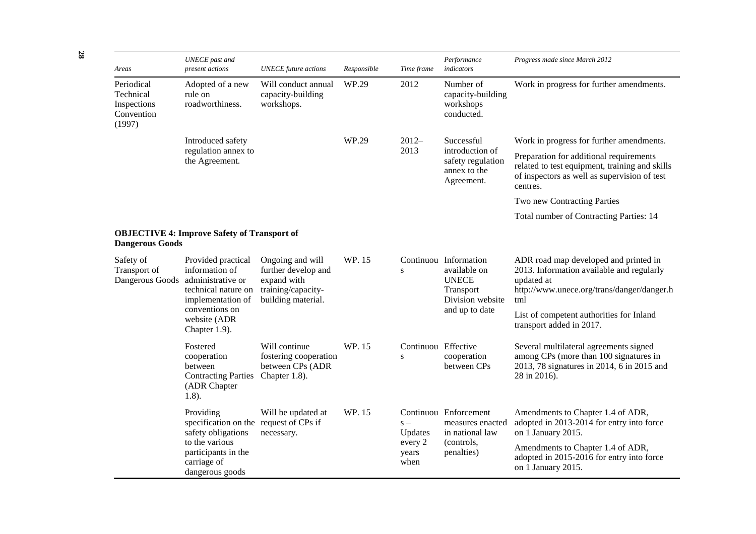| Areas                                                          | <b>UNECE</b> past and<br>present actions                                                              | <b>UNECE</b> future actions                                                                        | Responsible | Time frame                       | Performance<br>indicators                                                                | Progress made since March 2012                                                                                                                        |
|----------------------------------------------------------------|-------------------------------------------------------------------------------------------------------|----------------------------------------------------------------------------------------------------|-------------|----------------------------------|------------------------------------------------------------------------------------------|-------------------------------------------------------------------------------------------------------------------------------------------------------|
| Periodical<br>Technical<br>Inspections<br>Convention<br>(1997) | Adopted of a new<br>rule on<br>roadworthiness.                                                        | Will conduct annual<br>capacity-building<br>workshops.                                             | WP.29       | 2012                             | Number of<br>capacity-building<br>workshops<br>conducted.                                | Work in progress for further amendments.                                                                                                              |
|                                                                | Introduced safety                                                                                     |                                                                                                    | WP.29       | $2012-$                          | Successful                                                                               | Work in progress for further amendments.                                                                                                              |
|                                                                | regulation annex to<br>the Agreement.                                                                 |                                                                                                    |             | 2013                             | introduction of<br>safety regulation<br>annex to the<br>Agreement.                       | Preparation for additional requirements<br>related to test equipment, training and skills<br>of inspectors as well as supervision of test<br>centres. |
|                                                                |                                                                                                       |                                                                                                    |             |                                  |                                                                                          | Two new Contracting Parties                                                                                                                           |
|                                                                |                                                                                                       |                                                                                                    |             |                                  |                                                                                          | Total number of Contracting Parties: 14                                                                                                               |
| <b>Dangerous Goods</b>                                         | <b>OBJECTIVE 4: Improve Safety of Transport of</b>                                                    |                                                                                                    |             |                                  |                                                                                          |                                                                                                                                                       |
| Safety of<br>Transport of<br>Dangerous Goods                   | Provided practical<br>information of<br>administrative or<br>technical nature on<br>implementation of | Ongoing and will<br>further develop and<br>expand with<br>training/capacity-<br>building material. | WP. 15      | S                                | Continuou Information<br>available on<br><b>UNECE</b><br>Transport<br>Division website   | ADR road map developed and printed in<br>2013. Information available and regularly<br>updated at<br>http://www.unece.org/trans/danger/danger.h<br>tml |
|                                                                | conventions on<br>website (ADR<br>Chapter 1.9).                                                       |                                                                                                    |             |                                  | and up to date                                                                           | List of competent authorities for Inland<br>transport added in 2017.                                                                                  |
|                                                                | Fostered<br>cooperation<br>between<br><b>Contracting Parties</b><br>(ADR Chapter<br>$1.8$ ).          | Will continue<br>fostering cooperation<br>between CPs (ADR<br>Chapter 1.8).                        | WP. 15      | Continuou Effective<br>${\bf S}$ | cooperation<br>between CPs                                                               | Several multilateral agreements signed<br>among CPs (more than 100 signatures in<br>2013, 78 signatures in 2014, 6 in 2015 and<br>28 in 2016).        |
|                                                                | Providing<br>specification on the request of CPs if<br>safety obligations                             | Will be updated at<br>necessary.                                                                   | WP. 15      | $S -$<br>Updates                 | Continuou Enforcement<br>measures enacted<br>in national law<br>(controls,<br>penalties) | Amendments to Chapter 1.4 of ADR,<br>adopted in 2013-2014 for entry into force<br>on 1 January 2015.                                                  |
|                                                                | to the various<br>participants in the<br>carriage of<br>dangerous goods                               |                                                                                                    |             | every 2<br>years<br>when         |                                                                                          | Amendments to Chapter 1.4 of ADR,<br>adopted in 2015-2016 for entry into force<br>on 1 January 2015.                                                  |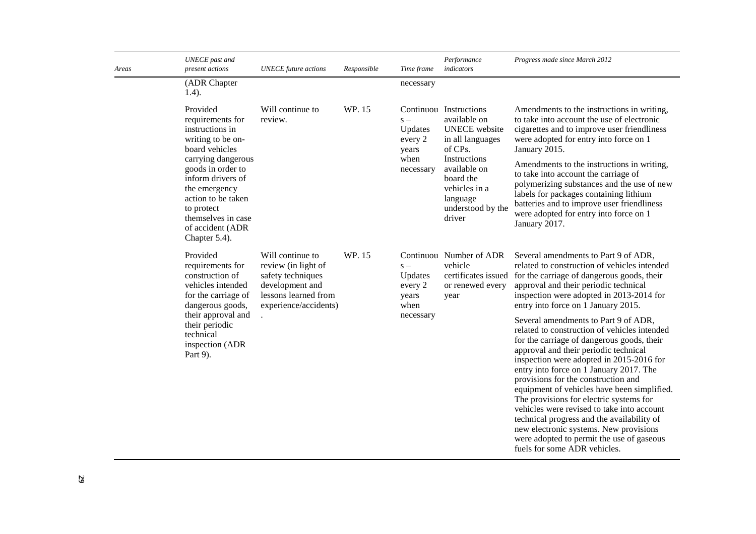| Areas | <b>UNECE</b> past and<br>present actions                                                                                                                                                                                                                               | <b>UNECE</b> future actions                                                                                                      | Responsible | Time frame                                                | Performance<br>indicators                                                                                                                                                                              | Progress made since March 2012                                                                                                                                                                                                                                                                                                                                                                                                                                                                                                                                                                                         |
|-------|------------------------------------------------------------------------------------------------------------------------------------------------------------------------------------------------------------------------------------------------------------------------|----------------------------------------------------------------------------------------------------------------------------------|-------------|-----------------------------------------------------------|--------------------------------------------------------------------------------------------------------------------------------------------------------------------------------------------------------|------------------------------------------------------------------------------------------------------------------------------------------------------------------------------------------------------------------------------------------------------------------------------------------------------------------------------------------------------------------------------------------------------------------------------------------------------------------------------------------------------------------------------------------------------------------------------------------------------------------------|
|       | (ADR Chapter<br>$1.4$ ).                                                                                                                                                                                                                                               |                                                                                                                                  |             | necessary                                                 |                                                                                                                                                                                                        |                                                                                                                                                                                                                                                                                                                                                                                                                                                                                                                                                                                                                        |
|       | Provided<br>requirements for<br>instructions in<br>writing to be on-<br>board vehicles<br>carrying dangerous<br>goods in order to<br>inform drivers of<br>the emergency<br>action to be taken<br>to protect<br>themselves in case<br>of accident (ADR<br>Chapter 5.4). | Will continue to<br>review.                                                                                                      | WP. 15      | $S -$<br>Updates<br>every 2<br>years<br>when<br>necessary | Continuou Instructions<br>available on<br><b>UNECE</b> website<br>in all languages<br>of CPs.<br>Instructions<br>available on<br>board the<br>vehicles in a<br>language<br>understood by the<br>driver | Amendments to the instructions in writing,<br>to take into account the use of electronic<br>cigarettes and to improve user friendliness<br>were adopted for entry into force on 1<br>January 2015.<br>Amendments to the instructions in writing,<br>to take into account the carriage of<br>polymerizing substances and the use of new<br>labels for packages containing lithium<br>batteries and to improve user friendliness<br>were adopted for entry into force on 1<br>January 2017.                                                                                                                              |
|       | Provided<br>requirements for<br>construction of<br>vehicles intended<br>for the carriage of<br>dangerous goods,                                                                                                                                                        | Will continue to<br>review (in light of<br>safety techniques<br>development and<br>lessons learned from<br>experience/accidents) | WP. 15      | $s -$<br>Updates<br>every 2<br>years<br>when              | Continuou Number of ADR<br>vehicle<br>certificates issued<br>or renewed every<br>year                                                                                                                  | Several amendments to Part 9 of ADR,<br>related to construction of vehicles intended<br>for the carriage of dangerous goods, their<br>approval and their periodic technical<br>inspection were adopted in 2013-2014 for<br>entry into force on 1 January 2015.                                                                                                                                                                                                                                                                                                                                                         |
|       | their approval and<br>their periodic<br>technical<br>inspection (ADR<br>Part 9).                                                                                                                                                                                       |                                                                                                                                  |             | necessary                                                 |                                                                                                                                                                                                        | Several amendments to Part 9 of ADR,<br>related to construction of vehicles intended<br>for the carriage of dangerous goods, their<br>approval and their periodic technical<br>inspection were adopted in 2015-2016 for<br>entry into force on 1 January 2017. The<br>provisions for the construction and<br>equipment of vehicles have been simplified.<br>The provisions for electric systems for<br>vehicles were revised to take into account<br>technical progress and the availability of<br>new electronic systems. New provisions<br>were adopted to permit the use of gaseous<br>fuels for some ADR vehicles. |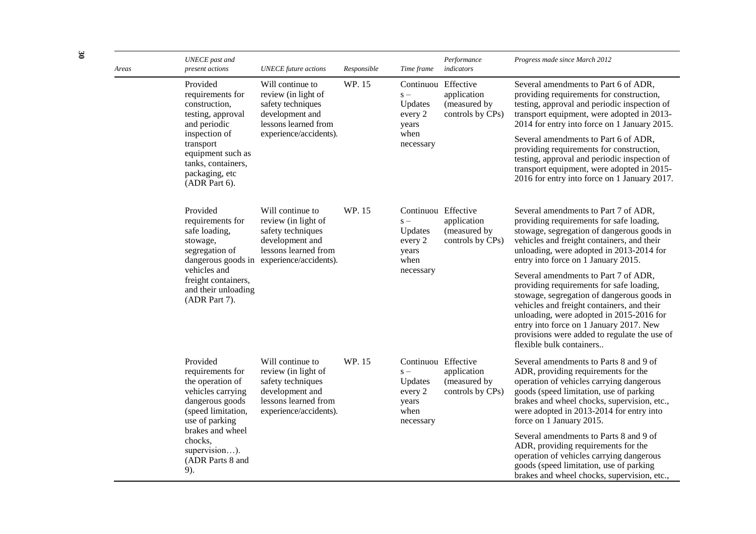| Areas | <b>UNECE</b> past and<br>present actions                                                                                                                                                       | <b>UNECE</b> future actions                                                                                                                          | Responsible | Time frame                                                                       | Performance<br>indicators                       | Progress made since March 2012                                                                                                                                                                                                                                                                                                                                                                                                                                   |
|-------|------------------------------------------------------------------------------------------------------------------------------------------------------------------------------------------------|------------------------------------------------------------------------------------------------------------------------------------------------------|-------------|----------------------------------------------------------------------------------|-------------------------------------------------|------------------------------------------------------------------------------------------------------------------------------------------------------------------------------------------------------------------------------------------------------------------------------------------------------------------------------------------------------------------------------------------------------------------------------------------------------------------|
|       | Provided<br>requirements for<br>construction,<br>testing, approval<br>and periodic<br>inspection of<br>transport<br>equipment such as<br>tanks, containers,<br>packaging, etc<br>(ADR Part 6). | Will continue to<br>review (in light of<br>safety techniques<br>development and<br>lessons learned from<br>experience/accidents).                    | WP. 15      | Continuou Effective<br>$S -$<br>Updates<br>every 2<br>years<br>when<br>necessary | application<br>(measured by<br>controls by CPs) | Several amendments to Part 6 of ADR,<br>providing requirements for construction,<br>testing, approval and periodic inspection of<br>transport equipment, were adopted in 2013-<br>2014 for entry into force on 1 January 2015.<br>Several amendments to Part 6 of ADR,<br>providing requirements for construction,<br>testing, approval and periodic inspection of<br>transport equipment, were adopted in 2015-<br>2016 for entry into force on 1 January 2017. |
|       | Provided<br>requirements for<br>safe loading,<br>stowage,<br>segregation of                                                                                                                    | Will continue to<br>review (in light of<br>safety techniques<br>development and<br>lessons learned from<br>dangerous goods in experience/accidents). | WP. 15      | Continuou Effective<br>$S -$<br>Updates<br>every 2<br>years<br>when              | application<br>(measured by<br>controls by CPs) | Several amendments to Part 7 of ADR,<br>providing requirements for safe loading,<br>stowage, segregation of dangerous goods in<br>vehicles and freight containers, and their<br>unloading, were adopted in 2013-2014 for<br>entry into force on 1 January 2015.                                                                                                                                                                                                  |
|       | vehicles and<br>freight containers,<br>and their unloading<br>(ADR Part 7).                                                                                                                    |                                                                                                                                                      |             | necessary                                                                        |                                                 | Several amendments to Part 7 of ADR,<br>providing requirements for safe loading,<br>stowage, segregation of dangerous goods in<br>vehicles and freight containers, and their<br>unloading, were adopted in 2015-2016 for<br>entry into force on 1 January 2017. New<br>provisions were added to regulate the use of<br>flexible bulk containers                                                                                                                  |
|       | Provided<br>requirements for<br>the operation of<br>vehicles carrying<br>dangerous goods<br>(speed limitation,<br>use of parking                                                               | Will continue to<br>review (in light of<br>safety techniques<br>development and<br>lessons learned from<br>experience/accidents).                    | WP. 15      | Continuou Effective<br>$S -$<br>Updates<br>every 2<br>years<br>when<br>necessary | application<br>(measured by<br>controls by CPs) | Several amendments to Parts 8 and 9 of<br>ADR, providing requirements for the<br>operation of vehicles carrying dangerous<br>goods (speed limitation, use of parking<br>brakes and wheel chocks, supervision, etc.,<br>were adopted in 2013-2014 for entry into<br>force on 1 January 2015.                                                                                                                                                                      |
|       | brakes and wheel<br>chocks,<br>supervision).<br>(ADR Parts 8 and<br>9).                                                                                                                        |                                                                                                                                                      |             |                                                                                  |                                                 | Several amendments to Parts 8 and 9 of<br>ADR, providing requirements for the<br>operation of vehicles carrying dangerous<br>goods (speed limitation, use of parking<br>brakes and wheel chocks, supervision, etc.,                                                                                                                                                                                                                                              |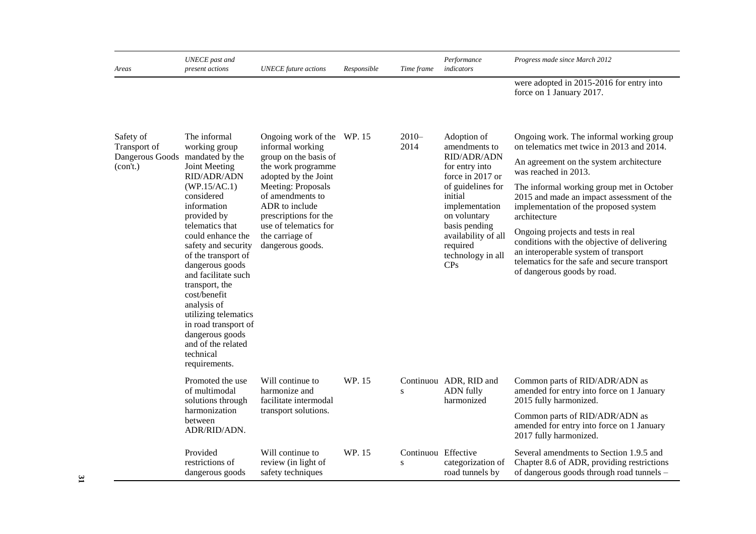| Areas                                                                    | UNECE past and<br>present actions                                                                                                                                                                                                                                                                                                                                                                                                 | <b>UNECE</b> future actions                                                                                                                                                                                                                                                | Responsible | Time frame                       | Performance<br>indicators                                                                                                                                                                                                                       | Progress made since March 2012                                                                                                                                                                                                                                                                                                                                                                                                                                                                                          |
|--------------------------------------------------------------------------|-----------------------------------------------------------------------------------------------------------------------------------------------------------------------------------------------------------------------------------------------------------------------------------------------------------------------------------------------------------------------------------------------------------------------------------|----------------------------------------------------------------------------------------------------------------------------------------------------------------------------------------------------------------------------------------------------------------------------|-------------|----------------------------------|-------------------------------------------------------------------------------------------------------------------------------------------------------------------------------------------------------------------------------------------------|-------------------------------------------------------------------------------------------------------------------------------------------------------------------------------------------------------------------------------------------------------------------------------------------------------------------------------------------------------------------------------------------------------------------------------------------------------------------------------------------------------------------------|
|                                                                          |                                                                                                                                                                                                                                                                                                                                                                                                                                   |                                                                                                                                                                                                                                                                            |             |                                  |                                                                                                                                                                                                                                                 | were adopted in 2015-2016 for entry into<br>force on 1 January 2017.                                                                                                                                                                                                                                                                                                                                                                                                                                                    |
| Safety of<br>Transport of<br>Dangerous Goods mandated by the<br>(con't.) | The informal<br>working group<br>Joint Meeting<br>RID/ADR/ADN<br>(WP.15/AC.1)<br>considered<br>information<br>provided by<br>telematics that<br>could enhance the<br>safety and security<br>of the transport of<br>dangerous goods<br>and facilitate such<br>transport, the<br>cost/benefit<br>analysis of<br>utilizing telematics<br>in road transport of<br>dangerous goods<br>and of the related<br>technical<br>requirements. | Ongoing work of the WP. 15<br>informal working<br>group on the basis of<br>the work programme<br>adopted by the Joint<br>Meeting: Proposals<br>of amendments to<br>ADR to include<br>prescriptions for the<br>use of telematics for<br>the carriage of<br>dangerous goods. |             | $2010 -$<br>2014                 | Adoption of<br>amendments to<br>RID/ADR/ADN<br>for entry into<br>force in 2017 or<br>of guidelines for<br>initial<br>implementation<br>on voluntary<br>basis pending<br>availability of all<br>required<br>technology in all<br>CP <sub>S</sub> | Ongoing work. The informal working group<br>on telematics met twice in 2013 and 2014.<br>An agreement on the system architecture<br>was reached in 2013.<br>The informal working group met in October<br>2015 and made an impact assessment of the<br>implementation of the proposed system<br>architecture<br>Ongoing projects and tests in real<br>conditions with the objective of delivering<br>an interoperable system of transport<br>telematics for the safe and secure transport<br>of dangerous goods by road. |
|                                                                          | Promoted the use<br>of multimodal<br>solutions through                                                                                                                                                                                                                                                                                                                                                                            | Will continue to<br>harmonize and<br>facilitate intermodal                                                                                                                                                                                                                 | WP. 15      | ${\bf S}$                        | Continuou ADR, RID and<br><b>ADN</b> fully<br>harmonized                                                                                                                                                                                        | Common parts of RID/ADR/ADN as<br>amended for entry into force on 1 January<br>2015 fully harmonized.                                                                                                                                                                                                                                                                                                                                                                                                                   |
|                                                                          | harmonization<br>between<br>ADR/RID/ADN.                                                                                                                                                                                                                                                                                                                                                                                          | transport solutions.                                                                                                                                                                                                                                                       |             |                                  |                                                                                                                                                                                                                                                 | Common parts of RID/ADR/ADN as<br>amended for entry into force on 1 January<br>2017 fully harmonized.                                                                                                                                                                                                                                                                                                                                                                                                                   |
|                                                                          | Provided<br>restrictions of<br>dangerous goods                                                                                                                                                                                                                                                                                                                                                                                    | Will continue to<br>review (in light of<br>safety techniques                                                                                                                                                                                                               | WP. 15      | Continuou Effective<br>${\bf S}$ | categorization of<br>road tunnels by                                                                                                                                                                                                            | Several amendments to Section 1.9.5 and<br>Chapter 8.6 of ADR, providing restrictions<br>of dangerous goods through road tunnels -                                                                                                                                                                                                                                                                                                                                                                                      |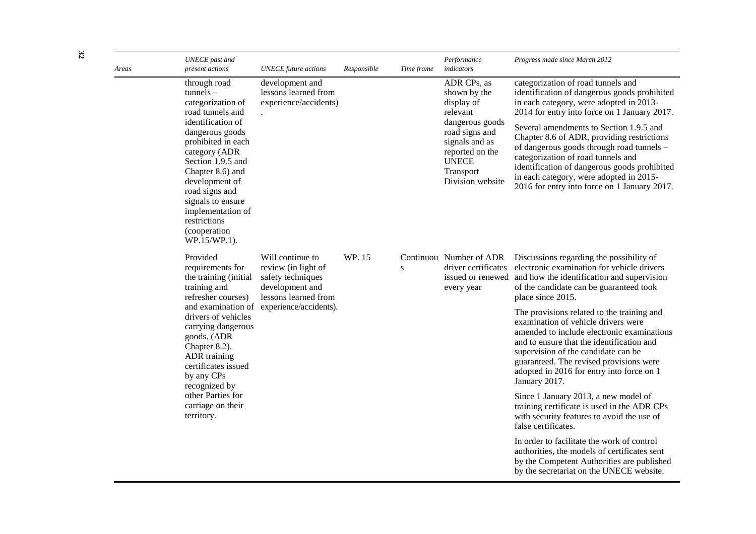| Areas | <b>UNECE</b> past and<br>present actions                                                                                                                                                                                                                                                                                   | <b>UNECE</b> future actions                                                                             | Responsible | Time frame | Performance<br>indicators                                                                                                                                                        | Progress made since March 2012                                                                                                                                                                                                                                                                                                                                                                                                                                                                       |
|-------|----------------------------------------------------------------------------------------------------------------------------------------------------------------------------------------------------------------------------------------------------------------------------------------------------------------------------|---------------------------------------------------------------------------------------------------------|-------------|------------|----------------------------------------------------------------------------------------------------------------------------------------------------------------------------------|------------------------------------------------------------------------------------------------------------------------------------------------------------------------------------------------------------------------------------------------------------------------------------------------------------------------------------------------------------------------------------------------------------------------------------------------------------------------------------------------------|
|       | through road<br>$tunnels -$<br>categorization of<br>road tunnels and<br>identification of<br>dangerous goods<br>prohibited in each<br>category (ADR<br>Section 1.9.5 and<br>Chapter 8.6) and<br>development of<br>road signs and<br>signals to ensure<br>implementation of<br>restrictions<br>(cooperation<br>WP.15/WP.1). | development and<br>lessons learned from<br>experience/accidents)                                        |             |            | ADR CPs, as<br>shown by the<br>display of<br>relevant<br>dangerous goods<br>road signs and<br>signals and as<br>reported on the<br><b>UNECE</b><br>Transport<br>Division website | categorization of road tunnels and<br>identification of dangerous goods prohibited<br>in each category, were adopted in 2013-<br>2014 for entry into force on 1 January 2017.<br>Several amendments to Section 1.9.5 and<br>Chapter 8.6 of ADR, providing restrictions<br>of dangerous goods through road tunnels -<br>categorization of road tunnels and<br>identification of dangerous goods prohibited<br>in each category, were adopted in 2015-<br>2016 for entry into force on 1 January 2017. |
|       | Provided<br>requirements for<br>the training (initial<br>training and<br>refresher courses)                                                                                                                                                                                                                                | Will continue to<br>review (in light of<br>safety techniques<br>development and<br>lessons learned from | WP. 15      | ${\bf S}$  | Continuou Number of ADR<br>every year                                                                                                                                            | Discussions regarding the possibility of<br>driver certificates electronic examination for vehicle drivers<br>issued or renewed and how the identification and supervision<br>of the candidate can be guaranteed took<br>place since 2015.                                                                                                                                                                                                                                                           |
|       | drivers of vehicles<br>carrying dangerous<br>goods. (ADR<br>Chapter 8.2).<br>ADR training<br>certificates issued<br>by any CPs<br>recognized by                                                                                                                                                                            | and examination of experience/accidents).                                                               |             |            |                                                                                                                                                                                  | The provisions related to the training and<br>examination of vehicle drivers were<br>amended to include electronic examinations<br>and to ensure that the identification and<br>supervision of the candidate can be<br>guaranteed. The revised provisions were<br>adopted in 2016 for entry into force on 1<br>January 2017.                                                                                                                                                                         |
|       | other Parties for<br>carriage on their<br>territory.                                                                                                                                                                                                                                                                       |                                                                                                         |             |            |                                                                                                                                                                                  | Since 1 January 2013, a new model of<br>training certificate is used in the ADR CPs<br>with security features to avoid the use of<br>false certificates.                                                                                                                                                                                                                                                                                                                                             |
|       |                                                                                                                                                                                                                                                                                                                            |                                                                                                         |             |            |                                                                                                                                                                                  | In order to facilitate the work of control<br>authorities, the models of certificates sent<br>by the Competent Authorities are published<br>by the secretariat on the UNECE website.                                                                                                                                                                                                                                                                                                                 |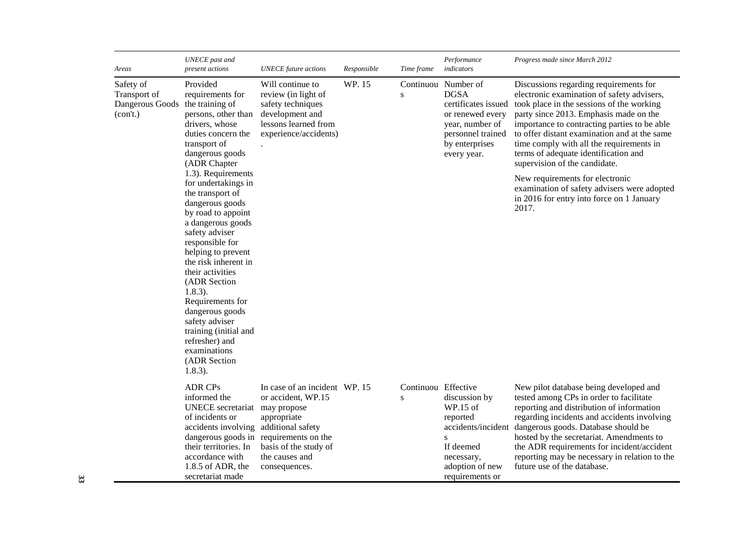| Areas                                                                    | <b>UNECE</b> past and<br>present actions                                                                                                                                                                                                                                                                                                                                                                                                                                                                                                                             | <b>UNECE</b> future actions                                                                                                                                              | Responsible | Time frame                       | Performance<br>indicators                                                                                                                              | Progress made since March 2012                                                                                                                                                                                                                                                                                                                                                                                                                                                                                                           |
|--------------------------------------------------------------------------|----------------------------------------------------------------------------------------------------------------------------------------------------------------------------------------------------------------------------------------------------------------------------------------------------------------------------------------------------------------------------------------------------------------------------------------------------------------------------------------------------------------------------------------------------------------------|--------------------------------------------------------------------------------------------------------------------------------------------------------------------------|-------------|----------------------------------|--------------------------------------------------------------------------------------------------------------------------------------------------------|------------------------------------------------------------------------------------------------------------------------------------------------------------------------------------------------------------------------------------------------------------------------------------------------------------------------------------------------------------------------------------------------------------------------------------------------------------------------------------------------------------------------------------------|
| Safety of<br>Transport of<br>Dangerous Goods the training of<br>(con't.) | Provided<br>requirements for<br>persons, other than<br>drivers, whose<br>duties concern the<br>transport of<br>dangerous goods<br>(ADR Chapter<br>1.3). Requirements<br>for undertakings in<br>the transport of<br>dangerous goods<br>by road to appoint<br>a dangerous goods<br>safety adviser<br>responsible for<br>helping to prevent<br>the risk inherent in<br>their activities<br>(ADR Section<br>$1.8.3$ ).<br>Requirements for<br>dangerous goods<br>safety adviser<br>training (initial and<br>refresher) and<br>examinations<br>(ADR Section<br>$1.8.3$ ). | Will continue to<br>review (in light of<br>safety techniques<br>development and<br>lessons learned from<br>experience/accidents)                                         | WP. 15      | S                                | Continuou Number of<br><b>DGSA</b><br>certificates issued<br>or renewed every<br>year, number of<br>personnel trained<br>by enterprises<br>every year. | Discussions regarding requirements for<br>electronic examination of safety advisers,<br>took place in the sessions of the working<br>party since 2013. Emphasis made on the<br>importance to contracting parties to be able<br>to offer distant examination and at the same<br>time comply with all the requirements in<br>terms of adequate identification and<br>supervision of the candidate.<br>New requirements for electronic<br>examination of safety advisers were adopted<br>in 2016 for entry into force on 1 January<br>2017. |
|                                                                          | <b>ADR CPs</b><br>informed the<br>UNECE secretariat may propose<br>of incidents or<br>accidents involving additional safety<br>their territories. In<br>accordance with<br>1.8.5 of ADR, the<br>secretariat made                                                                                                                                                                                                                                                                                                                                                     | In case of an incident WP. 15<br>or accident, WP.15<br>appropriate<br>dangerous goods in requirements on the<br>basis of the study of<br>the causes and<br>consequences. |             | Continuou Effective<br>${\bf S}$ | discussion by<br>WP.15 of<br>reported<br>accidents/incident<br>${\bf S}$<br>If deemed<br>necessary,<br>adoption of new<br>requirements or              | New pilot database being developed and<br>tested among CPs in order to facilitate<br>reporting and distribution of information<br>regarding incidents and accidents involving<br>dangerous goods. Database should be<br>hosted by the secretariat. Amendments to<br>the ADR requirements for incident/accident<br>reporting may be necessary in relation to the<br>future use of the database.                                                                                                                                           |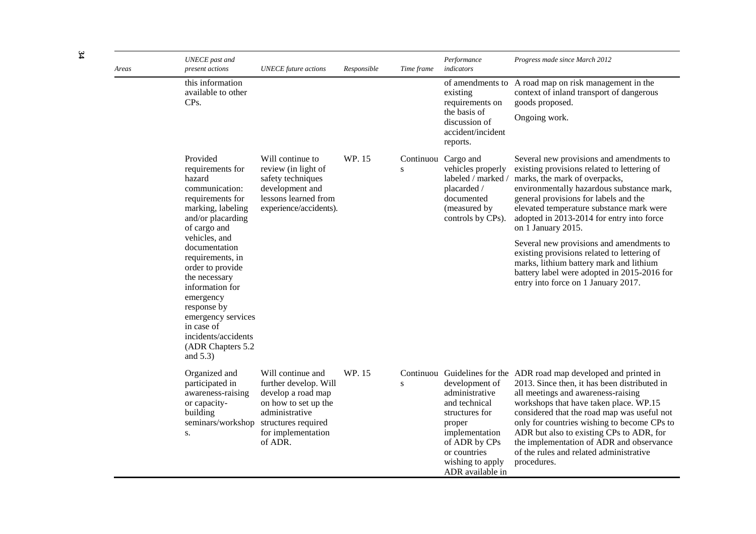| Areas | <b>UNECE</b> past and<br>present actions                                                                                                                                                                                               | <b>UNECE</b> future actions                                                                                                                                        | Responsible | Time frame | Performance<br>indicators                                                                                                                                                | Progress made since March 2012                                                                                                                                                                                                                                                                                                                                                                                                                     |
|-------|----------------------------------------------------------------------------------------------------------------------------------------------------------------------------------------------------------------------------------------|--------------------------------------------------------------------------------------------------------------------------------------------------------------------|-------------|------------|--------------------------------------------------------------------------------------------------------------------------------------------------------------------------|----------------------------------------------------------------------------------------------------------------------------------------------------------------------------------------------------------------------------------------------------------------------------------------------------------------------------------------------------------------------------------------------------------------------------------------------------|
|       | this information<br>available to other<br>CPs.                                                                                                                                                                                         |                                                                                                                                                                    |             |            | existing<br>requirements on<br>the basis of<br>discussion of<br>accident/incident<br>reports.                                                                            | of amendments to A road map on risk management in the<br>context of inland transport of dangerous<br>goods proposed.<br>Ongoing work.                                                                                                                                                                                                                                                                                                              |
|       | Provided<br>requirements for<br>hazard<br>communication:<br>requirements for<br>marking, labeling<br>and/or placarding<br>of cargo and                                                                                                 | Will continue to<br>review (in light of<br>safety techniques<br>development and<br>lessons learned from<br>experience/accidents).                                  | WP. 15      | S          | Continuou Cargo and<br>vehicles properly<br>labeled / marked /<br>placarded /<br>documented<br>(measured by<br>controls by CPs).                                         | Several new provisions and amendments to<br>existing provisions related to lettering of<br>marks, the mark of overpacks,<br>environmentally hazardous substance mark,<br>general provisions for labels and the<br>elevated temperature substance mark were<br>adopted in 2013-2014 for entry into force<br>on 1 January 2015.                                                                                                                      |
|       | vehicles, and<br>documentation<br>requirements, in<br>order to provide<br>the necessary<br>information for<br>emergency<br>response by<br>emergency services<br>in case of<br>incidents/accidents<br>(ADR Chapters 5.2)<br>and $5.3$ ) |                                                                                                                                                                    |             |            |                                                                                                                                                                          | Several new provisions and amendments to<br>existing provisions related to lettering of<br>marks, lithium battery mark and lithium<br>battery label were adopted in 2015-2016 for<br>entry into force on 1 January 2017.                                                                                                                                                                                                                           |
|       | Organized and<br>participated in<br>awareness-raising<br>or capacity-<br>building<br>seminars/workshop<br>S.                                                                                                                           | Will continue and<br>further develop. Will<br>develop a road map<br>on how to set up the<br>administrative<br>structures required<br>for implementation<br>of ADR. | WP. 15      | ${\bf S}$  | development of<br>administrative<br>and technical<br>structures for<br>proper<br>implementation<br>of ADR by CPs<br>or countries<br>wishing to apply<br>ADR available in | Continuou Guidelines for the ADR road map developed and printed in<br>2013. Since then, it has been distributed in<br>all meetings and awareness-raising<br>workshops that have taken place. WP.15<br>considered that the road map was useful not<br>only for countries wishing to become CPs to<br>ADR but also to existing CPs to ADR, for<br>the implementation of ADR and observance<br>of the rules and related administrative<br>procedures. |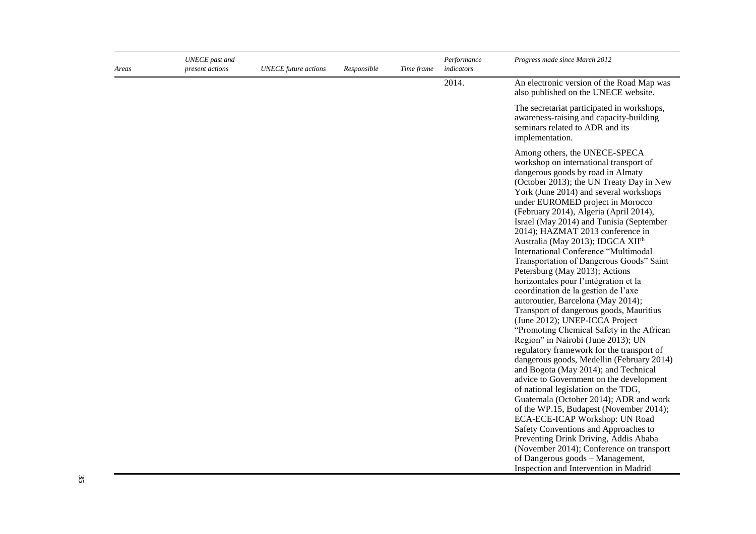| Areas | UNECE past and<br>present actions | <b>UNECE</b> future actions | Responsible | Time frame | Performance<br>indicators | Progress made since March 2012                                                                                                                                                                                                                                                                                                                                                                                                                                                                                                                                                                                                                                                                                                                                                                                                                                                                                                                                                                                                                                                                                                                                                                                                                                                                                                                                                     |
|-------|-----------------------------------|-----------------------------|-------------|------------|---------------------------|------------------------------------------------------------------------------------------------------------------------------------------------------------------------------------------------------------------------------------------------------------------------------------------------------------------------------------------------------------------------------------------------------------------------------------------------------------------------------------------------------------------------------------------------------------------------------------------------------------------------------------------------------------------------------------------------------------------------------------------------------------------------------------------------------------------------------------------------------------------------------------------------------------------------------------------------------------------------------------------------------------------------------------------------------------------------------------------------------------------------------------------------------------------------------------------------------------------------------------------------------------------------------------------------------------------------------------------------------------------------------------|
|       |                                   |                             |             |            | 2014.                     | An electronic version of the Road Map was<br>also published on the UNECE website.                                                                                                                                                                                                                                                                                                                                                                                                                                                                                                                                                                                                                                                                                                                                                                                                                                                                                                                                                                                                                                                                                                                                                                                                                                                                                                  |
|       |                                   |                             |             |            |                           | The secretariat participated in workshops,<br>awareness-raising and capacity-building<br>seminars related to ADR and its<br>implementation.                                                                                                                                                                                                                                                                                                                                                                                                                                                                                                                                                                                                                                                                                                                                                                                                                                                                                                                                                                                                                                                                                                                                                                                                                                        |
|       |                                   |                             |             |            |                           | Among others, the UNECE-SPECA<br>workshop on international transport of<br>dangerous goods by road in Almaty<br>(October 2013); the UN Treaty Day in New<br>York (June 2014) and several workshops<br>under EUROMED project in Morocco<br>(February 2014), Algeria (April 2014),<br>Israel (May 2014) and Tunisia (September<br>2014); HAZMAT 2013 conference in<br>Australia (May 2013); IDGCA XII <sup>th</sup><br>International Conference "Multimodal<br>Transportation of Dangerous Goods" Saint<br>Petersburg (May 2013); Actions<br>horizontales pour l'intégration et la<br>coordination de la gestion de l'axe<br>autoroutier, Barcelona (May 2014);<br>Transport of dangerous goods, Mauritius<br>(June 2012); UNEP-ICCA Project<br>"Promoting Chemical Safety in the African<br>Region" in Nairobi (June 2013); UN<br>regulatory framework for the transport of<br>dangerous goods, Medellin (February 2014)<br>and Bogota (May 2014); and Technical<br>advice to Government on the development<br>of national legislation on the TDG,<br>Guatemala (October 2014); ADR and work<br>of the WP.15, Budapest (November 2014);<br>ECA-ECE-ICAP Workshop: UN Road<br>Safety Conventions and Approaches to<br>Preventing Drink Driving, Addis Ababa<br>(November 2014); Conference on transport<br>of Dangerous goods - Management,<br>Inspection and Intervention in Madrid |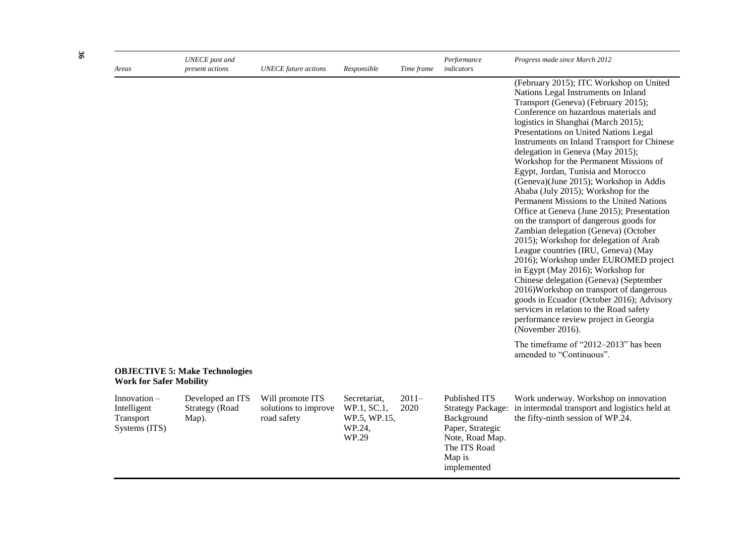| Areas                                                        | <b>UNECE</b> past and<br>present actions           | <b>UNECE</b> future actions                             | Responsible                                                    | Time frame      | Performance<br>indicators                                                                                                               | Progress made since March 2012                                                                                                                                                                                                                                                                                                                                                                                                                                                                                                                                                                                                                                                                                                                                                                                                                                                                                                                                                                                                                                                                                                                                 |
|--------------------------------------------------------------|----------------------------------------------------|---------------------------------------------------------|----------------------------------------------------------------|-----------------|-----------------------------------------------------------------------------------------------------------------------------------------|----------------------------------------------------------------------------------------------------------------------------------------------------------------------------------------------------------------------------------------------------------------------------------------------------------------------------------------------------------------------------------------------------------------------------------------------------------------------------------------------------------------------------------------------------------------------------------------------------------------------------------------------------------------------------------------------------------------------------------------------------------------------------------------------------------------------------------------------------------------------------------------------------------------------------------------------------------------------------------------------------------------------------------------------------------------------------------------------------------------------------------------------------------------|
|                                                              |                                                    |                                                         |                                                                |                 |                                                                                                                                         | (February 2015); ITC Workshop on United<br>Nations Legal Instruments on Inland<br>Transport (Geneva) (February 2015);<br>Conference on hazardous materials and<br>logistics in Shanghai (March 2015);<br>Presentations on United Nations Legal<br>Instruments on Inland Transport for Chinese<br>delegation in Geneva (May 2015);<br>Workshop for the Permanent Missions of<br>Egypt, Jordan, Tunisia and Morocco<br>(Geneva)(June 2015); Workshop in Addis<br>Ababa (July 2015); Workshop for the<br>Permanent Missions to the United Nations<br>Office at Geneva (June 2015); Presentation<br>on the transport of dangerous goods for<br>Zambian delegation (Geneva) (October<br>2015); Workshop for delegation of Arab<br>League countries (IRU, Geneva) (May<br>2016); Workshop under EUROMED project<br>in Egypt (May 2016); Workshop for<br>Chinese delegation (Geneva) (September<br>2016) Workshop on transport of dangerous<br>goods in Ecuador (October 2016); Advisory<br>services in relation to the Road safety<br>performance review project in Georgia<br>(November 2016).<br>The timeframe of "2012-2013" has been<br>amended to "Continuous". |
| <b>Work for Safer Mobility</b>                               | <b>OBJECTIVE 5: Make Technologies</b>              |                                                         |                                                                |                 |                                                                                                                                         |                                                                                                                                                                                                                                                                                                                                                                                                                                                                                                                                                                                                                                                                                                                                                                                                                                                                                                                                                                                                                                                                                                                                                                |
| $In novation -$<br>Intelligent<br>Transport<br>Systems (ITS) | Developed an ITS<br><b>Strategy</b> (Road<br>Map). | Will promote ITS<br>solutions to improve<br>road safety | Secretariat.<br>WP.1, SC.1,<br>WP.5, WP.15,<br>WP.24,<br>WP.29 | $2011-$<br>2020 | Published ITS<br><b>Strategy Package:</b><br>Background<br>Paper, Strategic<br>Note, Road Map.<br>The ITS Road<br>Map is<br>implemented | Work underway. Workshop on innovation<br>in intermodal transport and logistics held at<br>the fifty-ninth session of WP.24.                                                                                                                                                                                                                                                                                                                                                                                                                                                                                                                                                                                                                                                                                                                                                                                                                                                                                                                                                                                                                                    |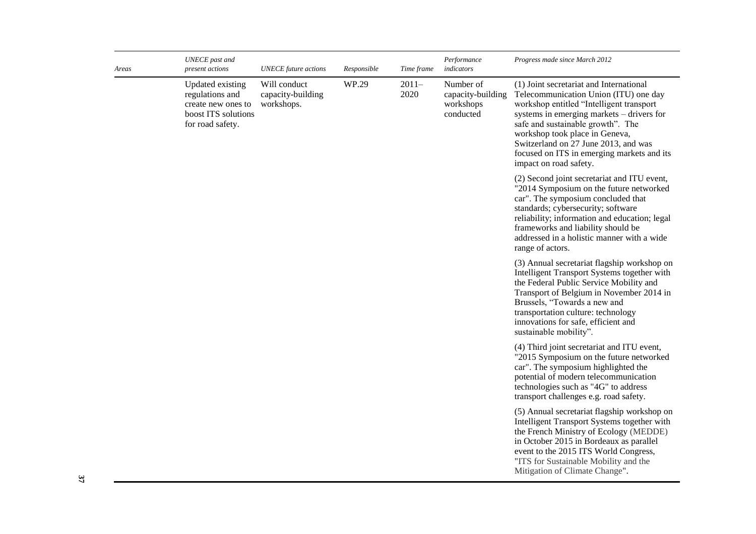| Areas | <b>UNECE</b> past and<br>present actions                                                             | <b>UNECE</b> future actions                     | Responsible | Time frame                                                                                                                                                                                                                                                                                                               | Performance<br>indicators                                                                                                                                                                                                                               | Progress made since March 2012                                                                                                                                                                                                                                                                                                                                   |
|-------|------------------------------------------------------------------------------------------------------|-------------------------------------------------|-------------|--------------------------------------------------------------------------------------------------------------------------------------------------------------------------------------------------------------------------------------------------------------------------------------------------------------------------|---------------------------------------------------------------------------------------------------------------------------------------------------------------------------------------------------------------------------------------------------------|------------------------------------------------------------------------------------------------------------------------------------------------------------------------------------------------------------------------------------------------------------------------------------------------------------------------------------------------------------------|
|       | Updated existing<br>regulations and<br>create new ones to<br>boost ITS solutions<br>for road safety. | Will conduct<br>capacity-building<br>workshops. | WP.29       | $2011-$<br>2020                                                                                                                                                                                                                                                                                                          | Number of<br>capacity-building<br>workshops<br>conducted                                                                                                                                                                                                | (1) Joint secretariat and International<br>Telecommunication Union (ITU) one day<br>workshop entitled "Intelligent transport<br>systems in emerging markets – drivers for<br>safe and sustainable growth". The<br>workshop took place in Geneva,<br>Switzerland on 27 June 2013, and was<br>focused on ITS in emerging markets and its<br>impact on road safety. |
|       |                                                                                                      |                                                 |             |                                                                                                                                                                                                                                                                                                                          |                                                                                                                                                                                                                                                         | (2) Second joint secretariat and ITU event,<br>"2014 Symposium on the future networked<br>car". The symposium concluded that<br>standards; cybersecurity; software<br>reliability; information and education; legal<br>frameworks and liability should be<br>addressed in a holistic manner with a wide<br>range of actors.                                      |
|       |                                                                                                      |                                                 |             | (3) Annual secretariat flagship workshop on<br>Intelligent Transport Systems together with<br>the Federal Public Service Mobility and<br>Transport of Belgium in November 2014 in<br>Brussels, "Towards a new and<br>transportation culture: technology<br>innovations for safe, efficient and<br>sustainable mobility". |                                                                                                                                                                                                                                                         |                                                                                                                                                                                                                                                                                                                                                                  |
|       |                                                                                                      |                                                 |             |                                                                                                                                                                                                                                                                                                                          | (4) Third joint secretariat and ITU event,<br>"2015 Symposium on the future networked<br>car". The symposium highlighted the<br>potential of modern telecommunication<br>technologies such as "4G" to address<br>transport challenges e.g. road safety. |                                                                                                                                                                                                                                                                                                                                                                  |
|       |                                                                                                      |                                                 |             |                                                                                                                                                                                                                                                                                                                          |                                                                                                                                                                                                                                                         | (5) Annual secretariat flagship workshop on<br>Intelligent Transport Systems together with<br>the French Ministry of Ecology (MEDDE)<br>in October 2015 in Bordeaux as parallel<br>event to the 2015 ITS World Congress,<br>"ITS for Sustainable Mobility and the<br>Mitigation of Climate Change".                                                              |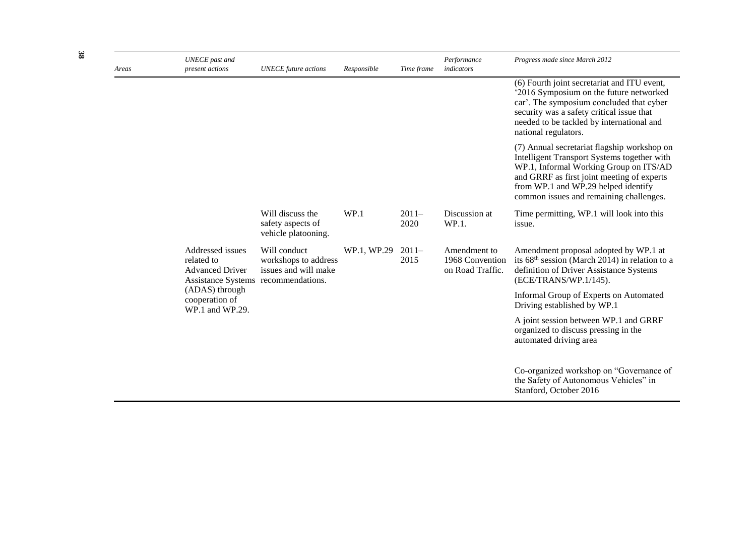| Areas | <b>UNECE</b> past and<br>present actions                                                        | <b>UNECE</b> future actions                                  | Responsible | Time frame      | Performance<br>indicators                           | Progress made since March 2012                                                                                                                                                                                                                                       |
|-------|-------------------------------------------------------------------------------------------------|--------------------------------------------------------------|-------------|-----------------|-----------------------------------------------------|----------------------------------------------------------------------------------------------------------------------------------------------------------------------------------------------------------------------------------------------------------------------|
|       |                                                                                                 |                                                              |             |                 |                                                     | (6) Fourth joint secretariat and ITU event,<br>'2016 Symposium on the future networked<br>car'. The symposium concluded that cyber<br>security was a safety critical issue that<br>needed to be tackled by international and<br>national regulators.                 |
|       |                                                                                                 |                                                              |             |                 |                                                     | (7) Annual secretariat flagship workshop on<br>Intelligent Transport Systems together with<br>WP.1, Informal Working Group on ITS/AD<br>and GRRF as first joint meeting of experts<br>from WP.1 and WP.29 helped identify<br>common issues and remaining challenges. |
|       |                                                                                                 | Will discuss the<br>safety aspects of<br>vehicle platooning. | WP.1        | $2011-$<br>2020 | Discussion at<br>WP.1.                              | Time permitting, WP.1 will look into this<br>issue.                                                                                                                                                                                                                  |
|       | Addressed issues<br>related to<br><b>Advanced Driver</b><br>Assistance Systems recommendations. | Will conduct<br>workshops to address<br>issues and will make | WP.1, WP.29 | $2011-$<br>2015 | Amendment to<br>1968 Convention<br>on Road Traffic. | Amendment proposal adopted by WP.1 at<br>its 68 <sup>th</sup> session (March 2014) in relation to a<br>definition of Driver Assistance Systems<br>(ECE/TRANS/WP.1/145).                                                                                              |
|       | (ADAS) through<br>cooperation of<br>WP.1 and WP.29.                                             |                                                              |             |                 |                                                     | Informal Group of Experts on Automated<br>Driving established by WP.1                                                                                                                                                                                                |
|       |                                                                                                 |                                                              |             |                 |                                                     | A joint session between WP.1 and GRRF<br>organized to discuss pressing in the<br>automated driving area                                                                                                                                                              |
|       |                                                                                                 |                                                              |             |                 |                                                     | Co-organized workshop on "Governance of<br>the Safety of Autonomous Vehicles" in<br>Stanford, October 2016                                                                                                                                                           |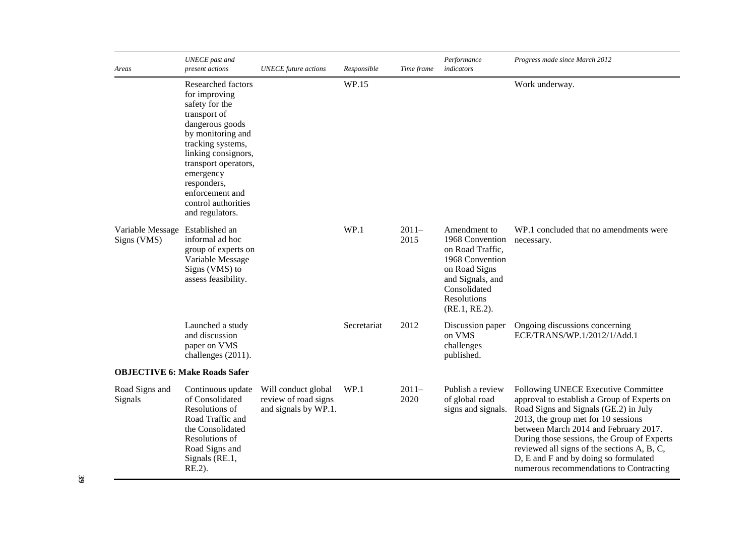| Areas                           | <b>UNECE</b> past and<br>present actions                                                                                                                                                                                                                                   | <b>UNECE</b> future actions                                         | Responsible | Time frame      | Performance<br>indicators                                                                                                                                   | Progress made since March 2012                                                                                                                                                                                                                                                                                                                                                                |
|---------------------------------|----------------------------------------------------------------------------------------------------------------------------------------------------------------------------------------------------------------------------------------------------------------------------|---------------------------------------------------------------------|-------------|-----------------|-------------------------------------------------------------------------------------------------------------------------------------------------------------|-----------------------------------------------------------------------------------------------------------------------------------------------------------------------------------------------------------------------------------------------------------------------------------------------------------------------------------------------------------------------------------------------|
|                                 | Researched factors<br>for improving<br>safety for the<br>transport of<br>dangerous goods<br>by monitoring and<br>tracking systems,<br>linking consignors,<br>transport operators,<br>emergency<br>responders,<br>enforcement and<br>control authorities<br>and regulators. |                                                                     | WP.15       |                 |                                                                                                                                                             | Work underway.                                                                                                                                                                                                                                                                                                                                                                                |
| Variable Message<br>Signs (VMS) | Established an<br>informal ad hoc<br>group of experts on<br>Variable Message<br>Signs (VMS) to<br>assess feasibility.                                                                                                                                                      |                                                                     | WP.1        | $2011-$<br>2015 | Amendment to<br>1968 Convention<br>on Road Traffic,<br>1968 Convention<br>on Road Signs<br>and Signals, and<br>Consolidated<br>Resolutions<br>(RE.1, RE.2). | WP.1 concluded that no amendments were<br>necessary.                                                                                                                                                                                                                                                                                                                                          |
|                                 | Launched a study<br>and discussion<br>paper on VMS<br>challenges (2011).                                                                                                                                                                                                   |                                                                     | Secretariat | 2012            | Discussion paper<br>on VMS<br>challenges<br>published.                                                                                                      | Ongoing discussions concerning<br>ECE/TRANS/WP.1/2012/1/Add.1                                                                                                                                                                                                                                                                                                                                 |
|                                 | <b>OBJECTIVE 6: Make Roads Safer</b>                                                                                                                                                                                                                                       |                                                                     |             |                 |                                                                                                                                                             |                                                                                                                                                                                                                                                                                                                                                                                               |
| Road Signs and<br>Signals       | Continuous update<br>of Consolidated<br>Resolutions of<br>Road Traffic and<br>the Consolidated<br>Resolutions of<br>Road Signs and<br>Signals (RE.1,<br>$RE.2$ ).                                                                                                          | Will conduct global<br>review of road signs<br>and signals by WP.1. | WP.1        | $2011-$<br>2020 | Publish a review<br>of global road<br>signs and signals.                                                                                                    | Following UNECE Executive Committee<br>approval to establish a Group of Experts on<br>Road Signs and Signals (GE.2) in July<br>2013, the group met for 10 sessions<br>between March 2014 and February 2017.<br>During those sessions, the Group of Experts<br>reviewed all signs of the sections A, B, C,<br>D, E and F and by doing so formulated<br>numerous recommendations to Contracting |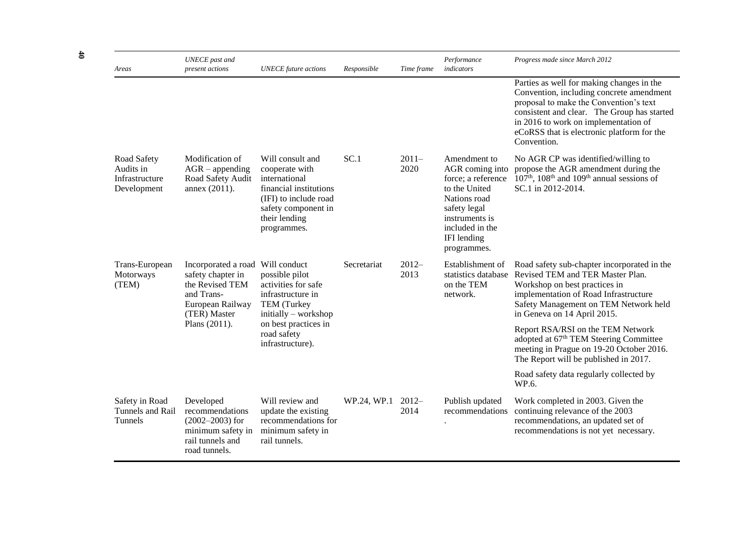| Areas                                                     | <b>UNECE</b> past and<br>present actions                                                                      | <b>UNECE</b> future actions                                                                                                                                   | Responsible | Time frame       | Performance<br>indicators                                                                                                                                                 | Progress made since March 2012                                                                                                                                                                                                                                                      |
|-----------------------------------------------------------|---------------------------------------------------------------------------------------------------------------|---------------------------------------------------------------------------------------------------------------------------------------------------------------|-------------|------------------|---------------------------------------------------------------------------------------------------------------------------------------------------------------------------|-------------------------------------------------------------------------------------------------------------------------------------------------------------------------------------------------------------------------------------------------------------------------------------|
|                                                           |                                                                                                               |                                                                                                                                                               |             |                  |                                                                                                                                                                           | Parties as well for making changes in the<br>Convention, including concrete amendment<br>proposal to make the Convention's text<br>consistent and clear. The Group has started<br>in 2016 to work on implementation of<br>eCoRSS that is electronic platform for the<br>Convention. |
| Road Safety<br>Audits in<br>Infrastructure<br>Development | Modification of<br>$AGR$ – appending<br>Road Safety Audit<br>annex (2011).                                    | Will consult and<br>cooperate with<br>international<br>financial institutions<br>(IFI) to include road<br>safety component in<br>their lending<br>programmes. | SC.1        | $2011 -$<br>2020 | Amendment to<br>AGR coming into<br>force; a reference<br>to the United<br>Nations road<br>safety legal<br>instruments is<br>included in the<br>IFI lending<br>programmes. | No AGR CP was identified/willing to<br>propose the AGR amendment during the<br>107 <sup>th</sup> , 108 <sup>th</sup> and 109 <sup>th</sup> annual sessions of<br>SC.1 in 2012-2014.                                                                                                 |
| Trans-European<br>Motorways<br>(TEM)                      | Incorporated a road<br>safety chapter in<br>the Revised TEM<br>and Trans-<br>European Railway<br>(TER) Master | Will conduct<br>possible pilot<br>activities for safe<br>infrastructure in<br>TEM (Turkey<br>initially - workshop                                             | Secretariat | $2012-$<br>2013  | Establishment of<br>on the TEM<br>network.                                                                                                                                | Road safety sub-chapter incorporated in the<br>statistics database Revised TEM and TER Master Plan.<br>Workshop on best practices in<br>implementation of Road Infrastructure<br>Safety Management on TEM Network held<br>in Geneva on 14 April 2015.                               |
|                                                           | Plans (2011).                                                                                                 | on best practices in<br>road safety<br>infrastructure).                                                                                                       |             |                  |                                                                                                                                                                           | Report RSA/RSI on the TEM Network<br>adopted at 67 <sup>th</sup> TEM Steering Committee<br>meeting in Prague on 19-20 October 2016.<br>The Report will be published in 2017.                                                                                                        |
|                                                           |                                                                                                               |                                                                                                                                                               |             |                  |                                                                                                                                                                           | Road safety data regularly collected by<br>WP.6.                                                                                                                                                                                                                                    |
| Safety in Road<br>Tunnels and Rail<br>Tunnels             | Developed<br>recommendations<br>$(2002 - 2003)$ for<br>minimum safety in<br>rail tunnels and<br>road tunnels. | Will review and<br>update the existing<br>recommendations for<br>minimum safety in<br>rail tunnels.                                                           | WP.24, WP.1 | $2012-$<br>2014  | Publish updated<br>recommendations                                                                                                                                        | Work completed in 2003. Given the<br>continuing relevance of the 2003<br>recommendations, an updated set of<br>recommendations is not yet necessary.                                                                                                                                |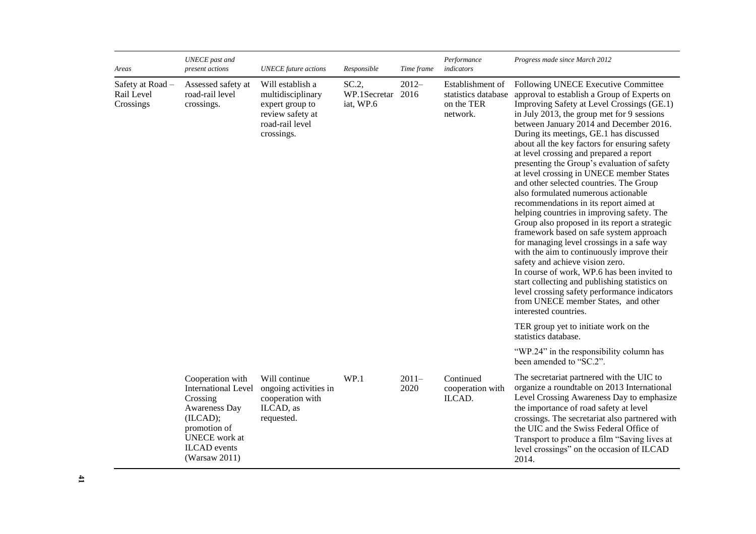| Areas                                       | <b>UNECE</b> past and<br>present actions                                                                                                                                   | <b>UNECE</b> future actions                                                                                   | Responsible                            | Time frame      | Performance<br>indicators                                         | Progress made since March 2012                                                                                                                                                                                                                                                                                                                                                                                                                                                                                                                                                                                                                                                                                                                                                                                                                                                                                                                                                                                                                                                   |
|---------------------------------------------|----------------------------------------------------------------------------------------------------------------------------------------------------------------------------|---------------------------------------------------------------------------------------------------------------|----------------------------------------|-----------------|-------------------------------------------------------------------|----------------------------------------------------------------------------------------------------------------------------------------------------------------------------------------------------------------------------------------------------------------------------------------------------------------------------------------------------------------------------------------------------------------------------------------------------------------------------------------------------------------------------------------------------------------------------------------------------------------------------------------------------------------------------------------------------------------------------------------------------------------------------------------------------------------------------------------------------------------------------------------------------------------------------------------------------------------------------------------------------------------------------------------------------------------------------------|
| Safety at Road -<br>Rail Level<br>Crossings | Assessed safety at<br>road-rail level<br>crossings.                                                                                                                        | Will establish a<br>multidisciplinary<br>expert group to<br>review safety at<br>road-rail level<br>crossings. | SC.2<br>WP.1Secretar 2016<br>iat, WP.6 | $2012 -$        | Establishment of<br>statistics database<br>on the TER<br>network. | Following UNECE Executive Committee<br>approval to establish a Group of Experts on<br>Improving Safety at Level Crossings (GE.1)<br>in July 2013, the group met for 9 sessions<br>between January 2014 and December 2016.<br>During its meetings, GE.1 has discussed<br>about all the key factors for ensuring safety<br>at level crossing and prepared a report<br>presenting the Group's evaluation of safety<br>at level crossing in UNECE member States<br>and other selected countries. The Group<br>also formulated numerous actionable<br>recommendations in its report aimed at<br>helping countries in improving safety. The<br>Group also proposed in its report a strategic<br>framework based on safe system approach<br>for managing level crossings in a safe way<br>with the aim to continuously improve their<br>safety and achieve vision zero.<br>In course of work, WP.6 has been invited to<br>start collecting and publishing statistics on<br>level crossing safety performance indicators<br>from UNECE member States, and other<br>interested countries. |
|                                             |                                                                                                                                                                            |                                                                                                               |                                        |                 |                                                                   | TER group yet to initiate work on the<br>statistics database.                                                                                                                                                                                                                                                                                                                                                                                                                                                                                                                                                                                                                                                                                                                                                                                                                                                                                                                                                                                                                    |
|                                             |                                                                                                                                                                            |                                                                                                               |                                        |                 |                                                                   | "WP.24" in the responsibility column has<br>been amended to "SC.2".                                                                                                                                                                                                                                                                                                                                                                                                                                                                                                                                                                                                                                                                                                                                                                                                                                                                                                                                                                                                              |
|                                             | Cooperation with<br><b>International Level</b><br>Crossing<br>Awareness Day<br>(ILCAD);<br>promotion of<br><b>UNECE</b> work at<br><b>ILCAD</b> events<br>(Warsaw $2011$ ) | Will continue<br>ongoing activities in<br>cooperation with<br>ILCAD, as<br>requested.                         | WP.1                                   | $2011-$<br>2020 | Continued<br>cooperation with<br>ILCAD.                           | The secretariat partnered with the UIC to<br>organize a roundtable on 2013 International<br>Level Crossing Awareness Day to emphasize<br>the importance of road safety at level<br>crossings. The secretariat also partnered with<br>the UIC and the Swiss Federal Office of<br>Transport to produce a film "Saving lives at<br>level crossings" on the occasion of ILCAD<br>2014.                                                                                                                                                                                                                                                                                                                                                                                                                                                                                                                                                                                                                                                                                               |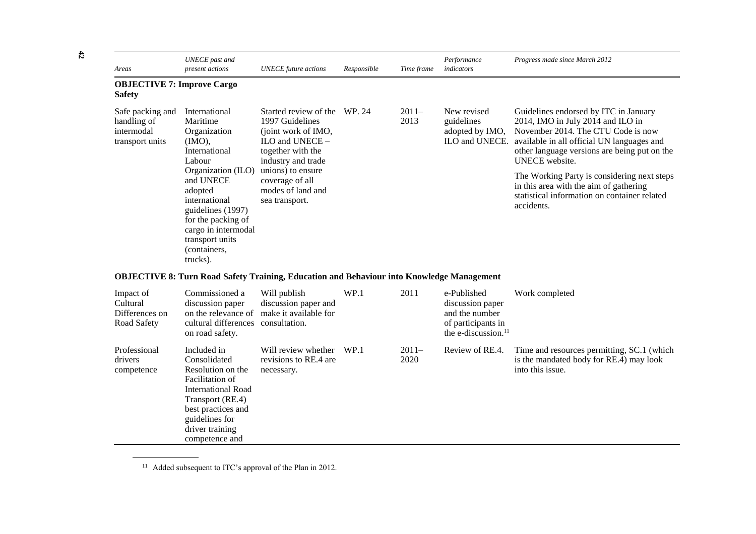| Areas                                                            | <b>UNECE</b> past and<br>present actions                                                                                                                                                                                                                         | <b>UNECE</b> future actions                                                                                                                                                                                  | Responsible | Time frame      | Performance<br>indicators                                      | Progress made since March 2012                                                                                                                                                                                                                                                                                                                                                                 |
|------------------------------------------------------------------|------------------------------------------------------------------------------------------------------------------------------------------------------------------------------------------------------------------------------------------------------------------|--------------------------------------------------------------------------------------------------------------------------------------------------------------------------------------------------------------|-------------|-----------------|----------------------------------------------------------------|------------------------------------------------------------------------------------------------------------------------------------------------------------------------------------------------------------------------------------------------------------------------------------------------------------------------------------------------------------------------------------------------|
| <b>OBJECTIVE 7: Improve Cargo</b><br><b>Safety</b>               |                                                                                                                                                                                                                                                                  |                                                                                                                                                                                                              |             |                 |                                                                |                                                                                                                                                                                                                                                                                                                                                                                                |
| Safe packing and<br>handling of<br>intermodal<br>transport units | International<br>Maritime<br>Organization<br>$(MO)$ ,<br>International<br>Labour<br>Organization (ILO)<br>and UNECE<br>adopted<br>international<br>guidelines (1997)<br>for the packing of<br>cargo in intermodal<br>transport units<br>(containers,<br>trucks). | Started review of the<br>1997 Guidelines<br>(joint work of IMO,<br>ILO and UNECE -<br>together with the<br>industry and trade<br>unions) to ensure<br>coverage of all<br>modes of land and<br>sea transport. | WP. 24      | $2011-$<br>2013 | New revised<br>guidelines<br>adopted by IMO,<br>ILO and UNECE. | Guidelines endorsed by ITC in January<br>2014, IMO in July 2014 and ILO in<br>November 2014. The CTU Code is now<br>available in all official UN languages and<br>other language versions are being put on the<br><b>UNECE</b> website.<br>The Working Party is considering next steps<br>in this area with the aim of gathering<br>statistical information on container related<br>accidents. |

## **OBJECTIVE 8: Turn Road Safety Training, Education and Behaviour into Knowledge Management**

| Impact of<br>Cultural<br>Differences on<br>Road Safety | Commissioned a<br>discussion paper<br>on the relevance of<br>cultural differences<br>on road safety.                                                                                       | Will publish<br>discussion paper and<br>make it available for<br>consultation. | WP.1 | 2011            | e-Published<br>discussion paper<br>and the number<br>of participants in<br>the e-discussion. <sup>11</sup> | Work completed                                                                                            |
|--------------------------------------------------------|--------------------------------------------------------------------------------------------------------------------------------------------------------------------------------------------|--------------------------------------------------------------------------------|------|-----------------|------------------------------------------------------------------------------------------------------------|-----------------------------------------------------------------------------------------------------------|
| Professional<br>drivers<br>competence                  | Included in<br>Consolidated<br>Resolution on the<br>Facilitation of<br>International Road<br>Transport (RE.4)<br>best practices and<br>guidelines for<br>driver training<br>competence and | Will review whether<br>revisions to RE.4 are<br>necessary.                     | WP.1 | $2011-$<br>2020 | Review of RE.4.                                                                                            | Time and resources permitting, SC.1 (which<br>is the mandated body for RE.4) may look<br>into this issue. |

<sup>11</sup> Added subsequent to ITC's approval of the Plan in 2012.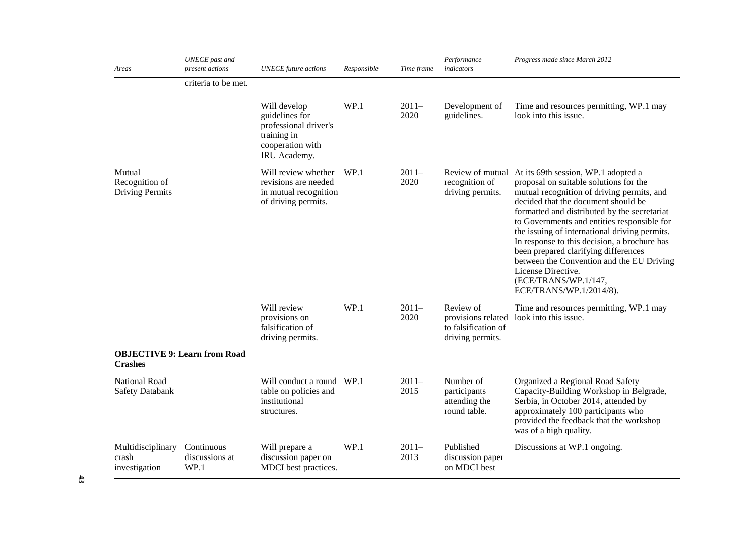| Areas                                              | <b>UNECE</b> past and<br>present actions | <b>UNECE</b> future actions                                                                                | Responsible | Time frame      | Performance<br>indicators                                                  | Progress made since March 2012                                                                                                                                                                                                                                                                                                                                                                                                                                                                                                                    |
|----------------------------------------------------|------------------------------------------|------------------------------------------------------------------------------------------------------------|-------------|-----------------|----------------------------------------------------------------------------|---------------------------------------------------------------------------------------------------------------------------------------------------------------------------------------------------------------------------------------------------------------------------------------------------------------------------------------------------------------------------------------------------------------------------------------------------------------------------------------------------------------------------------------------------|
|                                                    | criteria to be met.                      |                                                                                                            |             |                 |                                                                            |                                                                                                                                                                                                                                                                                                                                                                                                                                                                                                                                                   |
|                                                    |                                          | Will develop<br>guidelines for<br>professional driver's<br>training in<br>cooperation with<br>IRU Academy. | WP.1        | $2011-$<br>2020 | Development of<br>guidelines.                                              | Time and resources permitting, WP.1 may<br>look into this issue.                                                                                                                                                                                                                                                                                                                                                                                                                                                                                  |
| Mutual<br>Recognition of<br><b>Driving Permits</b> |                                          | Will review whether<br>revisions are needed<br>in mutual recognition<br>of driving permits.                | WP.1        | $2011-$<br>2020 | recognition of<br>driving permits.                                         | Review of mutual At its 69th session, WP.1 adopted a<br>proposal on suitable solutions for the<br>mutual recognition of driving permits, and<br>decided that the document should be<br>formatted and distributed by the secretariat<br>to Governments and entities responsible for<br>the issuing of international driving permits.<br>In response to this decision, a brochure has<br>been prepared clarifying differences<br>between the Convention and the EU Driving<br>License Directive.<br>(ECE/TRANS/WP.1/147,<br>ECE/TRANS/WP.1/2014/8). |
|                                                    |                                          | Will review<br>provisions on<br>falsification of<br>driving permits.                                       | WP.1        | $2011-$<br>2020 | Review of<br>provisions related<br>to falsification of<br>driving permits. | Time and resources permitting, WP.1 may<br>look into this issue.                                                                                                                                                                                                                                                                                                                                                                                                                                                                                  |
| <b>Crashes</b>                                     | <b>OBJECTIVE 9: Learn from Road</b>      |                                                                                                            |             |                 |                                                                            |                                                                                                                                                                                                                                                                                                                                                                                                                                                                                                                                                   |
| <b>National Road</b><br><b>Safety Databank</b>     |                                          | Will conduct a round WP.1<br>table on policies and<br>institutional<br>structures.                         |             | $2011-$<br>2015 | Number of<br>participants<br>attending the<br>round table.                 | Organized a Regional Road Safety<br>Capacity-Building Workshop in Belgrade,<br>Serbia, in October 2014, attended by<br>approximately 100 participants who<br>provided the feedback that the workshop<br>was of a high quality.                                                                                                                                                                                                                                                                                                                    |
| Multidisciplinary<br>crash<br>investigation        | Continuous<br>discussions at<br>WP.1     | Will prepare a<br>discussion paper on<br>MDCI best practices.                                              | WP.1        | $2011-$<br>2013 | Published<br>discussion paper<br>on MDCI best                              | Discussions at WP.1 ongoing.                                                                                                                                                                                                                                                                                                                                                                                                                                                                                                                      |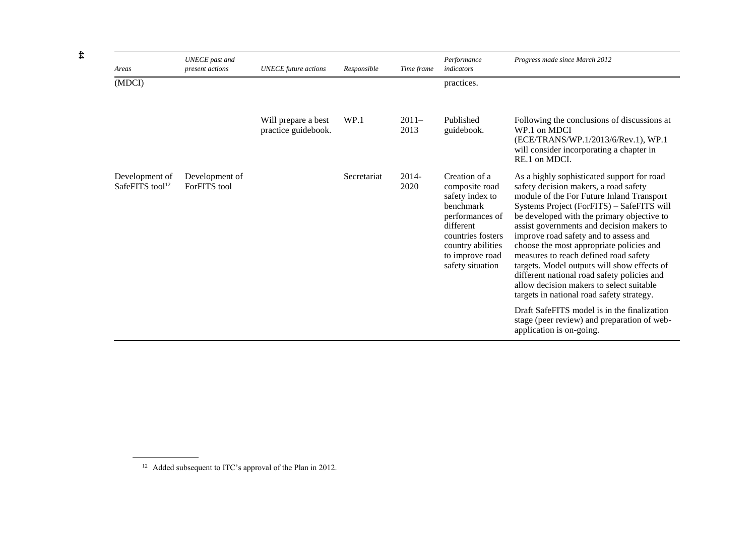| Areas                                         | <b>UNECE</b> past and<br>present actions | <b>UNECE</b> future actions                | Responsible | Time frame       | Performance<br>indicators                                                                                                                                                               | Progress made since March 2012                                                                                                                                                                                                                                                                                                                                                                                                                                                                                                                                                                |
|-----------------------------------------------|------------------------------------------|--------------------------------------------|-------------|------------------|-----------------------------------------------------------------------------------------------------------------------------------------------------------------------------------------|-----------------------------------------------------------------------------------------------------------------------------------------------------------------------------------------------------------------------------------------------------------------------------------------------------------------------------------------------------------------------------------------------------------------------------------------------------------------------------------------------------------------------------------------------------------------------------------------------|
| (MDCI)                                        |                                          |                                            |             |                  | practices.                                                                                                                                                                              |                                                                                                                                                                                                                                                                                                                                                                                                                                                                                                                                                                                               |
|                                               |                                          | Will prepare a best<br>practice guidebook. | WP.1        | $2011 -$<br>2013 | Published<br>guidebook.                                                                                                                                                                 | Following the conclusions of discussions at<br>WP.1 on MDCI<br>(ECE/TRANS/WP.1/2013/6/Rev.1), WP.1<br>will consider incorporating a chapter in<br>RE.1 on MDCI.                                                                                                                                                                                                                                                                                                                                                                                                                               |
| Development of<br>SafeFITS tool <sup>12</sup> | Development of<br>ForFITS tool           |                                            | Secretariat | $2014 -$<br>2020 | Creation of a<br>composite road<br>safety index to<br><b>benchmark</b><br>performances of<br>different<br>countries fosters<br>country abilities<br>to improve road<br>safety situation | As a highly sophisticated support for road<br>safety decision makers, a road safety<br>module of the For Future Inland Transport<br>Systems Project (ForFITS) – SafeFITS will<br>be developed with the primary objective to<br>assist governments and decision makers to<br>improve road safety and to assess and<br>choose the most appropriate policies and<br>measures to reach defined road safety<br>targets. Model outputs will show effects of<br>different national road safety policies and<br>allow decision makers to select suitable<br>targets in national road safety strategy. |
|                                               |                                          |                                            |             |                  |                                                                                                                                                                                         | Draft SafeFITS model is in the finalization<br>stage (peer review) and preparation of web-<br>application is on-going.                                                                                                                                                                                                                                                                                                                                                                                                                                                                        |

<sup>&</sup>lt;sup>12</sup> Added subsequent to ITC's approval of the Plan in 2012.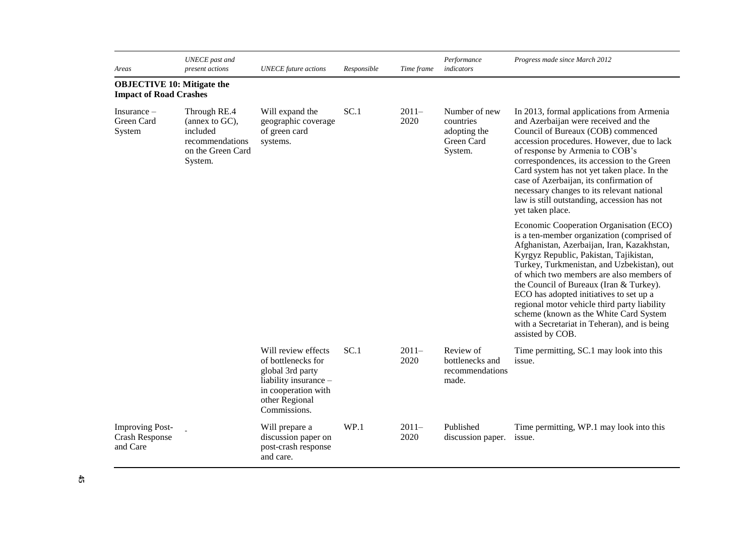| Areas                                                              | <b>UNECE</b> past and<br>present actions                                                      | <b>UNECE</b> future actions                                                                                                                     | Responsible | Time frame      | Performance<br>indicators                                           | Progress made since March 2012                                                                                                                                                                                                                                                                                                                                                                                                                                                                                              |
|--------------------------------------------------------------------|-----------------------------------------------------------------------------------------------|-------------------------------------------------------------------------------------------------------------------------------------------------|-------------|-----------------|---------------------------------------------------------------------|-----------------------------------------------------------------------------------------------------------------------------------------------------------------------------------------------------------------------------------------------------------------------------------------------------------------------------------------------------------------------------------------------------------------------------------------------------------------------------------------------------------------------------|
| <b>OBJECTIVE 10: Mitigate the</b><br><b>Impact of Road Crashes</b> |                                                                                               |                                                                                                                                                 |             |                 |                                                                     |                                                                                                                                                                                                                                                                                                                                                                                                                                                                                                                             |
| Insurance $-$<br>Green Card<br>System                              | Through RE.4<br>(annex to GC),<br>included<br>recommendations<br>on the Green Card<br>System. | Will expand the<br>geographic coverage<br>of green card<br>systems.                                                                             | SC.1        | $2011-$<br>2020 | Number of new<br>countries<br>adopting the<br>Green Card<br>System. | In 2013, formal applications from Armenia<br>and Azerbaijan were received and the<br>Council of Bureaux (COB) commenced<br>accession procedures. However, due to lack<br>of response by Armenia to COB's<br>correspondences, its accession to the Green<br>Card system has not yet taken place. In the<br>case of Azerbaijan, its confirmation of<br>necessary changes to its relevant national<br>law is still outstanding, accession has not<br>yet taken place.                                                          |
|                                                                    |                                                                                               |                                                                                                                                                 |             |                 |                                                                     | Economic Cooperation Organisation (ECO)<br>is a ten-member organization (comprised of<br>Afghanistan, Azerbaijan, Iran, Kazakhstan,<br>Kyrgyz Republic, Pakistan, Tajikistan,<br>Turkey, Turkmenistan, and Uzbekistan), out<br>of which two members are also members of<br>the Council of Bureaux (Iran & Turkey).<br>ECO has adopted initiatives to set up a<br>regional motor vehicle third party liability<br>scheme (known as the White Card System<br>with a Secretariat in Teheran), and is being<br>assisted by COB. |
|                                                                    |                                                                                               | Will review effects<br>of bottlenecks for<br>global 3rd party<br>liability insurance -<br>in cooperation with<br>other Regional<br>Commissions. | SC.1        | $2011-$<br>2020 | Review of<br>bottlenecks and<br>recommendations<br>made.            | Time permitting, SC.1 may look into this<br>issue.                                                                                                                                                                                                                                                                                                                                                                                                                                                                          |
| <b>Improving Post-</b><br><b>Crash Response</b><br>and Care        |                                                                                               | Will prepare a<br>discussion paper on<br>post-crash response<br>and care.                                                                       | WP.1        | $2011-$<br>2020 | Published<br>discussion paper.                                      | Time permitting, WP.1 may look into this<br>issue.                                                                                                                                                                                                                                                                                                                                                                                                                                                                          |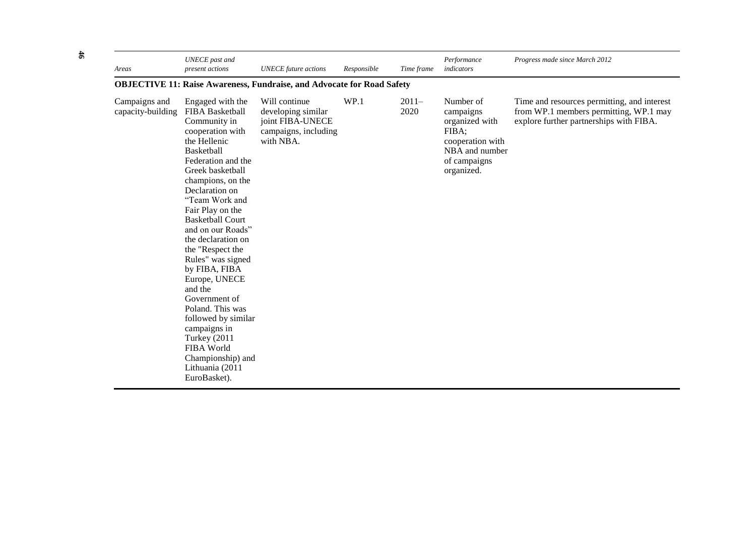| Areas                              | <b>UNECE</b> past and<br>present actions                                                                                                                                                                                                                                                                                                                                                                                                                                                                                                                          | <b>UNECE</b> future actions                                                                  | Responsible | Time frame      | Performance<br>indicators                                                                                             | Progress made since March 2012                                                                                                   |  |  |  |  |  |
|------------------------------------|-------------------------------------------------------------------------------------------------------------------------------------------------------------------------------------------------------------------------------------------------------------------------------------------------------------------------------------------------------------------------------------------------------------------------------------------------------------------------------------------------------------------------------------------------------------------|----------------------------------------------------------------------------------------------|-------------|-----------------|-----------------------------------------------------------------------------------------------------------------------|----------------------------------------------------------------------------------------------------------------------------------|--|--|--|--|--|
|                                    | <b>OBJECTIVE 11: Raise Awareness, Fundraise, and Advocate for Road Safety</b>                                                                                                                                                                                                                                                                                                                                                                                                                                                                                     |                                                                                              |             |                 |                                                                                                                       |                                                                                                                                  |  |  |  |  |  |
| Campaigns and<br>capacity-building | Engaged with the<br>FIBA Basketball<br>Community in<br>cooperation with<br>the Hellenic<br><b>Basketball</b><br>Federation and the<br>Greek basketball<br>champions, on the<br>Declaration on<br>"Team Work and<br>Fair Play on the<br><b>Basketball Court</b><br>and on our Roads"<br>the declaration on<br>the "Respect the<br>Rules" was signed<br>by FIBA, FIBA<br>Europe, UNECE<br>and the<br>Government of<br>Poland. This was<br>followed by similar<br>campaigns in<br>Turkey (2011<br>FIBA World<br>Championship) and<br>Lithuania (2011<br>EuroBasket). | Will continue<br>developing similar<br>joint FIBA-UNECE<br>campaigns, including<br>with NBA. | WP.1        | $2011-$<br>2020 | Number of<br>campaigns<br>organized with<br>FIBA;<br>cooperation with<br>NBA and number<br>of campaigns<br>organized. | Time and resources permitting, and interest<br>from WP.1 members permitting, WP.1 may<br>explore further partnerships with FIBA. |  |  |  |  |  |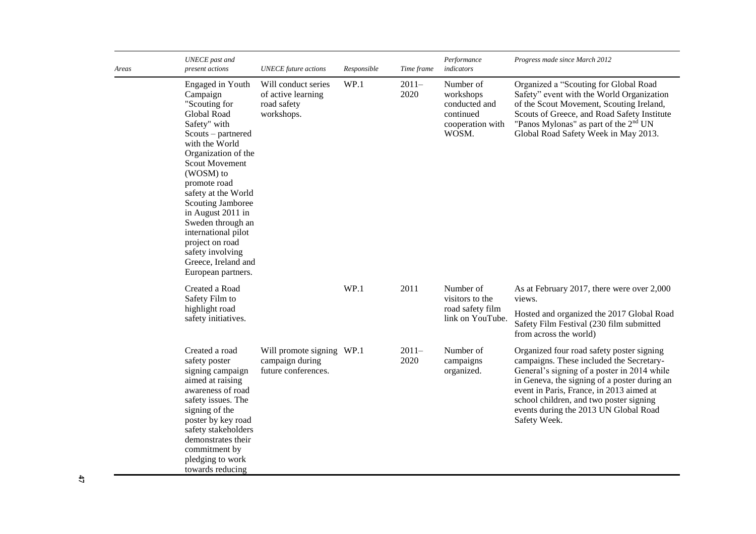| Areas | <b>UNECE</b> past and<br>present actions                                                                                                                                                                                                                                                                                                                                                           | <b>UNECE</b> future actions                                            | Responsible | Time frame      | Performance<br>indicators                                                         | Progress made since March 2012                                                                                                                                                                                                                                                                                                       |
|-------|----------------------------------------------------------------------------------------------------------------------------------------------------------------------------------------------------------------------------------------------------------------------------------------------------------------------------------------------------------------------------------------------------|------------------------------------------------------------------------|-------------|-----------------|-----------------------------------------------------------------------------------|--------------------------------------------------------------------------------------------------------------------------------------------------------------------------------------------------------------------------------------------------------------------------------------------------------------------------------------|
|       | Engaged in Youth<br>Campaign<br>"Scouting for<br>Global Road<br>Safety" with<br>Scouts – partnered<br>with the World<br>Organization of the<br><b>Scout Movement</b><br>(WOSM) to<br>promote road<br>safety at the World<br>Scouting Jamboree<br>in August 2011 in<br>Sweden through an<br>international pilot<br>project on road<br>safety involving<br>Greece, Ireland and<br>European partners. | Will conduct series<br>of active learning<br>road safety<br>workshops. | WP.1        | $2011-$<br>2020 | Number of<br>workshops<br>conducted and<br>continued<br>cooperation with<br>WOSM. | Organized a "Scouting for Global Road<br>Safety" event with the World Organization<br>of the Scout Movement, Scouting Ireland,<br>Scouts of Greece, and Road Safety Institute<br>"Panos Mylonas" as part of the 2 <sup>nd</sup> UN<br>Global Road Safety Week in May 2013.                                                           |
|       | Created a Road<br>Safety Film to<br>highlight road<br>safety initiatives.                                                                                                                                                                                                                                                                                                                          |                                                                        | WP.1        | 2011            | Number of<br>visitors to the<br>road safety film<br>link on YouTube.              | As at February 2017, there were over 2,000<br>views.<br>Hosted and organized the 2017 Global Road<br>Safety Film Festival (230 film submitted<br>from across the world)                                                                                                                                                              |
|       | Created a road<br>safety poster<br>signing campaign<br>aimed at raising<br>awareness of road<br>safety issues. The<br>signing of the<br>poster by key road<br>safety stakeholders<br>demonstrates their<br>commitment by<br>pledging to work<br>towards reducing                                                                                                                                   | Will promote signing WP.1<br>campaign during<br>future conferences.    |             | $2011-$<br>2020 | Number of<br>campaigns<br>organized.                                              | Organized four road safety poster signing<br>campaigns. These included the Secretary-<br>General's signing of a poster in 2014 while<br>in Geneva, the signing of a poster during an<br>event in Paris, France, in 2013 aimed at<br>school children, and two poster signing<br>events during the 2013 UN Global Road<br>Safety Week. |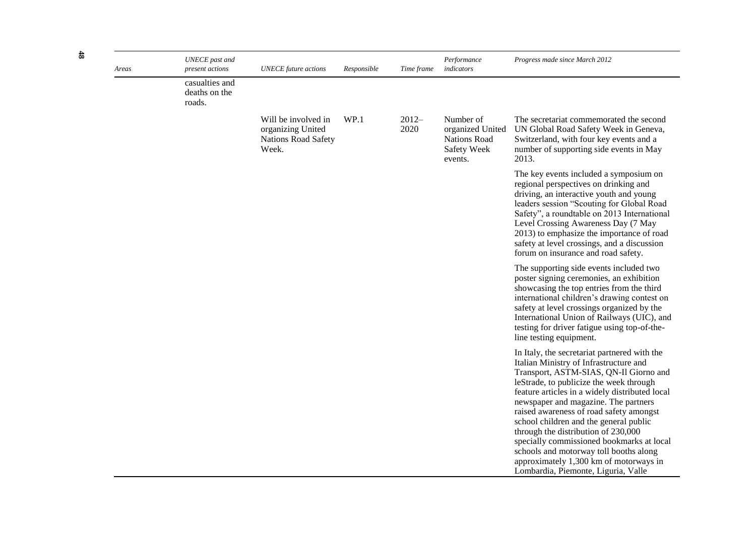| Areas | <b>UNECE</b> past and<br>present actions  | <b>UNECE</b> future actions                                                     | Responsible | Time frame      | Performance<br>indicators                                                      | Progress made since March 2012                                                                                                                                                                                                                                                                                                                                                                                                                                                                                                                                            |
|-------|-------------------------------------------|---------------------------------------------------------------------------------|-------------|-----------------|--------------------------------------------------------------------------------|---------------------------------------------------------------------------------------------------------------------------------------------------------------------------------------------------------------------------------------------------------------------------------------------------------------------------------------------------------------------------------------------------------------------------------------------------------------------------------------------------------------------------------------------------------------------------|
|       | casualties and<br>deaths on the<br>roads. |                                                                                 |             |                 |                                                                                |                                                                                                                                                                                                                                                                                                                                                                                                                                                                                                                                                                           |
|       |                                           | Will be involved in<br>organizing United<br><b>Nations Road Safety</b><br>Week. | WP.1        | $2012-$<br>2020 | Number of<br>organized United<br><b>Nations Road</b><br>Safety Week<br>events. | The secretariat commemorated the second<br>UN Global Road Safety Week in Geneva,<br>Switzerland, with four key events and a<br>number of supporting side events in May<br>2013.                                                                                                                                                                                                                                                                                                                                                                                           |
|       |                                           |                                                                                 |             |                 |                                                                                | The key events included a symposium on<br>regional perspectives on drinking and<br>driving, an interactive youth and young<br>leaders session "Scouting for Global Road<br>Safety", a roundtable on 2013 International<br>Level Crossing Awareness Day (7 May<br>2013) to emphasize the importance of road<br>safety at level crossings, and a discussion<br>forum on insurance and road safety.                                                                                                                                                                          |
|       |                                           |                                                                                 |             |                 |                                                                                | The supporting side events included two<br>poster signing ceremonies, an exhibition<br>showcasing the top entries from the third<br>international children's drawing contest on<br>safety at level crossings organized by the<br>International Union of Railways (UIC), and<br>testing for driver fatigue using top-of-the-<br>line testing equipment.                                                                                                                                                                                                                    |
|       |                                           |                                                                                 |             |                 |                                                                                | In Italy, the secretariat partnered with the<br>Italian Ministry of Infrastructure and<br>Transport, ASTM-SIAS, QN-Il Giorno and<br>leStrade, to publicize the week through<br>feature articles in a widely distributed local<br>newspaper and magazine. The partners<br>raised awareness of road safety amongst<br>school children and the general public<br>through the distribution of 230,000<br>specially commissioned bookmarks at local<br>schools and motorway toll booths along<br>approximately 1,300 km of motorways in<br>Lombardia, Piemonte, Liguria, Valle |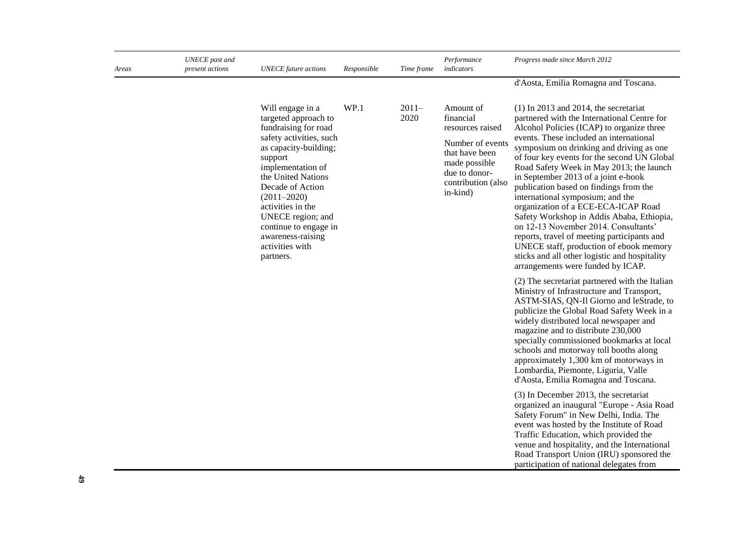| Areas | UNECE past and<br>present actions | <b>UNECE</b> future actions                                                                                                                                                                                                                                                                                                               | Responsible | Time frame      | Performance<br>indicators                                                                                                                            | Progress made since March 2012                                                                                                                                                                                                                                                                                                                                                                                                                                                                                                                                                                                                                                                                                                                                                                                                                                                                                                                                                                                                                                                                                                                                                                                                                                                                                                                                                                                                                                                                                                                                     |
|-------|-----------------------------------|-------------------------------------------------------------------------------------------------------------------------------------------------------------------------------------------------------------------------------------------------------------------------------------------------------------------------------------------|-------------|-----------------|------------------------------------------------------------------------------------------------------------------------------------------------------|--------------------------------------------------------------------------------------------------------------------------------------------------------------------------------------------------------------------------------------------------------------------------------------------------------------------------------------------------------------------------------------------------------------------------------------------------------------------------------------------------------------------------------------------------------------------------------------------------------------------------------------------------------------------------------------------------------------------------------------------------------------------------------------------------------------------------------------------------------------------------------------------------------------------------------------------------------------------------------------------------------------------------------------------------------------------------------------------------------------------------------------------------------------------------------------------------------------------------------------------------------------------------------------------------------------------------------------------------------------------------------------------------------------------------------------------------------------------------------------------------------------------------------------------------------------------|
|       |                                   |                                                                                                                                                                                                                                                                                                                                           |             |                 |                                                                                                                                                      | d'Aosta, Emilia Romagna and Toscana.                                                                                                                                                                                                                                                                                                                                                                                                                                                                                                                                                                                                                                                                                                                                                                                                                                                                                                                                                                                                                                                                                                                                                                                                                                                                                                                                                                                                                                                                                                                               |
|       |                                   | Will engage in a<br>targeted approach to<br>fundraising for road<br>safety activities, such<br>as capacity-building;<br>support<br>implementation of<br>the United Nations<br>Decade of Action<br>$(2011 - 2020)$<br>activities in the<br>UNECE region; and<br>continue to engage in<br>awareness-raising<br>activities with<br>partners. | WP.1        | $2011-$<br>2020 | Amount of<br>financial<br>resources raised<br>Number of events<br>that have been<br>made possible<br>due to donor-<br>contribution (also<br>in-kind) | $(1)$ In 2013 and 2014, the secretariat<br>partnered with the International Centre for<br>Alcohol Policies (ICAP) to organize three<br>events. These included an international<br>symposium on drinking and driving as one<br>of four key events for the second UN Global<br>Road Safety Week in May 2013; the launch<br>in September 2013 of a joint e-book<br>publication based on findings from the<br>international symposium; and the<br>organization of a ECE-ECA-ICAP Road<br>Safety Workshop in Addis Ababa, Ethiopia,<br>on 12-13 November 2014. Consultants'<br>reports, travel of meeting participants and<br>UNECE staff, production of ebook memory<br>sticks and all other logistic and hospitality<br>arrangements were funded by ICAP.<br>(2) The secretariat partnered with the Italian<br>Ministry of Infrastructure and Transport,<br>ASTM-SIAS, QN-Il Giorno and leStrade, to<br>publicize the Global Road Safety Week in a<br>widely distributed local newspaper and<br>magazine and to distribute 230,000<br>specially commissioned bookmarks at local<br>schools and motorway toll booths along<br>approximately 1,300 km of motorways in<br>Lombardia, Piemonte, Liguria, Valle<br>d'Aosta, Emilia Romagna and Toscana.<br>(3) In December 2013, the secretariat<br>organized an inaugural "Europe - Asia Road<br>Safety Forum" in New Delhi, India. The<br>event was hosted by the Institute of Road<br>Traffic Education, which provided the<br>venue and hospitality, and the International<br>Road Transport Union (IRU) sponsored the |